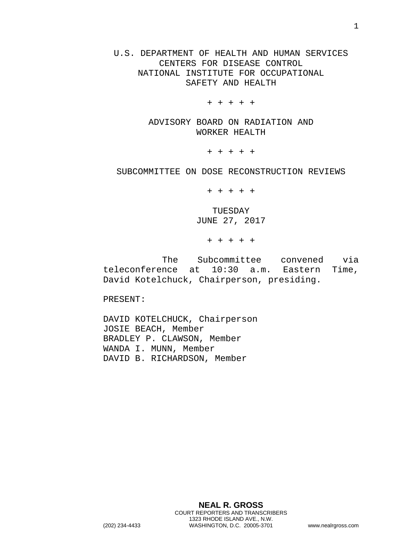U.S. DEPARTMENT OF HEALTH AND HUMAN SERVICES CENTERS FOR DISEASE CONTROL NATIONAL INSTITUTE FOR OCCUPATIONAL SAFETY AND HEALTH

+ + + + +

ADVISORY BOARD ON RADIATION AND WORKER HEALTH

+ + + + +

SUBCOMMITTEE ON DOSE RECONSTRUCTION REVIEWS

+ + + + +

TUESDAY JUNE 27, 2017

+ + + + +

The Subcommittee convened via<br>nce at 10:30 a.m. Eastern Time,  $teleconference at 10:30 a.m.$ David Kotelchuck, Chairperson, presiding.

PRESENT:

DAVID KOTELCHUCK, Chairperson JOSIE BEACH, Member BRADLEY P. CLAWSON, Member WANDA I. MUNN, Member DAVID B. RICHARDSON, Member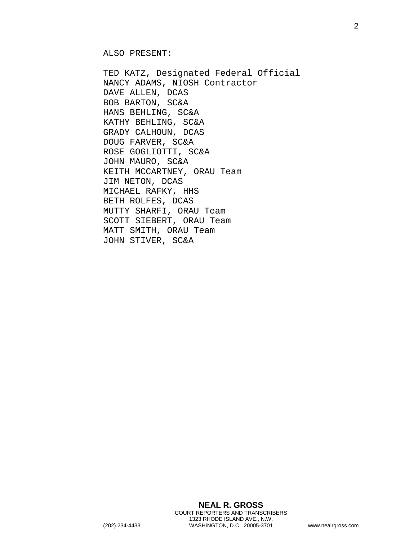ALSO PRESENT:

TED KATZ, Designated Federal Official NANCY ADAMS, NIOSH Contractor DAVE ALLEN, DCAS BOB BARTON, SC&A HANS BEHLING, SC&A KATHY BEHLING, SC&A GRADY CALHOUN, DCAS DOUG FARVER, SC&A ROSE GOGLIOTTI, SC&A JOHN MAURO, SC&A KEITH MCCARTNEY, ORAU Team JIM NETON, DCAS MICHAEL RAFKY, HHS BETH ROLFES, DCAS MUTTY SHARFI, ORAU Team SCOTT SIEBERT, ORAU Team MATT SMITH, ORAU Team JOHN STIVER, SC&A

**NEAL R. GROSS** COURT REPORTERS AND TRANSCRIBERS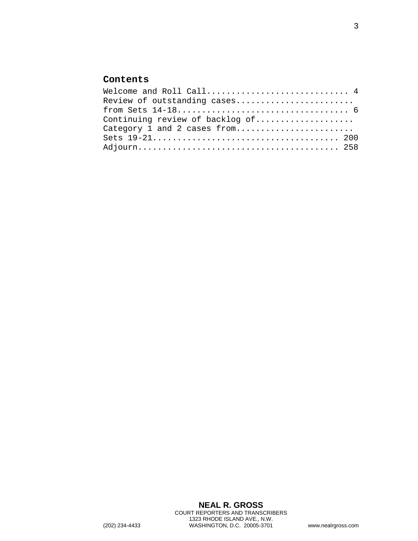## **Contents**

| Welcome and Roll Call 4         |  |
|---------------------------------|--|
| Review of outstanding cases     |  |
|                                 |  |
| Continuing review of backlog of |  |
| Category 1 and 2 cases from     |  |
|                                 |  |
|                                 |  |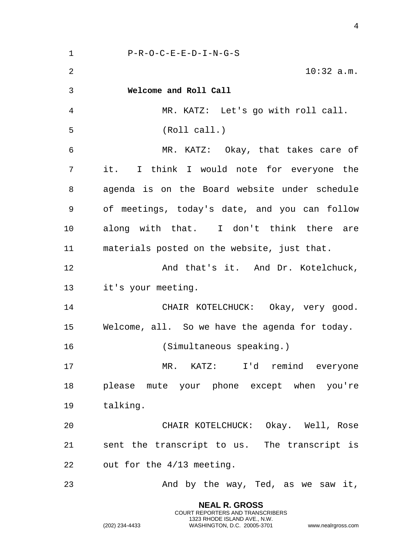<span id="page-3-0"></span> P-R-O-C-E-E-D-I-N-G-S 10:32 a.m. **Welcome and Roll Call** MR. KATZ: Let's go with roll call. (Roll call.) MR. KATZ: Okay, that takes care of it. I think I would note for everyone the agenda is on the Board website under schedule of meetings, today's date, and you can follow along with that. I don't think there are materials posted on the website, just that. **And that's it. And Dr. Kotelchuck,**  it's your meeting. CHAIR KOTELCHUCK: Okay, very good. Welcome, all. So we have the agenda for today. (Simultaneous speaking.) MR. KATZ: I'd remind everyone please mute your phone except when you're talking. CHAIR KOTELCHUCK: Okay. Well, Rose sent the transcript to us. The transcript is out for the 4/13 meeting. 23 And by the way, Ted, as we saw it,

> **NEAL R. GROSS** COURT REPORTERS AND TRANSCRIBERS 1323 RHODE ISLAND AVE., N.W.

(202) 234-4433 WASHINGTON, D.C. 20005-3701 www.nealrgross.com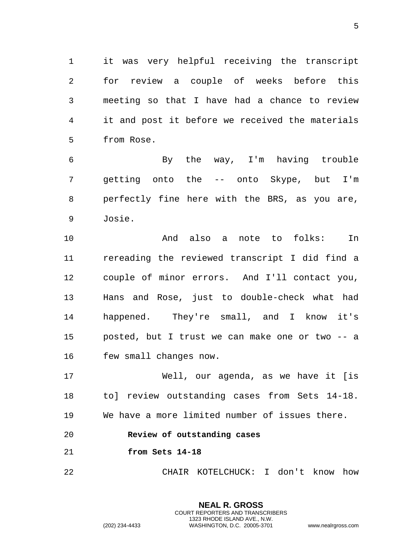it was very helpful receiving the transcript for review a couple of weeks before this meeting so that I have had a chance to review it and post it before we received the materials from Rose.

 By the way, I'm having trouble getting onto the -- onto Skype, but I'm perfectly fine here with the BRS, as you are, Josie.

 And also a note to folks: In rereading the reviewed transcript I did find a couple of minor errors. And I'll contact you, Hans and Rose, just to double-check what had happened. They're small, and I know it's posted, but I trust we can make one or two -- a few small changes now.

 Well, our agenda, as we have it [is to] review outstanding cases from Sets 14-18. We have a more limited number of issues there.

- <span id="page-4-0"></span>**Review of outstanding cases**
- <span id="page-4-1"></span>**from Sets 14-18**

CHAIR KOTELCHUCK: I don't know how

**NEAL R. GROSS** COURT REPORTERS AND TRANSCRIBERS 1323 RHODE ISLAND AVE., N.W.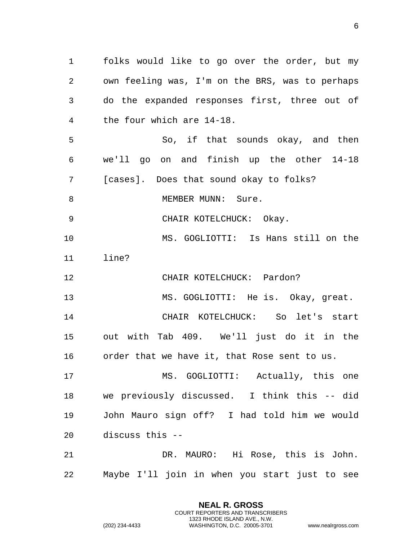folks would like to go over the order, but my own feeling was, I'm on the BRS, was to perhaps do the expanded responses first, three out of the four which are 14-18. So, if that sounds okay, and then we'll go on and finish up the other 14-18 [cases]. Does that sound okay to folks? 8 MEMBER MUNN: Sure. CHAIR KOTELCHUCK: Okay. MS. GOGLIOTTI: Is Hans still on the line? CHAIR KOTELCHUCK: Pardon? MS. GOGLIOTTI: He is. Okay, great. CHAIR KOTELCHUCK: So let's start out with Tab 409. We'll just do it in the order that we have it, that Rose sent to us. MS. GOGLIOTTI: Actually, this one we previously discussed. I think this -- did John Mauro sign off? I had told him we would discuss this -- DR. MAURO: Hi Rose, this is John. Maybe I'll join in when you start just to see

> **NEAL R. GROSS** COURT REPORTERS AND TRANSCRIBERS 1323 RHODE ISLAND AVE., N.W.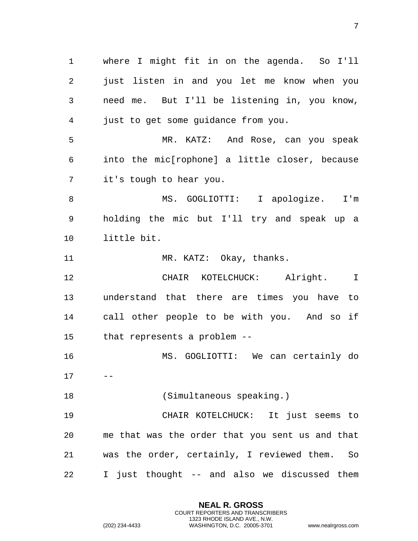where I might fit in on the agenda. So I'll just listen in and you let me know when you need me. But I'll be listening in, you know, just to get some guidance from you. MR. KATZ: And Rose, can you speak into the mic[rophone] a little closer, because it's tough to hear you. MS. GOGLIOTTI: I apologize. I'm holding the mic but I'll try and speak up a little bit. 11 MR. KATZ: Okay, thanks. CHAIR KOTELCHUCK: Alright. I understand that there are times you have to call other people to be with you. And so if that represents a problem -- MS. GOGLIOTTI: We can certainly do (Simultaneous speaking.) CHAIR KOTELCHUCK: It just seems to me that was the order that you sent us and that was the order, certainly, I reviewed them. So I just thought -- and also we discussed them

> **NEAL R. GROSS** COURT REPORTERS AND TRANSCRIBERS 1323 RHODE ISLAND AVE., N.W.

(202) 234-4433 WASHINGTON, D.C. 20005-3701 www.nealrgross.com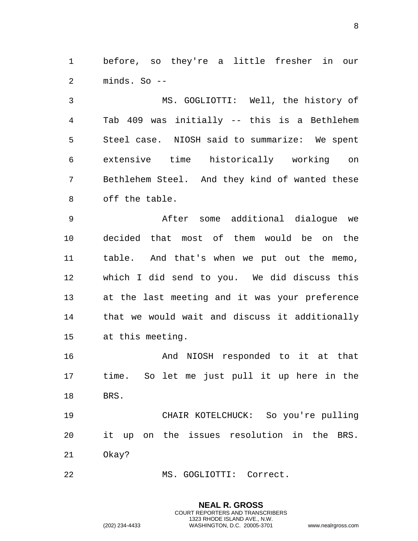before, so they're a little fresher in our minds. So --

 MS. GOGLIOTTI: Well, the history of Tab 409 was initially -- this is a Bethlehem Steel case. NIOSH said to summarize: We spent extensive time historically working on Bethlehem Steel. And they kind of wanted these off the table.

 After some additional dialogue we decided that most of them would be on the table. And that's when we put out the memo, which I did send to you. We did discuss this at the last meeting and it was your preference that we would wait and discuss it additionally at this meeting.

16 And NIOSH responded to it at that time. So let me just pull it up here in the BRS.

 CHAIR KOTELCHUCK: So you're pulling it up on the issues resolution in the BRS. Okay?

> **NEAL R. GROSS** COURT REPORTERS AND TRANSCRIBERS 1323 RHODE ISLAND AVE., N.W.

MS. GOGLIOTTI: Correct.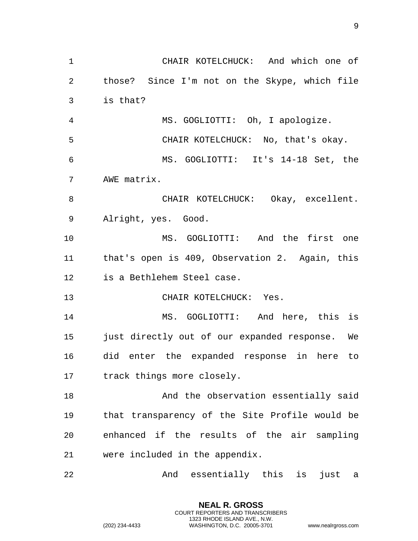CHAIR KOTELCHUCK: And which one of those? Since I'm not on the Skype, which file is that? MS. GOGLIOTTI: Oh, I apologize. CHAIR KOTELCHUCK: No, that's okay. MS. GOGLIOTTI: It's 14-18 Set, the AWE matrix. 8 CHAIR KOTELCHUCK: Okay, excellent. Alright, yes. Good. MS. GOGLIOTTI: And the first one that's open is 409, Observation 2. Again, this is a Bethlehem Steel case. CHAIR KOTELCHUCK: Yes. MS. GOGLIOTTI: And here, this is just directly out of our expanded response. We did enter the expanded response in here to track things more closely. 18 And the observation essentially said that transparency of the Site Profile would be enhanced if the results of the air sampling were included in the appendix. And essentially this is just a

> **NEAL R. GROSS** COURT REPORTERS AND TRANSCRIBERS 1323 RHODE ISLAND AVE., N.W.

(202) 234-4433 WASHINGTON, D.C. 20005-3701 www.nealrgross.com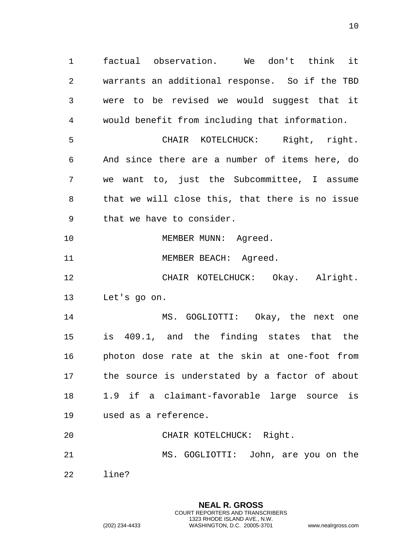factual observation. We don't think it warrants an additional response. So if the TBD were to be revised we would suggest that it would benefit from including that information. CHAIR KOTELCHUCK: Right, right. And since there are a number of items here, do we want to, just the Subcommittee, I assume that we will close this, that there is no issue that we have to consider.

10 MEMBER MUNN: Agreed.

11 MEMBER BEACH: Agreed.

 CHAIR KOTELCHUCK: Okay. Alright. Let's go on.

 MS. GOGLIOTTI: Okay, the next one is 409.1, and the finding states that the photon dose rate at the skin at one-foot from the source is understated by a factor of about 1.9 if a claimant-favorable large source is used as a reference.

 CHAIR KOTELCHUCK: Right. MS. GOGLIOTTI: John, are you on the

> **NEAL R. GROSS** COURT REPORTERS AND TRANSCRIBERS 1323 RHODE ISLAND AVE., N.W.

line?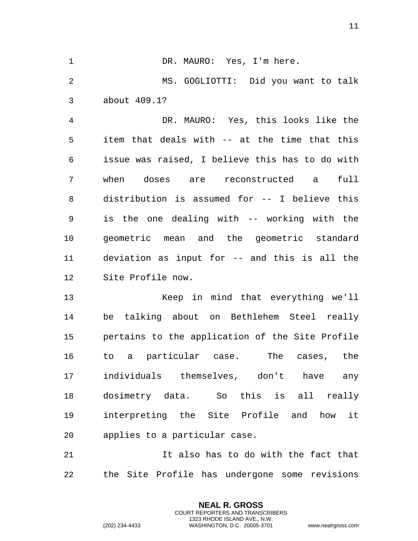1 DR. MAURO: Yes, I'm here. MS. GOGLIOTTI: Did you want to talk about 409.1?

 DR. MAURO: Yes, this looks like the item that deals with -- at the time that this issue was raised, I believe this has to do with when doses are reconstructed a full distribution is assumed for -- I believe this is the one dealing with -- working with the geometric mean and the geometric standard deviation as input for -- and this is all the Site Profile now.

 Keep in mind that everything we'll be talking about on Bethlehem Steel really pertains to the application of the Site Profile to a particular case. The cases, the individuals themselves, don't have any dosimetry data. So this is all really interpreting the Site Profile and how it applies to a particular case.

 It also has to do with the fact that the Site Profile has undergone some revisions

> **NEAL R. GROSS** COURT REPORTERS AND TRANSCRIBERS 1323 RHODE ISLAND AVE., N.W.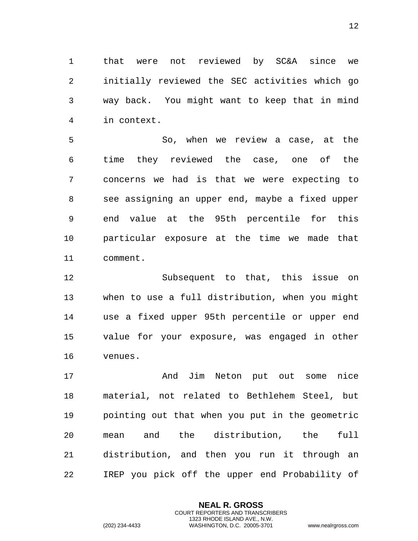that were not reviewed by SC&A since we initially reviewed the SEC activities which go way back. You might want to keep that in mind in context.

 So, when we review a case, at the time they reviewed the case, one of the concerns we had is that we were expecting to see assigning an upper end, maybe a fixed upper end value at the 95th percentile for this particular exposure at the time we made that comment.

 Subsequent to that, this issue on when to use a full distribution, when you might use a fixed upper 95th percentile or upper end value for your exposure, was engaged in other venues.

17 and Jim Neton put out some nice material, not related to Bethlehem Steel, but pointing out that when you put in the geometric mean and the distribution, the full distribution, and then you run it through an IREP you pick off the upper end Probability of

> **NEAL R. GROSS** COURT REPORTERS AND TRANSCRIBERS 1323 RHODE ISLAND AVE., N.W.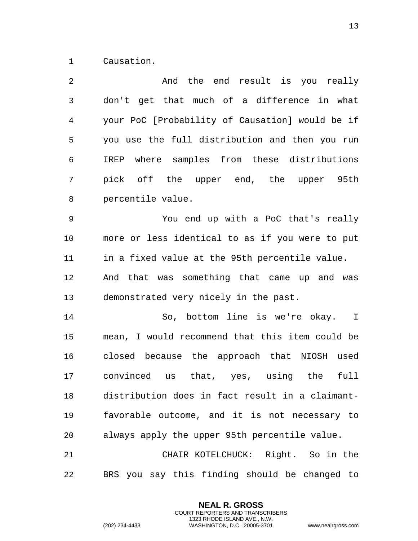Causation.

| $\overline{2}$ | And the end result is you really                |
|----------------|-------------------------------------------------|
| $\mathfrak{Z}$ | don't get that much of a difference in what     |
| 4              | your PoC [Probability of Causation] would be if |
| 5              | you use the full distribution and then you run  |
| 6              | IREP where samples from these distributions     |
| 7              | pick off the upper end, the upper 95th          |
| $\, 8$         | percentile value.                               |
| $\mathsf 9$    | You end up with a PoC that's really             |
| 10             | more or less identical to as if you were to put |
| 11             | in a fixed value at the 95th percentile value.  |
| 12             | And that was something that came up and was     |
| 13             | demonstrated very nicely in the past.           |
| 14             | So, bottom line is we're okay. I                |
| 15             | mean, I would recommend that this item could be |
| 16             | closed because the approach that NIOSH used     |
| 17             | convinced us that, yes, using the<br>full       |
| 18             | distribution does in fact result in a claimant- |
| 19             | favorable outcome, and it is not necessary to   |
| 20             | always apply the upper 95th percentile value.   |
| 21             | CHAIR KOTELCHUCK: Right. So in the              |
| 22             | BRS you say this finding should be changed to   |

**NEAL R. GROSS** COURT REPORTERS AND TRANSCRIBERS 1323 RHODE ISLAND AVE., N.W.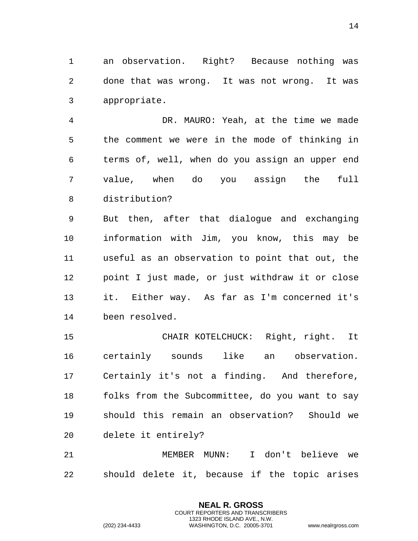an observation. Right? Because nothing was done that was wrong. It was not wrong. It was appropriate.

 DR. MAURO: Yeah, at the time we made the comment we were in the mode of thinking in terms of, well, when do you assign an upper end value, when do you assign the full distribution?

 But then, after that dialogue and exchanging information with Jim, you know, this may be useful as an observation to point that out, the point I just made, or just withdraw it or close it. Either way. As far as I'm concerned it's been resolved.

 CHAIR KOTELCHUCK: Right, right. It certainly sounds like an observation. Certainly it's not a finding. And therefore, folks from the Subcommittee, do you want to say should this remain an observation? Should we delete it entirely?

 MEMBER MUNN: I don't believe we should delete it, because if the topic arises

> **NEAL R. GROSS** COURT REPORTERS AND TRANSCRIBERS 1323 RHODE ISLAND AVE., N.W.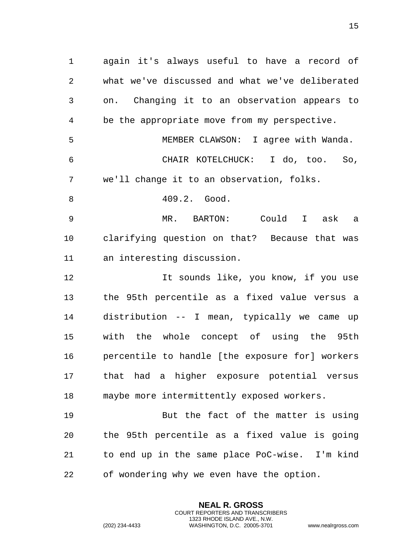again it's always useful to have a record of what we've discussed and what we've deliberated on. Changing it to an observation appears to be the appropriate move from my perspective. MEMBER CLAWSON: I agree with Wanda. CHAIR KOTELCHUCK: I do, too. So, we'll change it to an observation, folks. 409.2. Good. MR. BARTON: Could I ask a clarifying question on that? Because that was an interesting discussion. 12 12 It sounds like, you know, if you use the 95th percentile as a fixed value versus a distribution -- I mean, typically we came up with the whole concept of using the 95th percentile to handle [the exposure for] workers that had a higher exposure potential versus maybe more intermittently exposed workers. But the fact of the matter is using the 95th percentile as a fixed value is going to end up in the same place PoC-wise. I'm kind

of wondering why we even have the option.

**NEAL R. GROSS** COURT REPORTERS AND TRANSCRIBERS 1323 RHODE ISLAND AVE., N.W.

(202) 234-4433 WASHINGTON, D.C. 20005-3701 www.nealrgross.com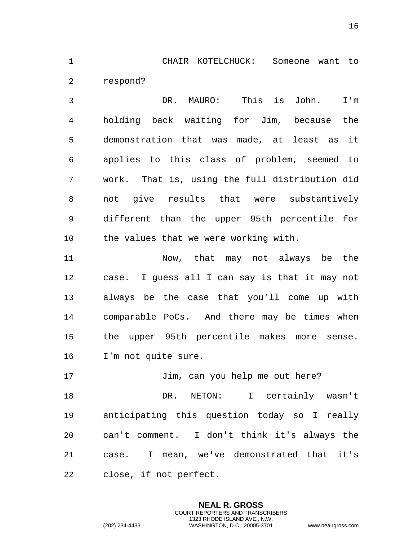CHAIR KOTELCHUCK: Someone want to respond?

 DR. MAURO: This is John. I'm holding back waiting for Jim, because the demonstration that was made, at least as it applies to this class of problem, seemed to work. That is, using the full distribution did not give results that were substantively different than the upper 95th percentile for the values that we were working with.

 Now, that may not always be the case. I guess all I can say is that it may not always be the case that you'll come up with comparable PoCs. And there may be times when the upper 95th percentile makes more sense. I'm not quite sure.

 DR. NETON: I certainly wasn't anticipating this question today so I really can't comment. I don't think it's always the case. I mean, we've demonstrated that it's close, if not perfect.

17 Jim, can you help me out here?

**NEAL R. GROSS** COURT REPORTERS AND TRANSCRIBERS 1323 RHODE ISLAND AVE., N.W.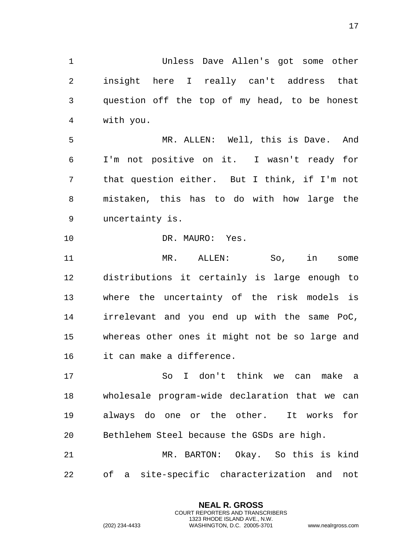Unless Dave Allen's got some other insight here I really can't address that question off the top of my head, to be honest with you.

 MR. ALLEN: Well, this is Dave. And I'm not positive on it. I wasn't ready for that question either. But I think, if I'm not mistaken, this has to do with how large the uncertainty is.

10 DR. MAURO: Yes.

 MR. ALLEN: So, in some distributions it certainly is large enough to where the uncertainty of the risk models is irrelevant and you end up with the same PoC, whereas other ones it might not be so large and it can make a difference.

 So I don't think we can make a wholesale program-wide declaration that we can always do one or the other. It works for Bethlehem Steel because the GSDs are high.

 MR. BARTON: Okay. So this is kind of a site-specific characterization and not

> **NEAL R. GROSS** COURT REPORTERS AND TRANSCRIBERS 1323 RHODE ISLAND AVE., N.W.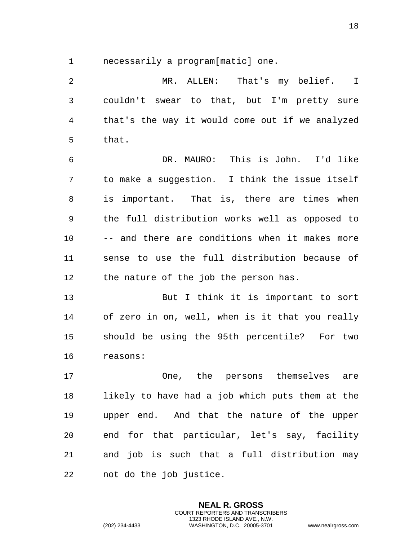necessarily a program[matic] one.

 MR. ALLEN: That's my belief. I couldn't swear to that, but I'm pretty sure that's the way it would come out if we analyzed that. DR. MAURO: This is John. I'd like to make a suggestion. I think the issue itself is important. That is, there are times when the full distribution works well as opposed to -- and there are conditions when it makes more sense to use the full distribution because of the nature of the job the person has. But I think it is important to sort of zero in on, well, when is it that you really should be using the 95th percentile? For two reasons: One, the persons themselves are likely to have had a job which puts them at the upper end. And that the nature of the upper end for that particular, let's say, facility and job is such that a full distribution may not do the job justice.

> **NEAL R. GROSS** COURT REPORTERS AND TRANSCRIBERS 1323 RHODE ISLAND AVE., N.W.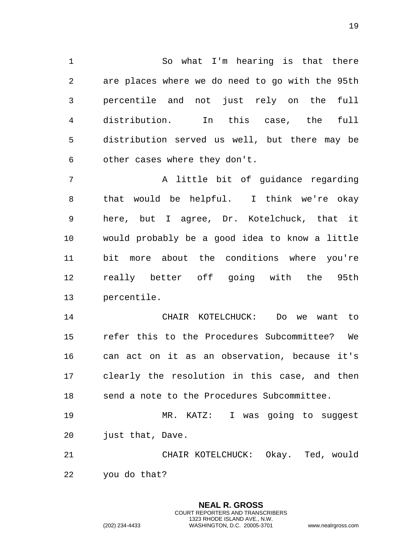So what I'm hearing is that there are places where we do need to go with the 95th percentile and not just rely on the full distribution. In this case, the full distribution served us well, but there may be other cases where they don't.

7 A little bit of guidance regarding that would be helpful. I think we're okay here, but I agree, Dr. Kotelchuck, that it would probably be a good idea to know a little bit more about the conditions where you're really better off going with the 95th percentile.

 CHAIR KOTELCHUCK: Do we want to refer this to the Procedures Subcommittee? We can act on it as an observation, because it's clearly the resolution in this case, and then send a note to the Procedures Subcommittee.

 MR. KATZ: I was going to suggest just that, Dave.

 CHAIR KOTELCHUCK: Okay. Ted, would you do that?

> **NEAL R. GROSS** COURT REPORTERS AND TRANSCRIBERS 1323 RHODE ISLAND AVE., N.W.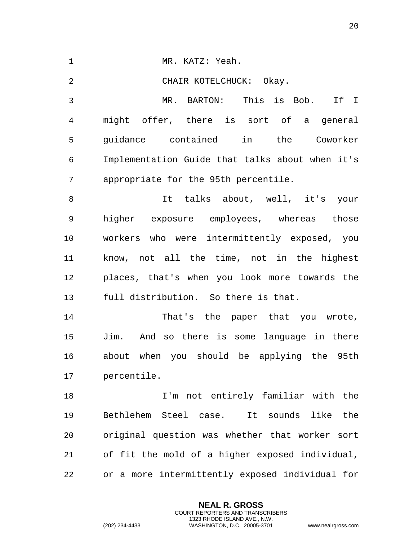| $\mathbf 1$    | MR. KATZ: Yeah.                                 |
|----------------|-------------------------------------------------|
| $\overline{a}$ | CHAIR KOTELCHUCK: Okay.                         |
| 3              | MR. BARTON: This is Bob. If I                   |
| $\overline{4}$ | might offer, there is sort of a general         |
| 5              | guidance contained in the Coworker              |
| 6              | Implementation Guide that talks about when it's |
| 7              | appropriate for the 95th percentile.            |
| 8              | It talks about, well, it's your                 |
| 9              | higher exposure employees, whereas those        |
| 10             | workers who were intermittently exposed, you    |
| 11             | know, not all the time, not in the highest      |
| 12             | places, that's when you look more towards the   |
| 13             | full distribution. So there is that.            |
| 14             | That's the paper that you wrote,                |
| 15             | Jim. And so there is some language in there     |
| 16             | about when you should be applying the 95th      |
| 17             | percentile.                                     |
| 18             | I'm not entirely familiar with the              |
| 19             | Bethlehem Steel case.<br>It sounds like<br>the  |
| 20             | original question was whether that worker sort  |
| 21             | of fit the mold of a higher exposed individual, |
| 22             | or a more intermittently exposed individual for |

**NEAL R. GROSS** COURT REPORTERS AND TRANSCRIBERS 1323 RHODE ISLAND AVE., N.W.

(202) 234-4433 WASHINGTON, D.C. 20005-3701 www.nealrgross.com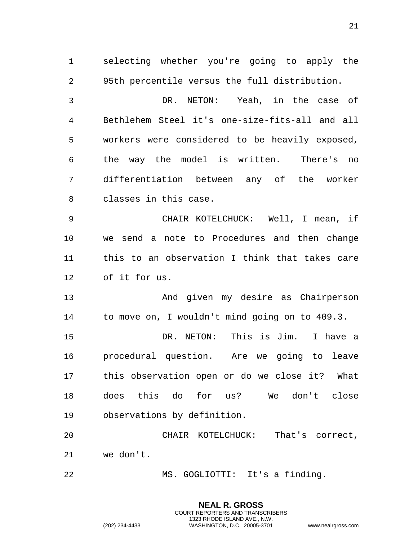selecting whether you're going to apply the 95th percentile versus the full distribution.

 DR. NETON: Yeah, in the case of Bethlehem Steel it's one-size-fits-all and all workers were considered to be heavily exposed, the way the model is written. There's no differentiation between any of the worker classes in this case.

 CHAIR KOTELCHUCK: Well, I mean, if we send a note to Procedures and then change this to an observation I think that takes care of it for us.

 And given my desire as Chairperson to move on, I wouldn't mind going on to 409.3.

 DR. NETON: This is Jim. I have a procedural question. Are we going to leave this observation open or do we close it? What does this do for us? We don't close observations by definition.

 CHAIR KOTELCHUCK: That's correct, we don't.

> **NEAL R. GROSS** COURT REPORTERS AND TRANSCRIBERS 1323 RHODE ISLAND AVE., N.W.

MS. GOGLIOTTI: It's a finding.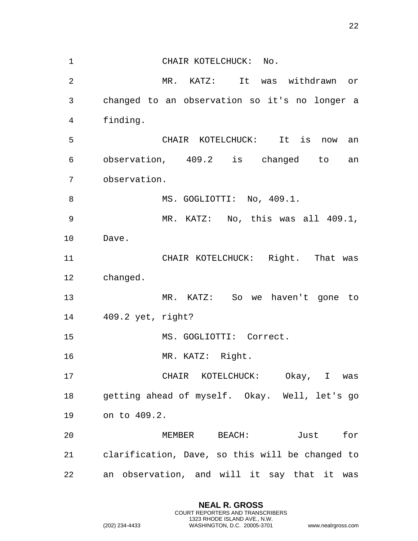CHAIR KOTELCHUCK: No. MR. KATZ: It was withdrawn or changed to an observation so it's no longer a finding. CHAIR KOTELCHUCK: It is now an observation, 409.2 is changed to an observation. 8 MS. GOGLIOTTI: No, 409.1. MR. KATZ: No, this was all 409.1, Dave. CHAIR KOTELCHUCK: Right. That was changed. MR. KATZ: So we haven't gone to 409.2 yet, right? MS. GOGLIOTTI: Correct. MR. KATZ: Right. CHAIR KOTELCHUCK: Okay, I was getting ahead of myself. Okay. Well, let's go on to 409.2. MEMBER BEACH: Just for clarification, Dave, so this will be changed to an observation, and will it say that it was

> **NEAL R. GROSS** COURT REPORTERS AND TRANSCRIBERS 1323 RHODE ISLAND AVE., N.W.

(202) 234-4433 WASHINGTON, D.C. 20005-3701 www.nealrgross.com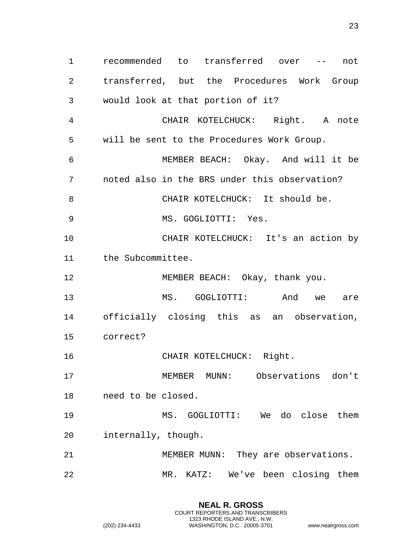recommended to transferred over -- not transferred, but the Procedures Work Group would look at that portion of it? CHAIR KOTELCHUCK: Right. A note will be sent to the Procedures Work Group. MEMBER BEACH: Okay. And will it be noted also in the BRS under this observation? 8 CHAIR KOTELCHUCK: It should be. MS. GOGLIOTTI: Yes. CHAIR KOTELCHUCK: It's an action by the Subcommittee. 12 MEMBER BEACH: Okay, thank you. MS. GOGLIOTTI: And we are officially closing this as an observation, correct? 16 CHAIR KOTELCHUCK: Right. MEMBER MUNN: Observations don't need to be closed. MS. GOGLIOTTI: We do close them internally, though. MEMBER MUNN: They are observations. MR. KATZ: We've been closing them

> **NEAL R. GROSS** COURT REPORTERS AND TRANSCRIBERS 1323 RHODE ISLAND AVE., N.W.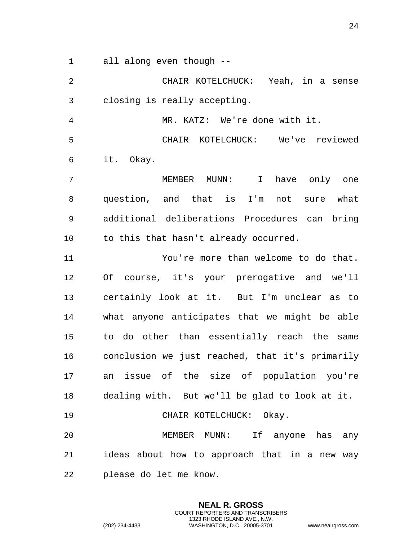all along even though --

 CHAIR KOTELCHUCK: Yeah, in a sense closing is really accepting.

MR. KATZ: We're done with it.

 CHAIR KOTELCHUCK: We've reviewed it. Okay.

 MEMBER MUNN: I have only one question, and that is I'm not sure what additional deliberations Procedures can bring to this that hasn't already occurred.

 You're more than welcome to do that. Of course, it's your prerogative and we'll certainly look at it. But I'm unclear as to what anyone anticipates that we might be able to do other than essentially reach the same conclusion we just reached, that it's primarily an issue of the size of population you're dealing with. But we'll be glad to look at it. 19 CHAIR KOTELCHUCK: Okay.

 MEMBER MUNN: If anyone has any ideas about how to approach that in a new way please do let me know.

> **NEAL R. GROSS** COURT REPORTERS AND TRANSCRIBERS 1323 RHODE ISLAND AVE., N.W.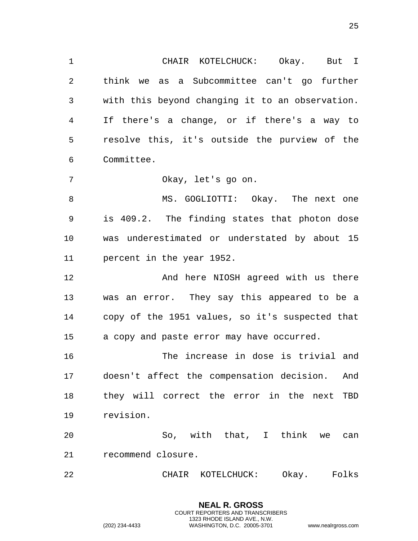CHAIR KOTELCHUCK: Okay. But I think we as a Subcommittee can't go further with this beyond changing it to an observation. If there's a change, or if there's a way to resolve this, it's outside the purview of the Committee.

Okay, let's go on.

8 MS. GOGLIOTTI: Okay. The next one is 409.2. The finding states that photon dose was underestimated or understated by about 15 percent in the year 1952.

12 And here NIOSH agreed with us there was an error. They say this appeared to be a copy of the 1951 values, so it's suspected that a copy and paste error may have occurred.

 The increase in dose is trivial and doesn't affect the compensation decision. And they will correct the error in the next TBD revision.

 So, with that, I think we can recommend closure.

CHAIR KOTELCHUCK: Okay. Folks

**NEAL R. GROSS** COURT REPORTERS AND TRANSCRIBERS 1323 RHODE ISLAND AVE., N.W.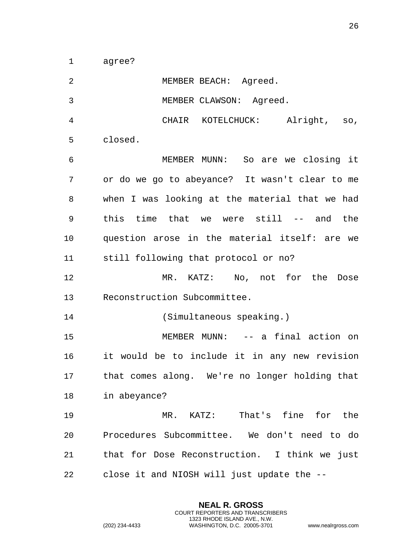agree?

| $\overline{2}$ | MEMBER BEACH: Agreed.                          |
|----------------|------------------------------------------------|
| 3              | MEMBER CLAWSON: Agreed.                        |
| $\overline{4}$ | CHAIR KOTELCHUCK: Alright, so,                 |
| 5              | closed.                                        |
| 6              | MEMBER MUNN: So are we closing it              |
| 7              | or do we go to abeyance? It wasn't clear to me |
| 8              | when I was looking at the material that we had |
| 9              | this time that we were still -- and<br>the     |
| 10             | question arose in the material itself: are we  |
| 11             | still following that protocol or no?           |
| 12             | MR. KATZ: No, not for the<br>Dose              |
| 13             | Reconstruction Subcommittee.                   |
| 14             | (Simultaneous speaking.)                       |
| 15             | MEMBER MUNN: -- a final action on              |
| 16             | it would be to include it in any new revision  |
| 17             | that comes along. We're no longer holding that |
| 18 7           | in abeyance?                                   |
| 19             | MR. KATZ: That's fine for the                  |
| 20             | Procedures Subcommittee. We don't need to do   |
| 21             | that for Dose Reconstruction. I think we just  |
| 22             | close it and NIOSH will just update the --     |

**NEAL R. GROSS** COURT REPORTERS AND TRANSCRIBERS 1323 RHODE ISLAND AVE., N.W.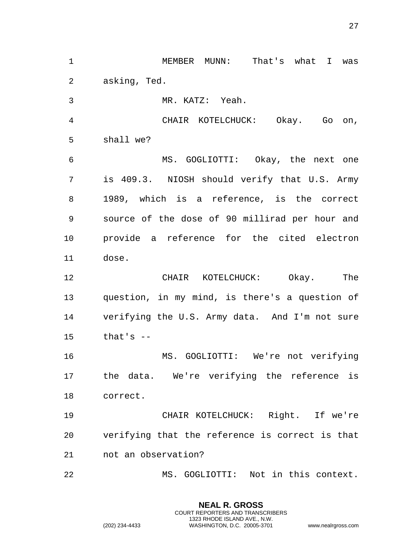MEMBER MUNN: That's what I was asking, Ted. MR. KATZ: Yeah. CHAIR KOTELCHUCK: Okay. Go on, shall we? MS. GOGLIOTTI: Okay, the next one is 409.3. NIOSH should verify that U.S. Army 1989, which is a reference, is the correct source of the dose of 90 millirad per hour and provide a reference for the cited electron dose. CHAIR KOTELCHUCK: Okay. The question, in my mind, is there's a question of verifying the U.S. Army data. And I'm not sure that's -- MS. GOGLIOTTI: We're not verifying the data. We're verifying the reference is correct. CHAIR KOTELCHUCK: Right. If we're verifying that the reference is correct is that not an observation? MS. GOGLIOTTI: Not in this context.

> **NEAL R. GROSS** COURT REPORTERS AND TRANSCRIBERS 1323 RHODE ISLAND AVE., N.W.

(202) 234-4433 WASHINGTON, D.C. 20005-3701 www.nealrgross.com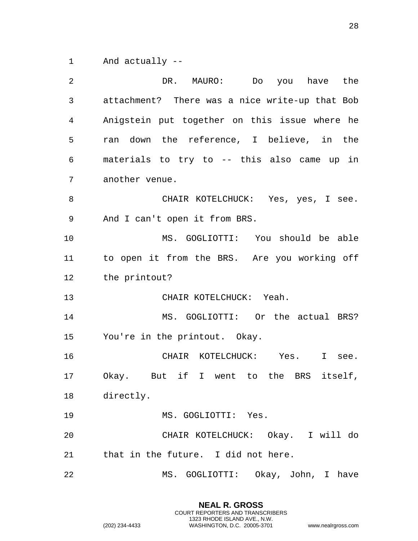And actually --

| 2  | DR.<br>MAURO:<br>Do you have the               |
|----|------------------------------------------------|
| 3  | attachment? There was a nice write-up that Bob |
| 4  | Anigstein put together on this issue where he  |
| 5  | ran down the reference, I believe, in the      |
| 6  | materials to try to -- this also came up in    |
| 7  | another venue.                                 |
| 8  | CHAIR KOTELCHUCK: Yes, yes, I see.             |
| 9  | And I can't open it from BRS.                  |
| 10 | MS. GOGLIOTTI: You should be able              |
| 11 | to open it from the BRS. Are you working off   |
| 12 | the printout?                                  |
| 13 | CHAIR KOTELCHUCK: Yeah.                        |
| 14 | MS. GOGLIOTTI: Or the actual BRS?              |
| 15 | You're in the printout. Okay.                  |
| 16 | CHAIR KOTELCHUCK: Yes. I<br>see.               |
| 17 | But if I went to the BRS itself,<br>Okay.      |
| 18 | directly.                                      |
| 19 | MS. GOGLIOTTI: Yes.                            |
| 20 | CHAIR KOTELCHUCK: Okay. I will do              |
| 21 | that in the future. I did not here.            |
| 22 | MS. GOGLIOTTI: Okay, John, I have              |

**NEAL R. GROSS** COURT REPORTERS AND TRANSCRIBERS 1323 RHODE ISLAND AVE., N.W.

(202) 234-4433 WASHINGTON, D.C. 20005-3701 www.nealrgross.com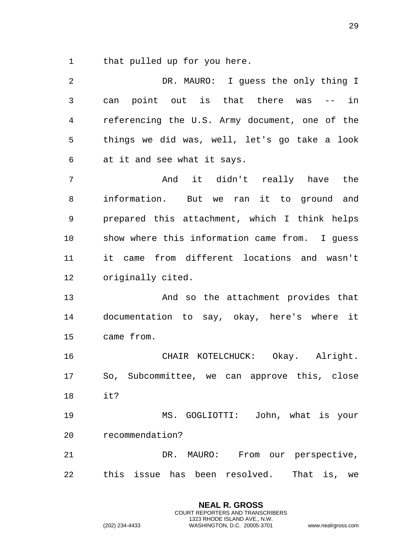that pulled up for you here.

| 2  | DR. MAURO: I guess the only thing I            |
|----|------------------------------------------------|
| 3  | can point out is that there was<br>$--$ in     |
| 4  | referencing the U.S. Army document, one of the |
| 5  | things we did was, well, let's go take a look  |
| 6  | at it and see what it says.                    |
| 7  | And it didn't really have the                  |
| 8  | information. But we ran it to ground and       |
| 9  | prepared this attachment, which I think helps  |
| 10 | show where this information came from. I guess |
| 11 | it came from different locations and wasn't    |
| 12 | originally cited.                              |
| 13 | And so the attachment provides that            |
| 14 | documentation to say, okay, here's where it    |
| 15 | came from.                                     |
| 16 | CHAIR KOTELCHUCK: Okay. Alright.               |
| 17 | So, Subcommittee, we can approve this, close   |
| 18 | it?                                            |
| 19 | MS. GOGLIOTTI: John, what is your              |
| 20 | recommendation?                                |
| 21 | DR. MAURO: From our perspective,               |
| 22 | this issue has been resolved.<br>That is, we   |

**NEAL R. GROSS** COURT REPORTERS AND TRANSCRIBERS 1323 RHODE ISLAND AVE., N.W.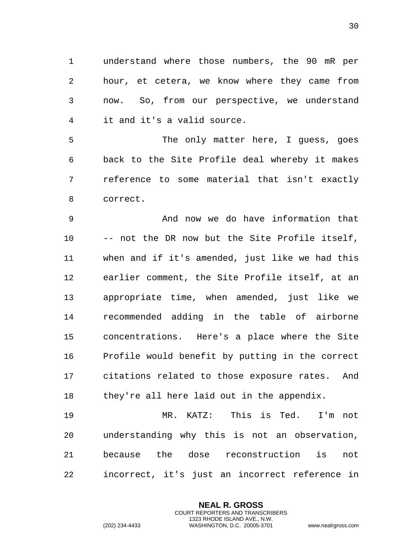understand where those numbers, the 90 mR per hour, et cetera, we know where they came from now. So, from our perspective, we understand it and it's a valid source.

 The only matter here, I guess, goes back to the Site Profile deal whereby it makes reference to some material that isn't exactly correct.

 And now we do have information that -- not the DR now but the Site Profile itself, when and if it's amended, just like we had this earlier comment, the Site Profile itself, at an appropriate time, when amended, just like we recommended adding in the table of airborne concentrations. Here's a place where the Site Profile would benefit by putting in the correct citations related to those exposure rates. And they're all here laid out in the appendix.

 MR. KATZ: This is Ted. I'm not understanding why this is not an observation, because the dose reconstruction is not incorrect, it's just an incorrect reference in

> **NEAL R. GROSS** COURT REPORTERS AND TRANSCRIBERS 1323 RHODE ISLAND AVE., N.W.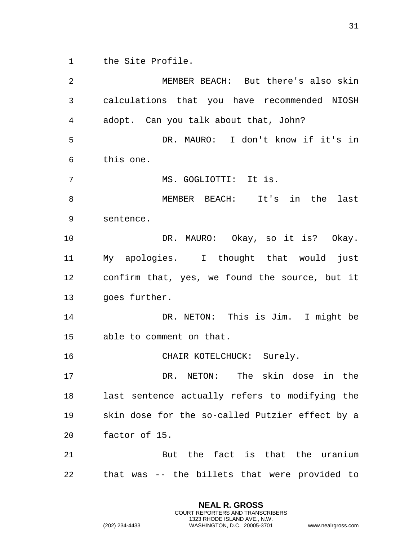the Site Profile.

 MEMBER BEACH: But there's also skin calculations that you have recommended NIOSH adopt. Can you talk about that, John? DR. MAURO: I don't know if it's in this one. MS. GOGLIOTTI: It is. MEMBER BEACH: It's in the last sentence. DR. MAURO: Okay, so it is? Okay. My apologies. I thought that would just confirm that, yes, we found the source, but it goes further. DR. NETON: This is Jim. I might be able to comment on that. 16 CHAIR KOTELCHUCK: Surely. DR. NETON: The skin dose in the last sentence actually refers to modifying the skin dose for the so-called Putzier effect by a factor of 15. But the fact is that the uranium that was -- the billets that were provided to

> **NEAL R. GROSS** COURT REPORTERS AND TRANSCRIBERS 1323 RHODE ISLAND AVE., N.W.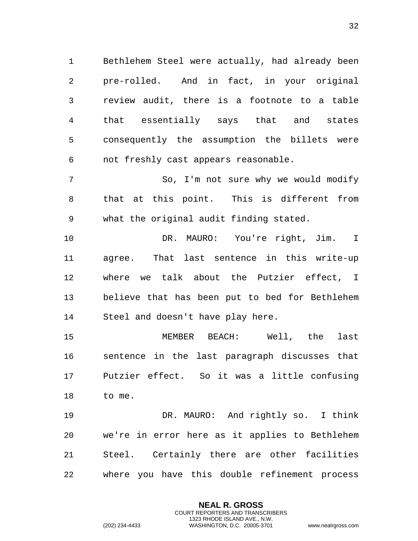Bethlehem Steel were actually, had already been pre-rolled. And in fact, in your original review audit, there is a footnote to a table that essentially says that and states consequently the assumption the billets were not freshly cast appears reasonable.

 So, I'm not sure why we would modify that at this point. This is different from what the original audit finding stated.

 DR. MAURO: You're right, Jim. I agree. That last sentence in this write-up where we talk about the Putzier effect, I believe that has been put to bed for Bethlehem Steel and doesn't have play here.

 MEMBER BEACH: Well, the last sentence in the last paragraph discusses that Putzier effect. So it was a little confusing to me.

 DR. MAURO: And rightly so. I think we're in error here as it applies to Bethlehem Steel. Certainly there are other facilities where you have this double refinement process

> **NEAL R. GROSS** COURT REPORTERS AND TRANSCRIBERS 1323 RHODE ISLAND AVE., N.W.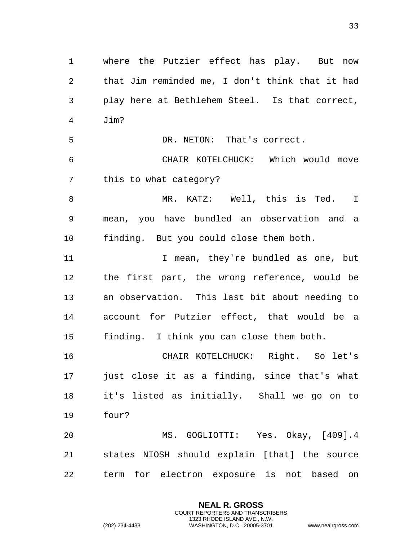where the Putzier effect has play. But now that Jim reminded me, I don't think that it had play here at Bethlehem Steel. Is that correct, Jim? DR. NETON: That's correct. CHAIR KOTELCHUCK: Which would move this to what category? 8 MR. KATZ: Well, this is Ted. I mean, you have bundled an observation and a finding. But you could close them both. 11 11 I mean, they're bundled as one, but the first part, the wrong reference, would be an observation. This last bit about needing to account for Putzier effect, that would be a finding. I think you can close them both. CHAIR KOTELCHUCK: Right. So let's just close it as a finding, since that's what it's listed as initially. Shall we go on to four? MS. GOGLIOTTI: Yes. Okay, [409].4 states NIOSH should explain [that] the source term for electron exposure is not based on

> **NEAL R. GROSS** COURT REPORTERS AND TRANSCRIBERS 1323 RHODE ISLAND AVE., N.W.

(202) 234-4433 WASHINGTON, D.C. 20005-3701 www.nealrgross.com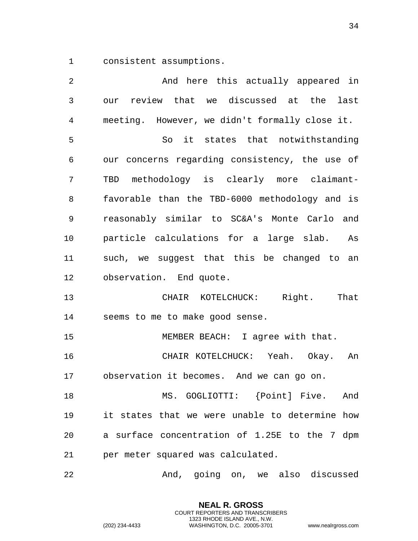consistent assumptions.

 And here this actually appeared in our review that we discussed at the last meeting. However, we didn't formally close it. So it states that notwithstanding our concerns regarding consistency, the use of TBD methodology is clearly more claimant- favorable than the TBD-6000 methodology and is reasonably similar to SC&A's Monte Carlo and particle calculations for a large slab. As such, we suggest that this be changed to an observation. End quote. CHAIR KOTELCHUCK: Right. That seems to me to make good sense. MEMBER BEACH: I agree with that. CHAIR KOTELCHUCK: Yeah. Okay. An observation it becomes. And we can go on. MS. GOGLIOTTI: {Point] Five. And it states that we were unable to determine how a surface concentration of 1.25E to the 7 dpm per meter squared was calculated. And, going on, we also discussed

> **NEAL R. GROSS** COURT REPORTERS AND TRANSCRIBERS 1323 RHODE ISLAND AVE., N.W.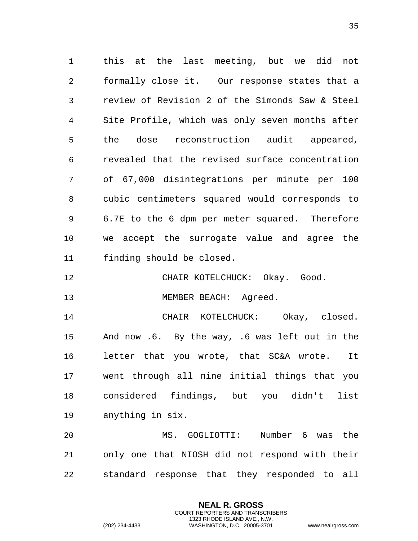this at the last meeting, but we did not formally close it. Our response states that a review of Revision 2 of the Simonds Saw & Steel Site Profile, which was only seven months after the dose reconstruction audit appeared, revealed that the revised surface concentration of 67,000 disintegrations per minute per 100 cubic centimeters squared would corresponds to 6.7E to the 6 dpm per meter squared. Therefore we accept the surrogate value and agree the finding should be closed.

- CHAIR KOTELCHUCK: Okay. Good.
- 13 MEMBER BEACH: Agreed.

 CHAIR KOTELCHUCK: Okay, closed. And now .6. By the way, .6 was left out in the letter that you wrote, that SC&A wrote. It went through all nine initial things that you considered findings, but you didn't list anything in six.

 MS. GOGLIOTTI: Number 6 was the only one that NIOSH did not respond with their standard response that they responded to all

> **NEAL R. GROSS** COURT REPORTERS AND TRANSCRIBERS 1323 RHODE ISLAND AVE., N.W.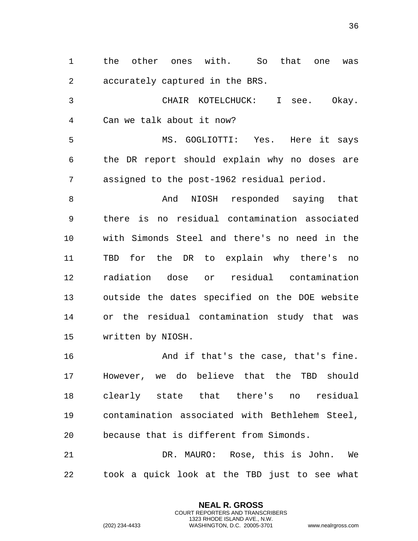the other ones with. So that one was accurately captured in the BRS.

 CHAIR KOTELCHUCK: I see. Okay. Can we talk about it now?

 MS. GOGLIOTTI: Yes. Here it says the DR report should explain why no doses are assigned to the post-1962 residual period.

8 And NIOSH responded saying that there is no residual contamination associated with Simonds Steel and there's no need in the TBD for the DR to explain why there's no radiation dose or residual contamination outside the dates specified on the DOE website or the residual contamination study that was written by NIOSH.

16 And if that's the case, that's fine. However, we do believe that the TBD should clearly state that there's no residual contamination associated with Bethlehem Steel, because that is different from Simonds.

 DR. MAURO: Rose, this is John. We took a quick look at the TBD just to see what

> **NEAL R. GROSS** COURT REPORTERS AND TRANSCRIBERS 1323 RHODE ISLAND AVE., N.W.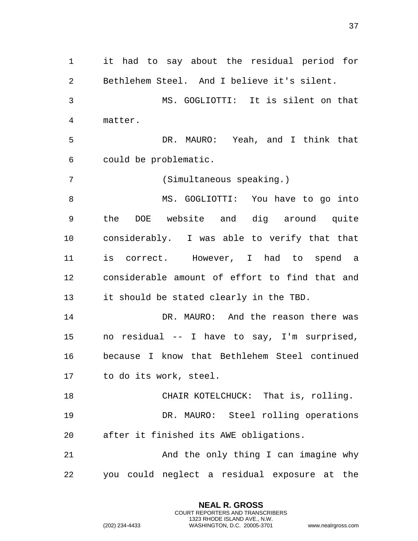it had to say about the residual period for Bethlehem Steel. And I believe it's silent. MS. GOGLIOTTI: It is silent on that matter. DR. MAURO: Yeah, and I think that could be problematic. (Simultaneous speaking.) 8 MS. GOGLIOTTI: You have to go into the DOE website and dig around quite considerably. I was able to verify that that is correct. However, I had to spend a considerable amount of effort to find that and it should be stated clearly in the TBD. DR. MAURO: And the reason there was no residual -- I have to say, I'm surprised, because I know that Bethlehem Steel continued to do its work, steel. CHAIR KOTELCHUCK: That is, rolling. DR. MAURO: Steel rolling operations after it finished its AWE obligations. And the only thing I can imagine why you could neglect a residual exposure at the

> **NEAL R. GROSS** COURT REPORTERS AND TRANSCRIBERS 1323 RHODE ISLAND AVE., N.W.

(202) 234-4433 WASHINGTON, D.C. 20005-3701 www.nealrgross.com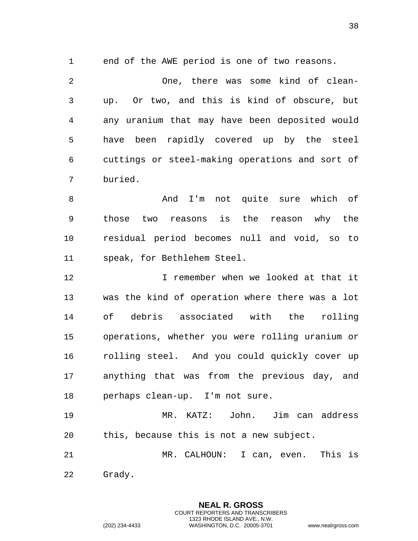end of the AWE period is one of two reasons.

 One, there was some kind of clean- up. Or two, and this is kind of obscure, but any uranium that may have been deposited would have been rapidly covered up by the steel cuttings or steel-making operations and sort of buried.

 And I'm not quite sure which of those two reasons is the reason why the residual period becomes null and void, so to speak, for Bethlehem Steel.

 I remember when we looked at that it was the kind of operation where there was a lot of debris associated with the rolling operations, whether you were rolling uranium or rolling steel. And you could quickly cover up anything that was from the previous day, and perhaps clean-up. I'm not sure.

 MR. KATZ: John. Jim can address this, because this is not a new subject.

 MR. CALHOUN: I can, even. This is Grady.

> **NEAL R. GROSS** COURT REPORTERS AND TRANSCRIBERS 1323 RHODE ISLAND AVE., N.W.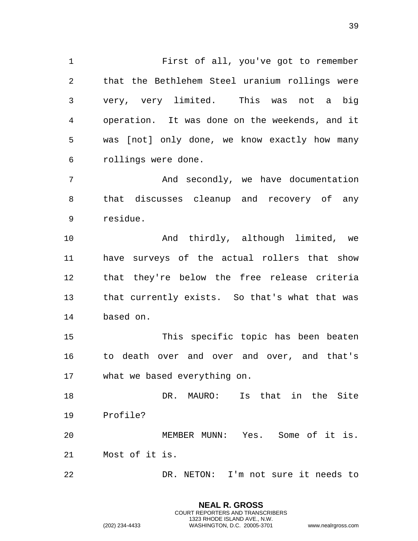First of all, you've got to remember that the Bethlehem Steel uranium rollings were very, very limited. This was not a big operation. It was done on the weekends, and it was [not] only done, we know exactly how many rollings were done.

7 And secondly, we have documentation that discusses cleanup and recovery of any residue.

 And thirdly, although limited, we have surveys of the actual rollers that show that they're below the free release criteria that currently exists. So that's what that was based on.

 This specific topic has been beaten to death over and over and over, and that's what we based everything on.

 DR. MAURO: Is that in the Site Profile?

 MEMBER MUNN: Yes. Some of it is. Most of it is.

DR. NETON: I'm not sure it needs to

**NEAL R. GROSS** COURT REPORTERS AND TRANSCRIBERS 1323 RHODE ISLAND AVE., N.W.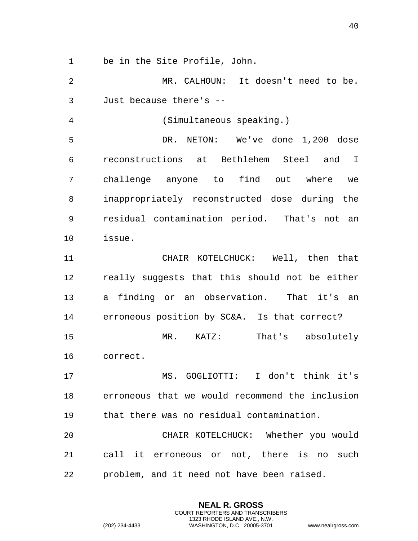be in the Site Profile, John.

 MR. CALHOUN: It doesn't need to be. Just because there's --

(Simultaneous speaking.)

 DR. NETON: We've done 1,200 dose reconstructions at Bethlehem Steel and I challenge anyone to find out where we inappropriately reconstructed dose during the residual contamination period. That's not an issue.

 CHAIR KOTELCHUCK: Well, then that really suggests that this should not be either a finding or an observation. That it's an erroneous position by SC&A. Is that correct? MR. KATZ: That's absolutely correct.

 MS. GOGLIOTTI: I don't think it's erroneous that we would recommend the inclusion that there was no residual contamination.

 CHAIR KOTELCHUCK: Whether you would call it erroneous or not, there is no such problem, and it need not have been raised.

> **NEAL R. GROSS** COURT REPORTERS AND TRANSCRIBERS 1323 RHODE ISLAND AVE., N.W.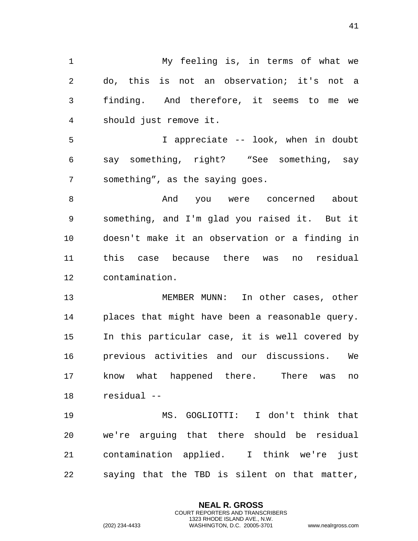My feeling is, in terms of what we do, this is not an observation; it's not a finding. And therefore, it seems to me we should just remove it. I appreciate -- look, when in doubt say something, right? "See something, say something", as the saying goes. 8 about And you were concerned about something, and I'm glad you raised it. But it doesn't make it an observation or a finding in this case because there was no residual contamination. MEMBER MUNN: In other cases, other places that might have been a reasonable query. In this particular case, it is well covered by previous activities and our discussions. We know what happened there. There was no residual -- MS. GOGLIOTTI: I don't think that we're arguing that there should be residual contamination applied. I think we're just

saying that the TBD is silent on that matter,

**NEAL R. GROSS** COURT REPORTERS AND TRANSCRIBERS 1323 RHODE ISLAND AVE., N.W.

(202) 234-4433 WASHINGTON, D.C. 20005-3701 www.nealrgross.com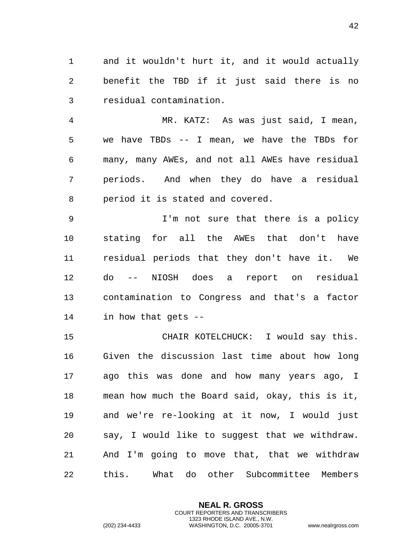and it wouldn't hurt it, and it would actually benefit the TBD if it just said there is no residual contamination.

 MR. KATZ: As was just said, I mean, we have TBDs -- I mean, we have the TBDs for many, many AWEs, and not all AWEs have residual periods. And when they do have a residual period it is stated and covered.

 I'm not sure that there is a policy stating for all the AWEs that don't have residual periods that they don't have it. We do -- NIOSH does a report on residual contamination to Congress and that's a factor in how that gets --

 CHAIR KOTELCHUCK: I would say this. Given the discussion last time about how long ago this was done and how many years ago, I mean how much the Board said, okay, this is it, and we're re-looking at it now, I would just say, I would like to suggest that we withdraw. And I'm going to move that, that we withdraw this. What do other Subcommittee Members

> **NEAL R. GROSS** COURT REPORTERS AND TRANSCRIBERS 1323 RHODE ISLAND AVE., N.W. (202) 234-4433 WASHINGTON, D.C. 20005-3701 www.nealrgross.com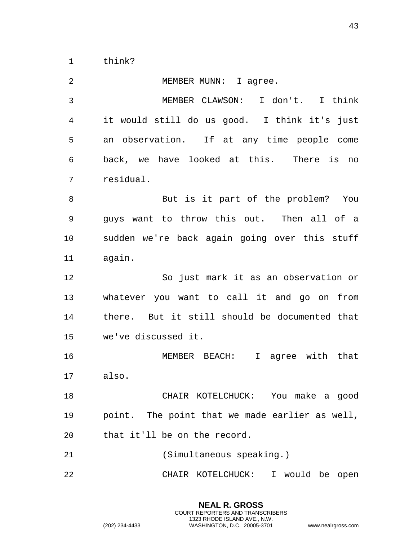think?

| $\overline{2}$ | MEMBER MUNN: I agree.                            |
|----------------|--------------------------------------------------|
| $\mathfrak{Z}$ | MEMBER CLAWSON: I don't. I think                 |
| 4              | it would still do us good. I think it's just     |
| 5              | an observation. If at any time people come       |
| 6              | back, we have looked at this. There is no        |
| 7              | residual.                                        |
| 8              | But is it part of the problem? You               |
| 9              | guys want to throw this out. Then all of a       |
| 10             | sudden we're back again going over this stuff    |
| 11             | again.                                           |
| 12             | So just mark it as an observation or             |
| 13             | whatever you want to call it and go on from      |
| 14             | there. But it still should be documented that    |
| 15             | we've discussed it.                              |
| 16             | MEMBER BEACH:<br>agree with that<br>$\mathbf{I}$ |
| 17             | also.                                            |
| 18             | CHAIR KOTELCHUCK: You make a good                |
| 19             | point. The point that we made earlier as well,   |
| 20             | that it'll be on the record.                     |
| 21             | (Simultaneous speaking.)                         |
| 22             | CHAIR KOTELCHUCK: I would be open                |

**NEAL R. GROSS** COURT REPORTERS AND TRANSCRIBERS 1323 RHODE ISLAND AVE., N.W.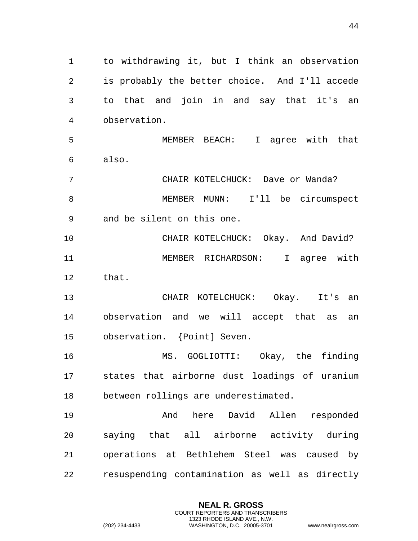to withdrawing it, but I think an observation is probably the better choice. And I'll accede to that and join in and say that it's an observation. MEMBER BEACH: I agree with that also. CHAIR KOTELCHUCK: Dave or Wanda? MEMBER MUNN: I'll be circumspect and be silent on this one. CHAIR KOTELCHUCK: Okay. And David? MEMBER RICHARDSON: I agree with that. CHAIR KOTELCHUCK: Okay. It's an observation and we will accept that as an observation. {Point] Seven. MS. GOGLIOTTI: Okay, the finding states that airborne dust loadings of uranium between rollings are underestimated. And here David Allen responded saying that all airborne activity during operations at Bethlehem Steel was caused by resuspending contamination as well as directly

> **NEAL R. GROSS** COURT REPORTERS AND TRANSCRIBERS 1323 RHODE ISLAND AVE., N.W.

(202) 234-4433 WASHINGTON, D.C. 20005-3701 www.nealrgross.com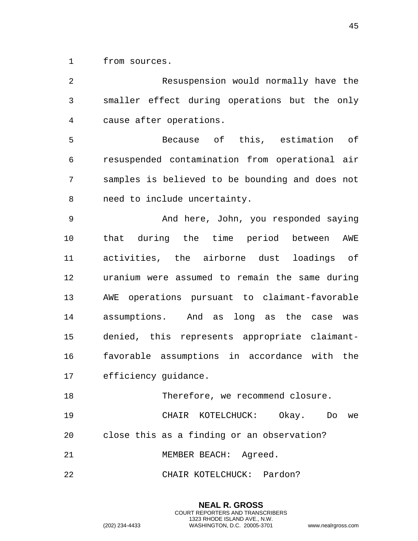from sources.

| $\overline{2}$ | Resuspension would normally have the            |
|----------------|-------------------------------------------------|
| 3              | smaller effect during operations but the only   |
| 4              | cause after operations.                         |
| 5              | Because of this, estimation of                  |
| 6              | resuspended contamination from operational air  |
| 7              | samples is believed to be bounding and does not |
| 8              | need to include uncertainty.                    |
| $\mathsf 9$    | And here, John, you responded saying            |
| 10             | that during the time period between<br>AWE      |
| 11             | activities, the airborne dust loadings of       |
| 12             | uranium were assumed to remain the same during  |
| 13             | AWE operations pursuant to claimant-favorable   |
| 14             | assumptions. And as long as the case<br>was     |
| 15             | denied, this represents appropriate claimant-   |
| 16             | favorable assumptions in accordance with the    |
| 17             | efficiency guidance.                            |
| 18             | Therefore, we recommend closure.                |
| 19             | CHAIR KOTELCHUCK: Okay. Do<br>we                |
| 20             | close this as a finding or an observation?      |
| 21             | MEMBER BEACH: Agreed.                           |
| 22             | CHAIR KOTELCHUCK: Pardon?                       |

**NEAL R. GROSS** COURT REPORTERS AND TRANSCRIBERS 1323 RHODE ISLAND AVE., N.W. (202) 234-4433 WASHINGTON, D.C. 20005-3701 www.nealrgross.com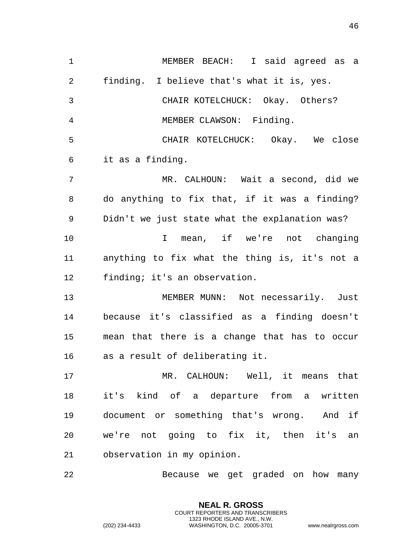MEMBER BEACH: I said agreed as a finding. I believe that's what it is, yes. CHAIR KOTELCHUCK: Okay. Others? MEMBER CLAWSON: Finding. CHAIR KOTELCHUCK: Okay. We close it as a finding. MR. CALHOUN: Wait a second, did we do anything to fix that, if it was a finding? Didn't we just state what the explanation was? I mean, if we're not changing anything to fix what the thing is, it's not a finding; it's an observation. MEMBER MUNN: Not necessarily. Just because it's classified as a finding doesn't mean that there is a change that has to occur as a result of deliberating it. MR. CALHOUN: Well, it means that it's kind of a departure from a written document or something that's wrong. And if we're not going to fix it, then it's an observation in my opinion. Because we get graded on how many

> **NEAL R. GROSS** COURT REPORTERS AND TRANSCRIBERS 1323 RHODE ISLAND AVE., N.W.

(202) 234-4433 WASHINGTON, D.C. 20005-3701 www.nealrgross.com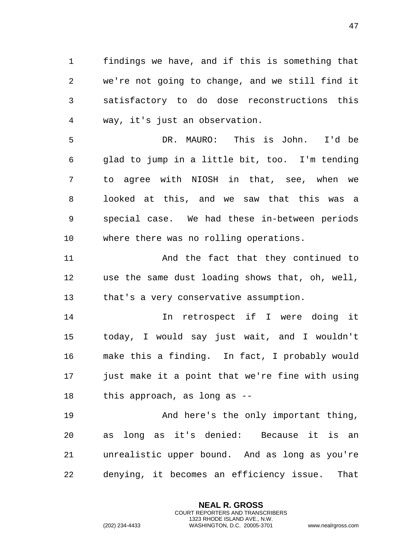findings we have, and if this is something that we're not going to change, and we still find it satisfactory to do dose reconstructions this way, it's just an observation.

 DR. MAURO: This is John. I'd be glad to jump in a little bit, too. I'm tending to agree with NIOSH in that, see, when we looked at this, and we saw that this was a special case. We had these in-between periods where there was no rolling operations.

 And the fact that they continued to use the same dust loading shows that, oh, well, that's a very conservative assumption.

 In retrospect if I were doing it today, I would say just wait, and I wouldn't make this a finding. In fact, I probably would just make it a point that we're fine with using this approach, as long as --

19 And here's the only important thing, as long as it's denied: Because it is an unrealistic upper bound. And as long as you're denying, it becomes an efficiency issue. That

> **NEAL R. GROSS** COURT REPORTERS AND TRANSCRIBERS 1323 RHODE ISLAND AVE., N.W.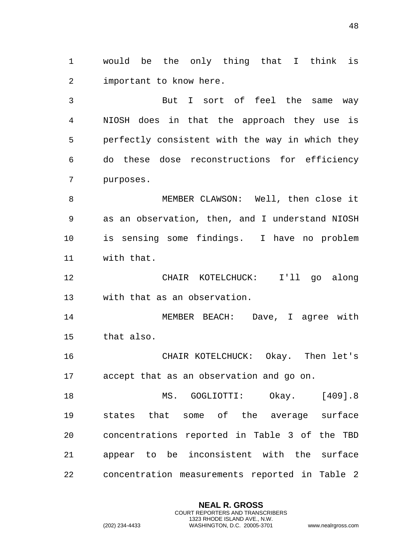would be the only thing that I think is important to know here.

 But I sort of feel the same way NIOSH does in that the approach they use is perfectly consistent with the way in which they do these dose reconstructions for efficiency purposes.

 MEMBER CLAWSON: Well, then close it as an observation, then, and I understand NIOSH is sensing some findings. I have no problem with that.

 CHAIR KOTELCHUCK: I'll go along with that as an observation.

 MEMBER BEACH: Dave, I agree with that also.

 CHAIR KOTELCHUCK: Okay. Then let's accept that as an observation and go on.

 MS. GOGLIOTTI: Okay. [409].8 states that some of the average surface concentrations reported in Table 3 of the TBD appear to be inconsistent with the surface concentration measurements reported in Table 2

> **NEAL R. GROSS** COURT REPORTERS AND TRANSCRIBERS 1323 RHODE ISLAND AVE., N.W.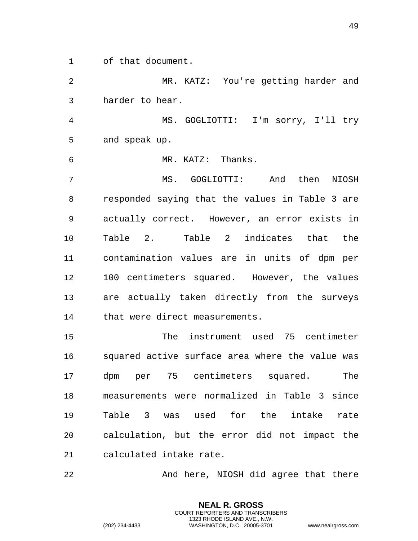of that document.

 MR. KATZ: You're getting harder and harder to hear.

 MS. GOGLIOTTI: I'm sorry, I'll try and speak up.

MR. KATZ: Thanks.

 MS. GOGLIOTTI: And then NIOSH responded saying that the values in Table 3 are actually correct. However, an error exists in Table 2. Table 2 indicates that the contamination values are in units of dpm per 100 centimeters squared. However, the values are actually taken directly from the surveys that were direct measurements.

 The instrument used 75 centimeter squared active surface area where the value was dpm per 75 centimeters squared. The measurements were normalized in Table 3 since Table 3 was used for the intake rate calculation, but the error did not impact the calculated intake rate.

22 And here, NIOSH did agree that there

**NEAL R. GROSS** COURT REPORTERS AND TRANSCRIBERS 1323 RHODE ISLAND AVE., N.W.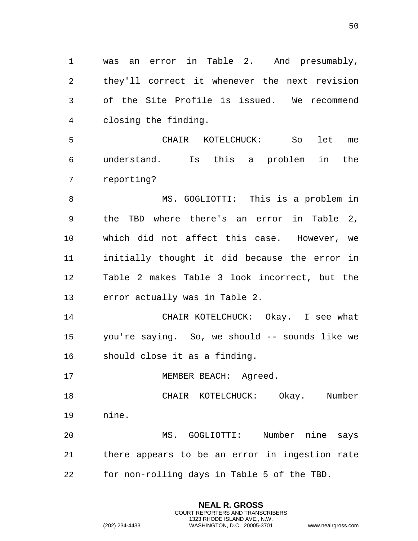was an error in Table 2. And presumably, they'll correct it whenever the next revision of the Site Profile is issued. We recommend closing the finding.

 CHAIR KOTELCHUCK: So let me understand. Is this a problem in the reporting?

 MS. GOGLIOTTI: This is a problem in the TBD where there's an error in Table 2, which did not affect this case. However, we initially thought it did because the error in Table 2 makes Table 3 look incorrect, but the error actually was in Table 2.

 CHAIR KOTELCHUCK: Okay. I see what you're saying. So, we should -- sounds like we should close it as a finding.

17 MEMBER BEACH: Agreed.

 CHAIR KOTELCHUCK: Okay. Number nine.

 MS. GOGLIOTTI: Number nine says there appears to be an error in ingestion rate for non-rolling days in Table 5 of the TBD.

> **NEAL R. GROSS** COURT REPORTERS AND TRANSCRIBERS 1323 RHODE ISLAND AVE., N.W.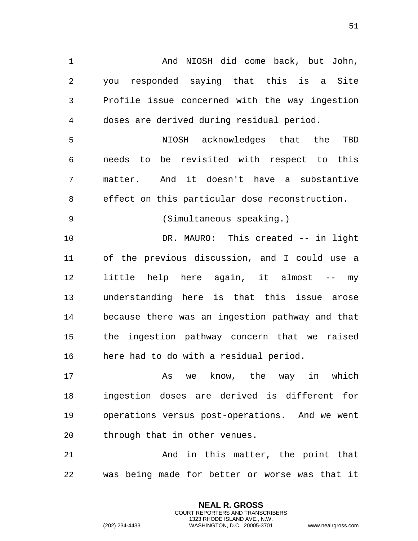And NIOSH did come back, but John, you responded saying that this is a Site Profile issue concerned with the way ingestion doses are derived during residual period. NIOSH acknowledges that the TBD needs to be revisited with respect to this matter. And it doesn't have a substantive effect on this particular dose reconstruction. (Simultaneous speaking.) DR. MAURO: This created -- in light of the previous discussion, and I could use a little help here again, it almost -- my understanding here is that this issue arose because there was an ingestion pathway and that the ingestion pathway concern that we raised here had to do with a residual period. 17 and the May in which has we know, the way in which ingestion doses are derived is different for operations versus post-operations. And we went through that in other venues.

 And in this matter, the point that was being made for better or worse was that it

> **NEAL R. GROSS** COURT REPORTERS AND TRANSCRIBERS 1323 RHODE ISLAND AVE., N.W.

(202) 234-4433 WASHINGTON, D.C. 20005-3701 www.nealrgross.com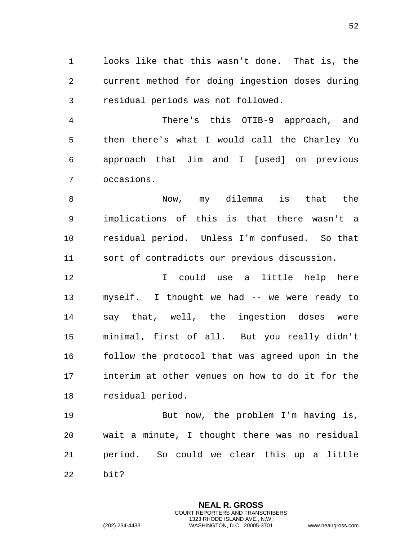looks like that this wasn't done. That is, the current method for doing ingestion doses during residual periods was not followed.

 There's this OTIB-9 approach, and then there's what I would call the Charley Yu approach that Jim and I [used] on previous occasions.

 Now, my dilemma is that the implications of this is that there wasn't a residual period. Unless I'm confused. So that sort of contradicts our previous discussion.

 I could use a little help here myself. I thought we had -- we were ready to say that, well, the ingestion doses were minimal, first of all. But you really didn't follow the protocol that was agreed upon in the interim at other venues on how to do it for the residual period.

19 But now, the problem I'm having is, wait a minute, I thought there was no residual period. So could we clear this up a little bit?

> **NEAL R. GROSS** COURT REPORTERS AND TRANSCRIBERS 1323 RHODE ISLAND AVE., N.W.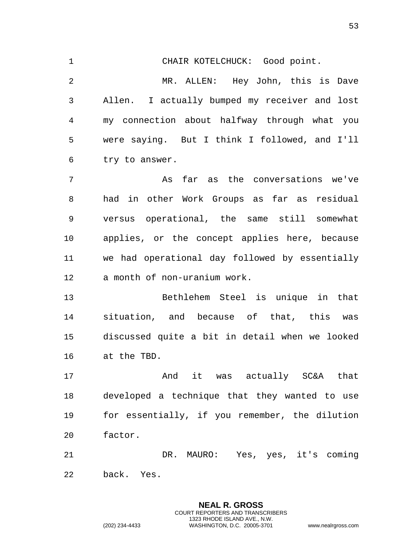CHAIR KOTELCHUCK: Good point. MR. ALLEN: Hey John, this is Dave Allen. I actually bumped my receiver and lost my connection about halfway through what you were saying. But I think I followed, and I'll try to answer. As far as the conversations we've had in other Work Groups as far as residual versus operational, the same still somewhat applies, or the concept applies here, because we had operational day followed by essentially a month of non-uranium work. Bethlehem Steel is unique in that situation, and because of that, this was discussed quite a bit in detail when we looked at the TBD. **And it was actually SC&A that**  developed a technique that they wanted to use for essentially, if you remember, the dilution factor. DR. MAURO: Yes, yes, it's coming back. Yes.

> **NEAL R. GROSS** COURT REPORTERS AND TRANSCRIBERS 1323 RHODE ISLAND AVE., N.W.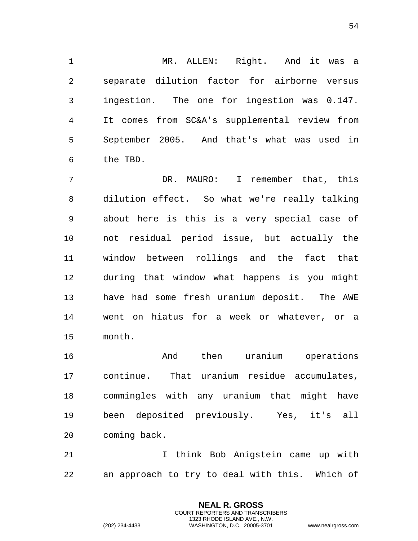MR. ALLEN: Right. And it was a separate dilution factor for airborne versus ingestion. The one for ingestion was 0.147. It comes from SC&A's supplemental review from September 2005. And that's what was used in the TBD.

 DR. MAURO: I remember that, this dilution effect. So what we're really talking about here is this is a very special case of not residual period issue, but actually the window between rollings and the fact that during that window what happens is you might have had some fresh uranium deposit. The AWE went on hiatus for a week or whatever, or a month.

 And then uranium operations continue. That uranium residue accumulates, commingles with any uranium that might have been deposited previously. Yes, it's all coming back.

 I think Bob Anigstein came up with an approach to try to deal with this. Which of

> **NEAL R. GROSS** COURT REPORTERS AND TRANSCRIBERS 1323 RHODE ISLAND AVE., N.W.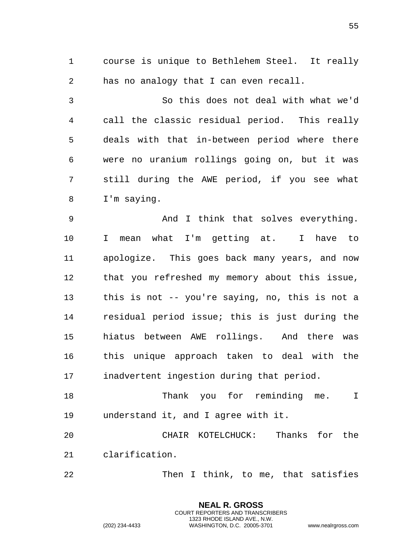course is unique to Bethlehem Steel. It really has no analogy that I can even recall.

 So this does not deal with what we'd call the classic residual period. This really deals with that in-between period where there were no uranium rollings going on, but it was still during the AWE period, if you see what I'm saying.

 And I think that solves everything. I mean what I'm getting at. I have to apologize. This goes back many years, and now that you refreshed my memory about this issue, this is not -- you're saying, no, this is not a residual period issue; this is just during the hiatus between AWE rollings. And there was this unique approach taken to deal with the inadvertent ingestion during that period.

 Thank you for reminding me. I understand it, and I agree with it.

 CHAIR KOTELCHUCK: Thanks for the clarification.

Then I think, to me, that satisfies

**NEAL R. GROSS** COURT REPORTERS AND TRANSCRIBERS 1323 RHODE ISLAND AVE., N.W.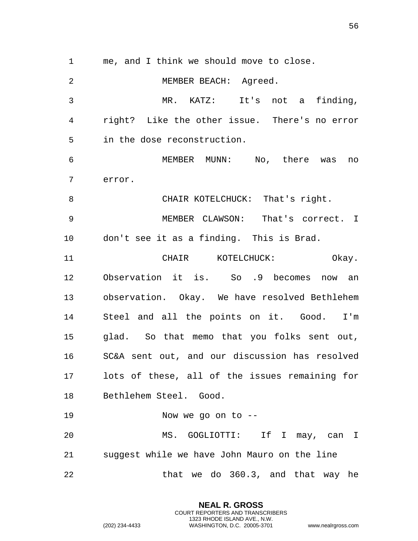me, and I think we should move to close. MEMBER BEACH: Agreed. MR. KATZ: It's not a finding, right? Like the other issue. There's no error in the dose reconstruction. MEMBER MUNN: No, there was no error. 8 CHAIR KOTELCHUCK: That's right. MEMBER CLAWSON: That's correct. I don't see it as a finding. This is Brad. CHAIR KOTELCHUCK: Okay. Observation it is. So .9 becomes now an observation. Okay. We have resolved Bethlehem Steel and all the points on it. Good. I'm glad. So that memo that you folks sent out, SC&A sent out, and our discussion has resolved lots of these, all of the issues remaining for Bethlehem Steel. Good. Now we go on to -- MS. GOGLIOTTI: If I may, can I suggest while we have John Mauro on the line 22 that we do 360.3, and that way he

> **NEAL R. GROSS** COURT REPORTERS AND TRANSCRIBERS 1323 RHODE ISLAND AVE., N.W.

(202) 234-4433 WASHINGTON, D.C. 20005-3701 www.nealrgross.com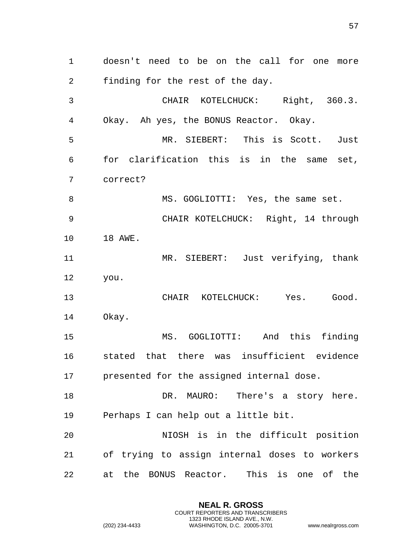doesn't need to be on the call for one more finding for the rest of the day. CHAIR KOTELCHUCK: Right, 360.3. Okay. Ah yes, the BONUS Reactor. Okay. MR. SIEBERT: This is Scott. Just for clarification this is in the same set, correct? 8 MS. GOGLIOTTI: Yes, the same set. CHAIR KOTELCHUCK: Right, 14 through 18 AWE. MR. SIEBERT: Just verifying, thank you. CHAIR KOTELCHUCK: Yes. Good. Okay. MS. GOGLIOTTI: And this finding stated that there was insufficient evidence presented for the assigned internal dose. 18 DR. MAURO: There's a story here. Perhaps I can help out a little bit. NIOSH is in the difficult position of trying to assign internal doses to workers at the BONUS Reactor. This is one of the

> **NEAL R. GROSS** COURT REPORTERS AND TRANSCRIBERS 1323 RHODE ISLAND AVE., N.W.

(202) 234-4433 WASHINGTON, D.C. 20005-3701 www.nealrgross.com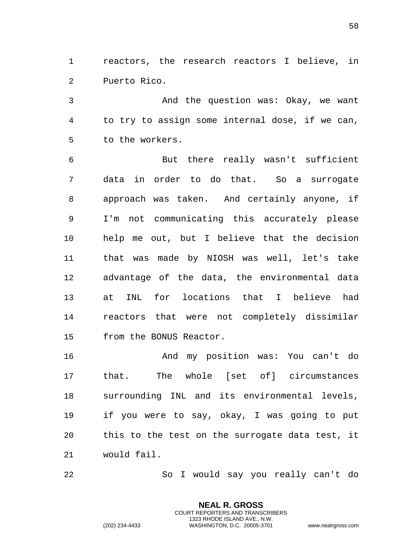reactors, the research reactors I believe, in Puerto Rico.

3 And the question was: Okay, we want to try to assign some internal dose, if we can, to the workers.

 But there really wasn't sufficient data in order to do that. So a surrogate approach was taken. And certainly anyone, if I'm not communicating this accurately please help me out, but I believe that the decision that was made by NIOSH was well, let's take advantage of the data, the environmental data at INL for locations that I believe had reactors that were not completely dissimilar from the BONUS Reactor.

16 And my position was: You can't do that. The whole [set of] circumstances surrounding INL and its environmental levels, if you were to say, okay, I was going to put this to the test on the surrogate data test, it would fail.

So I would say you really can't do

**NEAL R. GROSS** COURT REPORTERS AND TRANSCRIBERS 1323 RHODE ISLAND AVE., N.W.

(202) 234-4433 WASHINGTON, D.C. 20005-3701 www.nealrgross.com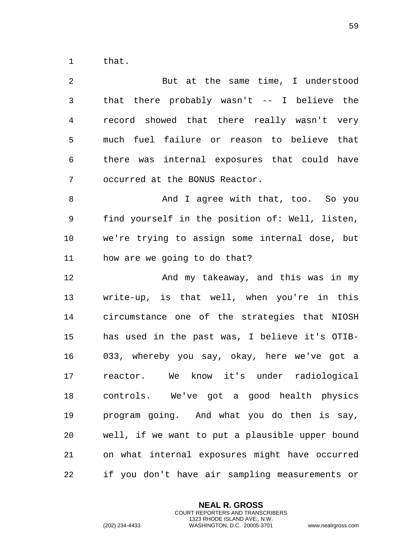that.

| 2  | But at the same time, I understood              |
|----|-------------------------------------------------|
| 3  | that there probably wasn't $-$ - I believe the  |
| 4  | record showed that there really wasn't very     |
| 5  | much fuel failure or reason to believe that     |
| 6  | there was internal exposures that could have    |
| 7  | occurred at the BONUS Reactor.                  |
| 8  | And I agree with that, too. So you              |
| 9  | find yourself in the position of: Well, listen, |
| 10 | we're trying to assign some internal dose, but  |
| 11 | how are we going to do that?                    |
| 12 | And my takeaway, and this was in my             |
| 13 | write-up, is that well, when you're in this     |
| 14 | circumstance one of the strategies that NIOSH   |
| 15 | has used in the past was, I believe it's OTIB-  |
| 16 | 033, whereby you say, okay, here we've got a    |
| 17 | We know it's under radiological<br>reactor.     |
| 18 | controls. We've got a good health physics       |
| 19 | program going. And what you do then is say,     |
| 20 | well, if we want to put a plausible upper bound |
| 21 | on what internal exposures might have occurred  |
| 22 | if you don't have air sampling measurements or  |

**NEAL R. GROSS** COURT REPORTERS AND TRANSCRIBERS 1323 RHODE ISLAND AVE., N.W.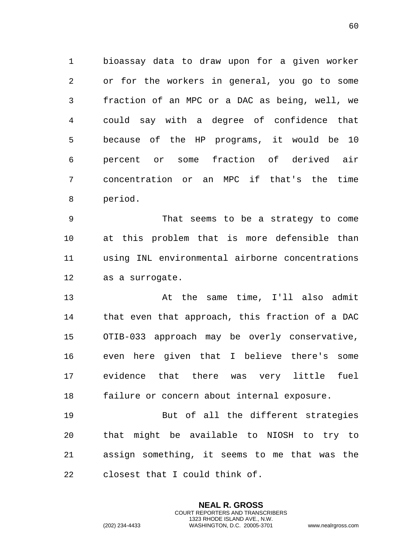bioassay data to draw upon for a given worker or for the workers in general, you go to some fraction of an MPC or a DAC as being, well, we could say with a degree of confidence that because of the HP programs, it would be 10 percent or some fraction of derived air concentration or an MPC if that's the time period.

 That seems to be a strategy to come at this problem that is more defensible than using INL environmental airborne concentrations as a surrogate.

 At the same time, I'll also admit that even that approach, this fraction of a DAC OTIB-033 approach may be overly conservative, even here given that I believe there's some evidence that there was very little fuel failure or concern about internal exposure.

 But of all the different strategies that might be available to NIOSH to try to assign something, it seems to me that was the closest that I could think of.

> **NEAL R. GROSS** COURT REPORTERS AND TRANSCRIBERS 1323 RHODE ISLAND AVE., N.W.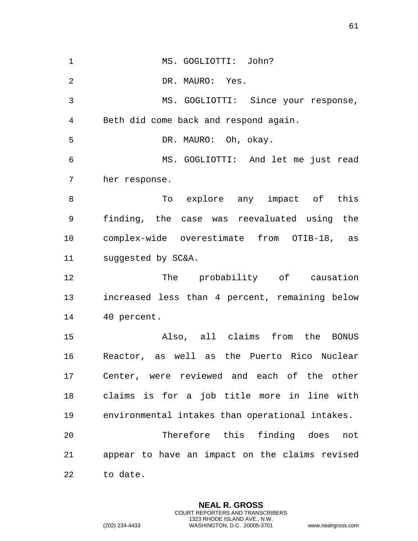MS. GOGLIOTTI: John? DR. MAURO: Yes. MS. GOGLIOTTI: Since your response, Beth did come back and respond again. DR. MAURO: Oh, okay. MS. GOGLIOTTI: And let me just read her response. 8 To explore any impact of this finding, the case was reevaluated using the complex-wide overestimate from OTIB-18, as suggested by SC&A. 12 The probability of causation increased less than 4 percent, remaining below 40 percent. Also, all claims from the BONUS Reactor, as well as the Puerto Rico Nuclear Center, were reviewed and each of the other claims is for a job title more in line with environmental intakes than operational intakes. Therefore this finding does not appear to have an impact on the claims revised to date.

> **NEAL R. GROSS** COURT REPORTERS AND TRANSCRIBERS 1323 RHODE ISLAND AVE., N.W.

(202) 234-4433 WASHINGTON, D.C. 20005-3701 www.nealrgross.com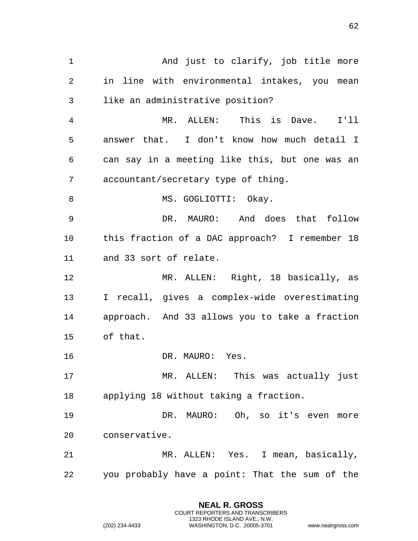1 And just to clarify, job title more in line with environmental intakes, you mean like an administrative position? MR. ALLEN: This is Dave. I'll answer that. I don't know how much detail I can say in a meeting like this, but one was an accountant/secretary type of thing. 8 MS. GOGLIOTTI: Okay. DR. MAURO: And does that follow this fraction of a DAC approach? I remember 18 and 33 sort of relate. MR. ALLEN: Right, 18 basically, as I recall, gives a complex-wide overestimating approach. And 33 allows you to take a fraction of that. 16 DR. MAURO: Yes. MR. ALLEN: This was actually just applying 18 without taking a fraction. DR. MAURO: Oh, so it's even more conservative. MR. ALLEN: Yes. I mean, basically, you probably have a point: That the sum of the

> **NEAL R. GROSS** COURT REPORTERS AND TRANSCRIBERS 1323 RHODE ISLAND AVE., N.W.

(202) 234-4433 WASHINGTON, D.C. 20005-3701 www.nealrgross.com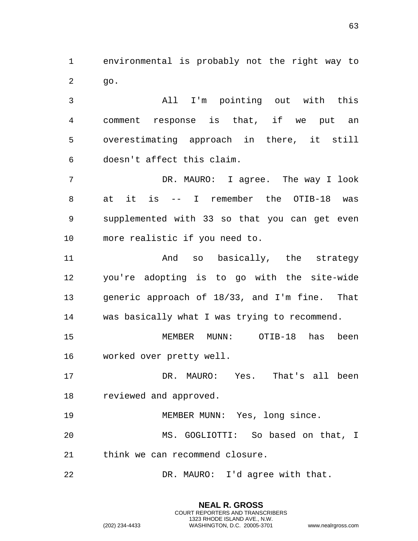environmental is probably not the right way to go.

 All I'm pointing out with this comment response is that, if we put an overestimating approach in there, it still doesn't affect this claim.

 DR. MAURO: I agree. The way I look at it is -- I remember the OTIB-18 was supplemented with 33 so that you can get even more realistic if you need to.

 And so basically, the strategy you're adopting is to go with the site-wide generic approach of 18/33, and I'm fine. That was basically what I was trying to recommend.

 MEMBER MUNN: OTIB-18 has been worked over pretty well.

 DR. MAURO: Yes. That's all been reviewed and approved.

MEMBER MUNN: Yes, long since.

 MS. GOGLIOTTI: So based on that, I think we can recommend closure.

> **NEAL R. GROSS** COURT REPORTERS AND TRANSCRIBERS 1323 RHODE ISLAND AVE., N.W.

DR. MAURO: I'd agree with that.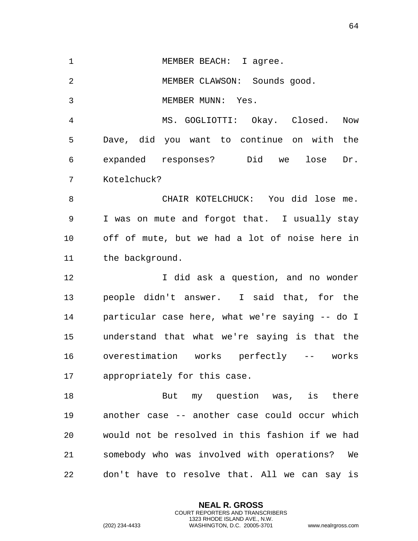1 MEMBER BEACH: I agree.

MEMBER CLAWSON: Sounds good.

MEMBER MUNN: Yes.

 MS. GOGLIOTTI: Okay. Closed. Now Dave, did you want to continue on with the expanded responses? Did we lose Dr. Kotelchuck?

 CHAIR KOTELCHUCK: You did lose me. I was on mute and forgot that. I usually stay off of mute, but we had a lot of noise here in 11 the background.

12 12 I did ask a question, and no wonder people didn't answer. I said that, for the particular case here, what we're saying -- do I understand that what we're saying is that the overestimation works perfectly -- works appropriately for this case.

18 But my question was, is there another case -- another case could occur which would not be resolved in this fashion if we had somebody who was involved with operations? We don't have to resolve that. All we can say is

> **NEAL R. GROSS** COURT REPORTERS AND TRANSCRIBERS 1323 RHODE ISLAND AVE., N.W.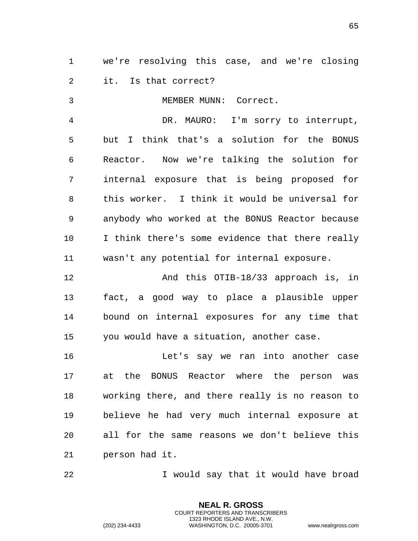we're resolving this case, and we're closing it. Is that correct?

MEMBER MUNN: Correct.

 DR. MAURO: I'm sorry to interrupt, but I think that's a solution for the BONUS Reactor. Now we're talking the solution for internal exposure that is being proposed for this worker. I think it would be universal for anybody who worked at the BONUS Reactor because I think there's some evidence that there really wasn't any potential for internal exposure.

 And this OTIB-18/33 approach is, in fact, a good way to place a plausible upper bound on internal exposures for any time that you would have a situation, another case.

 Let's say we ran into another case at the BONUS Reactor where the person was working there, and there really is no reason to believe he had very much internal exposure at all for the same reasons we don't believe this person had it.

I would say that it would have broad

**NEAL R. GROSS** COURT REPORTERS AND TRANSCRIBERS 1323 RHODE ISLAND AVE., N.W.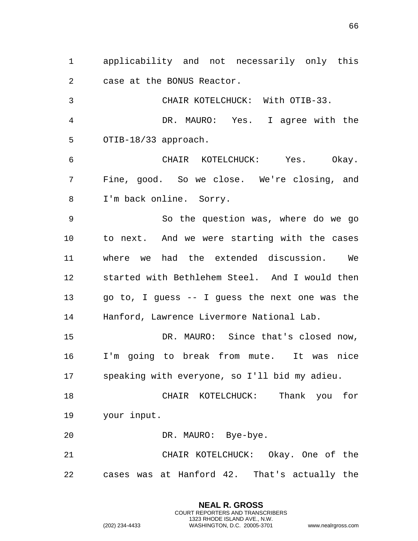applicability and not necessarily only this case at the BONUS Reactor.

 CHAIR KOTELCHUCK: With OTIB-33. DR. MAURO: Yes. I agree with the OTIB-18/33 approach. CHAIR KOTELCHUCK: Yes. Okay. Fine, good. So we close. We're closing, and I'm back online. Sorry. So the question was, where do we go to next. And we were starting with the cases where we had the extended discussion. We started with Bethlehem Steel. And I would then go to, I guess -- I guess the next one was the Hanford, Lawrence Livermore National Lab. DR. MAURO: Since that's closed now, I'm going to break from mute. It was nice speaking with everyone, so I'll bid my adieu.

 CHAIR KOTELCHUCK: Thank you for your input.

DR. MAURO: Bye-bye.

 CHAIR KOTELCHUCK: Okay. One of the cases was at Hanford 42. That's actually the

> **NEAL R. GROSS** COURT REPORTERS AND TRANSCRIBERS 1323 RHODE ISLAND AVE., N.W.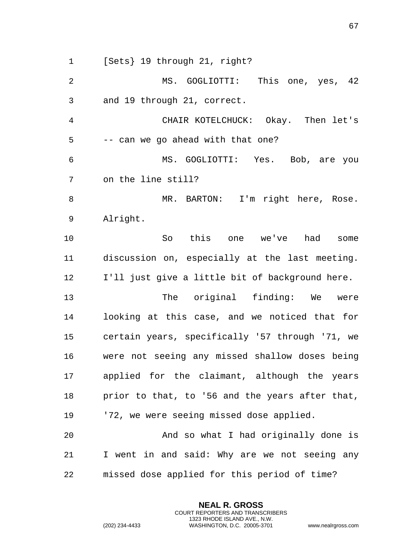[Sets} 19 through 21, right? MS. GOGLIOTTI: This one, yes, 42 and 19 through 21, correct. CHAIR KOTELCHUCK: Okay. Then let's -- can we go ahead with that one? MS. GOGLIOTTI: Yes. Bob, are you on the line still? 8 MR. BARTON: I'm right here, Rose. Alright. So this one we've had some discussion on, especially at the last meeting. I'll just give a little bit of background here. 13 The original finding: We were looking at this case, and we noticed that for certain years, specifically '57 through '71, we were not seeing any missed shallow doses being applied for the claimant, although the years prior to that, to '56 and the years after that, '72, we were seeing missed dose applied. And so what I had originally done is I went in and said: Why are we not seeing any missed dose applied for this period of time?

> **NEAL R. GROSS** COURT REPORTERS AND TRANSCRIBERS 1323 RHODE ISLAND AVE., N.W.

(202) 234-4433 WASHINGTON, D.C. 20005-3701 www.nealrgross.com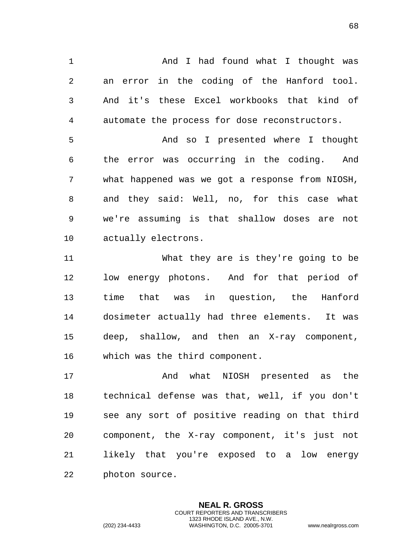1 And I had found what I thought was an error in the coding of the Hanford tool. And it's these Excel workbooks that kind of automate the process for dose reconstructors.

 And so I presented where I thought the error was occurring in the coding. And what happened was we got a response from NIOSH, and they said: Well, no, for this case what we're assuming is that shallow doses are not actually electrons.

 What they are is they're going to be low energy photons. And for that period of time that was in question, the Hanford dosimeter actually had three elements. It was deep, shallow, and then an X-ray component, which was the third component.

 And what NIOSH presented as the technical defense was that, well, if you don't see any sort of positive reading on that third component, the X-ray component, it's just not likely that you're exposed to a low energy photon source.

> **NEAL R. GROSS** COURT REPORTERS AND TRANSCRIBERS 1323 RHODE ISLAND AVE., N.W.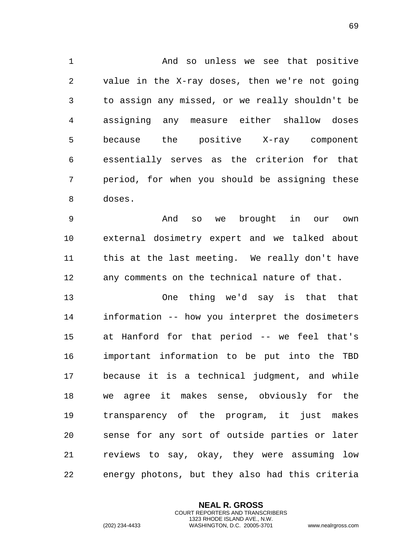And so unless we see that positive value in the X-ray doses, then we're not going to assign any missed, or we really shouldn't be assigning any measure either shallow doses because the positive X-ray component essentially serves as the criterion for that period, for when you should be assigning these doses.

 And so we brought in our own external dosimetry expert and we talked about this at the last meeting. We really don't have any comments on the technical nature of that.

 One thing we'd say is that that information -- how you interpret the dosimeters at Hanford for that period -- we feel that's important information to be put into the TBD because it is a technical judgment, and while we agree it makes sense, obviously for the transparency of the program, it just makes sense for any sort of outside parties or later reviews to say, okay, they were assuming low energy photons, but they also had this criteria

> **NEAL R. GROSS** COURT REPORTERS AND TRANSCRIBERS 1323 RHODE ISLAND AVE., N.W.

(202) 234-4433 WASHINGTON, D.C. 20005-3701 www.nealrgross.com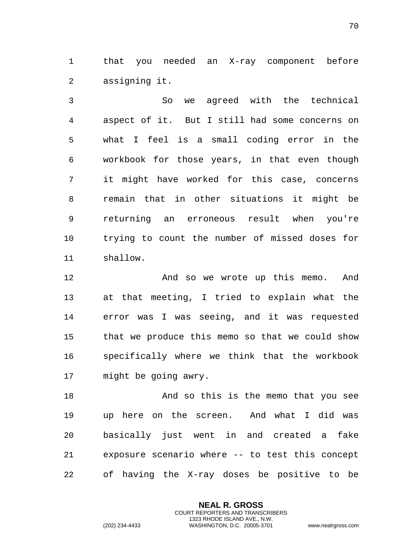that you needed an X-ray component before assigning it.

 So we agreed with the technical aspect of it. But I still had some concerns on what I feel is a small coding error in the workbook for those years, in that even though it might have worked for this case, concerns remain that in other situations it might be returning an erroneous result when you're trying to count the number of missed doses for shallow.

 And so we wrote up this memo. And at that meeting, I tried to explain what the error was I was seeing, and it was requested that we produce this memo so that we could show specifically where we think that the workbook might be going awry.

 And so this is the memo that you see up here on the screen. And what I did was basically just went in and created a fake exposure scenario where -- to test this concept of having the X-ray doses be positive to be

> **NEAL R. GROSS** COURT REPORTERS AND TRANSCRIBERS 1323 RHODE ISLAND AVE., N.W.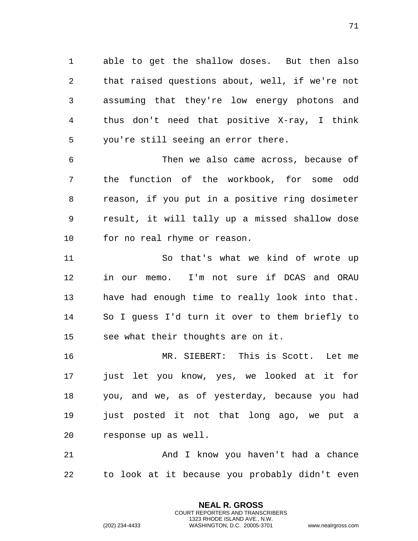able to get the shallow doses. But then also that raised questions about, well, if we're not assuming that they're low energy photons and thus don't need that positive X-ray, I think you're still seeing an error there.

 Then we also came across, because of the function of the workbook, for some odd reason, if you put in a positive ring dosimeter result, it will tally up a missed shallow dose for no real rhyme or reason.

 So that's what we kind of wrote up in our memo. I'm not sure if DCAS and ORAU have had enough time to really look into that. So I guess I'd turn it over to them briefly to see what their thoughts are on it.

 MR. SIEBERT: This is Scott. Let me just let you know, yes, we looked at it for you, and we, as of yesterday, because you had 19 just posted it not that long ago, we put a response up as well.

 And I know you haven't had a chance to look at it because you probably didn't even

> **NEAL R. GROSS** COURT REPORTERS AND TRANSCRIBERS 1323 RHODE ISLAND AVE., N.W.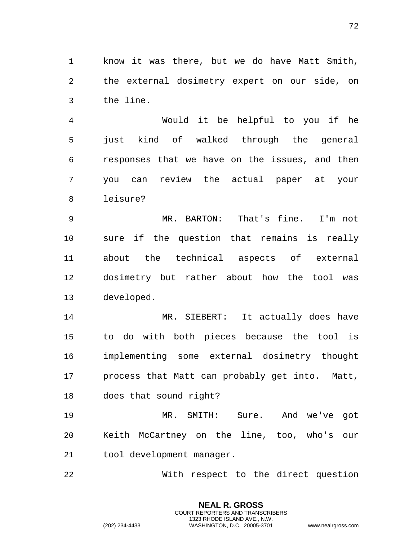know it was there, but we do have Matt Smith, the external dosimetry expert on our side, on the line.

 Would it be helpful to you if he just kind of walked through the general responses that we have on the issues, and then you can review the actual paper at your leisure?

 MR. BARTON: That's fine. I'm not sure if the question that remains is really about the technical aspects of external dosimetry but rather about how the tool was developed.

 MR. SIEBERT: It actually does have to do with both pieces because the tool is implementing some external dosimetry thought process that Matt can probably get into. Matt, does that sound right?

 MR. SMITH: Sure. And we've got Keith McCartney on the line, too, who's our tool development manager.

With respect to the direct question

**NEAL R. GROSS** COURT REPORTERS AND TRANSCRIBERS 1323 RHODE ISLAND AVE., N.W.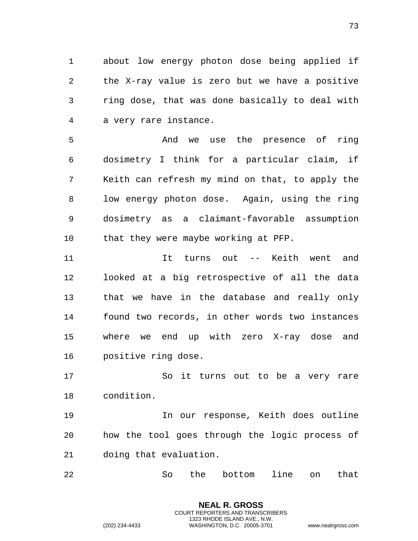about low energy photon dose being applied if the X-ray value is zero but we have a positive ring dose, that was done basically to deal with a very rare instance.

 And we use the presence of ring dosimetry I think for a particular claim, if Keith can refresh my mind on that, to apply the low energy photon dose. Again, using the ring dosimetry as a claimant-favorable assumption 10 that they were maybe working at PFP.

 It turns out -- Keith went and looked at a big retrospective of all the data that we have in the database and really only found two records, in other words two instances where we end up with zero X-ray dose and positive ring dose.

 So it turns out to be a very rare condition.

 In our response, Keith does outline how the tool goes through the logic process of doing that evaluation.

So the bottom line on that

**NEAL R. GROSS** COURT REPORTERS AND TRANSCRIBERS 1323 RHODE ISLAND AVE., N.W.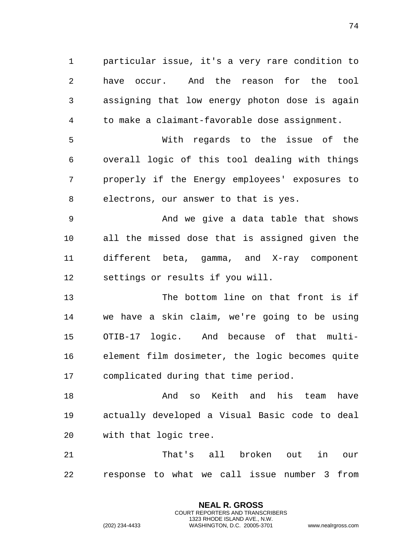particular issue, it's a very rare condition to have occur. And the reason for the tool assigning that low energy photon dose is again to make a claimant-favorable dose assignment.

 With regards to the issue of the overall logic of this tool dealing with things properly if the Energy employees' exposures to electrons, our answer to that is yes.

 And we give a data table that shows all the missed dose that is assigned given the different beta, gamma, and X-ray component settings or results if you will.

 The bottom line on that front is if we have a skin claim, we're going to be using OTIB-17 logic. And because of that multi- element film dosimeter, the logic becomes quite complicated during that time period.

18 And so Keith and his team have actually developed a Visual Basic code to deal with that logic tree.

 That's all broken out in our response to what we call issue number 3 from

> **NEAL R. GROSS** COURT REPORTERS AND TRANSCRIBERS 1323 RHODE ISLAND AVE., N.W.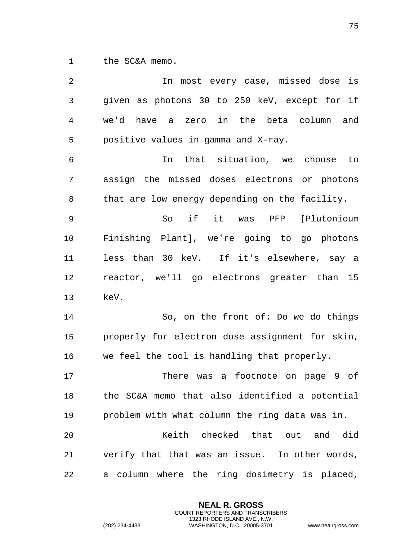the SC&A memo.

| 2              | In most every case, missed dose is              |
|----------------|-------------------------------------------------|
| 3              | given as photons 30 to 250 keV, except for if   |
| $\overline{4}$ | we'd have a zero in the beta column and         |
| 5              | positive values in gamma and X-ray.             |
| 6              | that situation, we choose<br>In<br>to to        |
| 7              | assign the missed doses electrons or photons    |
| 8              | that are low energy depending on the facility.  |
| 9              | So if it was PFP [Plutonioum                    |
| 10             | Finishing Plant], we're going to go photons     |
| 11             | less than 30 keV. If it's elsewhere, say a      |
| 12             | reactor, we'll go electrons greater than 15     |
| 13             | keV.                                            |
| 14             | So, on the front of: Do we do things            |
| 15             | properly for electron dose assignment for skin, |
| 16             | we feel the tool is handling that properly.     |
| 17             | There was a footnote on page 9 of               |
| 18             | the SC&A memo that also identified a potential  |
| 19             | problem with what column the ring data was in.  |
| 20             | Keith checked that out and did                  |
| 21             | verify that that was an issue. In other words,  |
| 22             | a column where the ring dosimetry is placed,    |

**NEAL R. GROSS** COURT REPORTERS AND TRANSCRIBERS 1323 RHODE ISLAND AVE., N.W.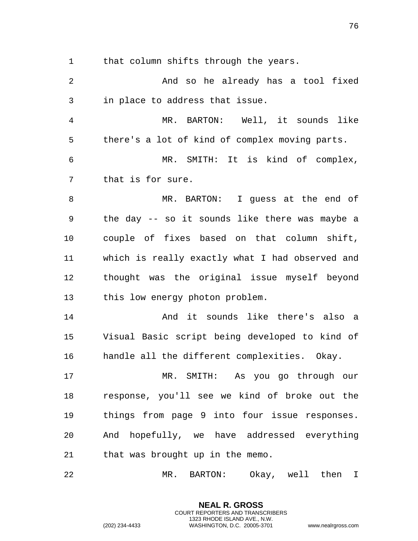that column shifts through the years.

2 And so he already has a tool fixed in place to address that issue. MR. BARTON: Well, it sounds like there's a lot of kind of complex moving parts. MR. SMITH: It is kind of complex, that is for sure. MR. BARTON: I guess at the end of the day -- so it sounds like there was maybe a couple of fixes based on that column shift, which is really exactly what I had observed and thought was the original issue myself beyond this low energy photon problem. And it sounds like there's also a Visual Basic script being developed to kind of handle all the different complexities. Okay. MR. SMITH: As you go through our response, you'll see we kind of broke out the things from page 9 into four issue responses. And hopefully, we have addressed everything that was brought up in the memo. MR. BARTON: Okay, well then I

> **NEAL R. GROSS** COURT REPORTERS AND TRANSCRIBERS 1323 RHODE ISLAND AVE., N.W.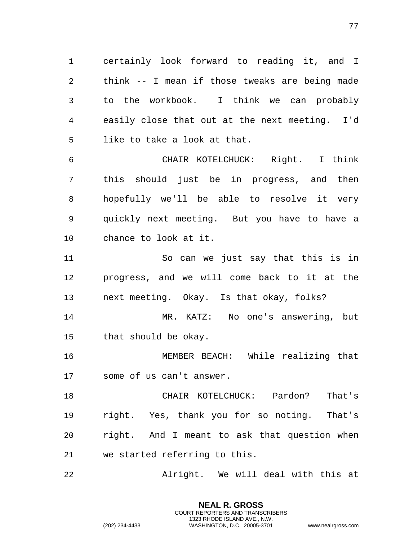certainly look forward to reading it, and I think -- I mean if those tweaks are being made to the workbook. I think we can probably easily close that out at the next meeting. I'd like to take a look at that.

 CHAIR KOTELCHUCK: Right. I think this should just be in progress, and then hopefully we'll be able to resolve it very quickly next meeting. But you have to have a chance to look at it.

 So can we just say that this is in progress, and we will come back to it at the next meeting. Okay. Is that okay, folks?

 MR. KATZ: No one's answering, but that should be okay.

 MEMBER BEACH: While realizing that some of us can't answer.

 CHAIR KOTELCHUCK: Pardon? That's right. Yes, thank you for so noting. That's right. And I meant to ask that question when we started referring to this.

Alright. We will deal with this at

**NEAL R. GROSS** COURT REPORTERS AND TRANSCRIBERS 1323 RHODE ISLAND AVE., N.W.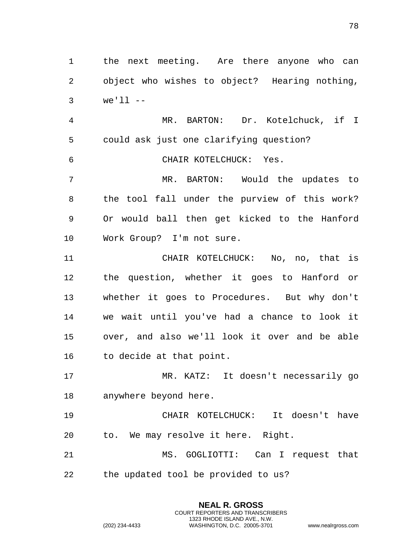the next meeting. Are there anyone who can object who wishes to object? Hearing nothing, we'll --

 MR. BARTON: Dr. Kotelchuck, if I could ask just one clarifying question?

CHAIR KOTELCHUCK: Yes.

 MR. BARTON: Would the updates to the tool fall under the purview of this work? Or would ball then get kicked to the Hanford Work Group? I'm not sure.

 CHAIR KOTELCHUCK: No, no, that is the question, whether it goes to Hanford or whether it goes to Procedures. But why don't we wait until you've had a chance to look it over, and also we'll look it over and be able to decide at that point.

 MR. KATZ: It doesn't necessarily go anywhere beyond here.

 CHAIR KOTELCHUCK: It doesn't have to. We may resolve it here. Right.

 MS. GOGLIOTTI: Can I request that the updated tool be provided to us?

> **NEAL R. GROSS** COURT REPORTERS AND TRANSCRIBERS 1323 RHODE ISLAND AVE., N.W.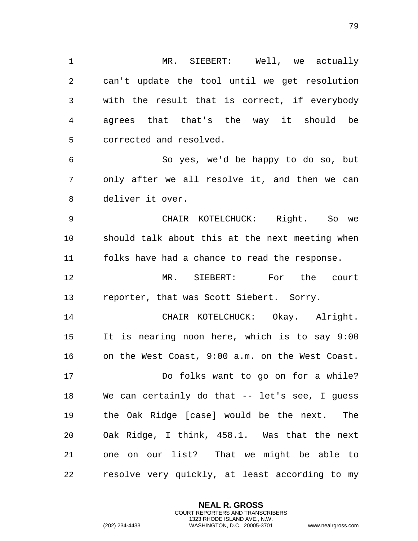MR. SIEBERT: Well, we actually can't update the tool until we get resolution with the result that is correct, if everybody agrees that that's the way it should be corrected and resolved.

 So yes, we'd be happy to do so, but only after we all resolve it, and then we can deliver it over.

 CHAIR KOTELCHUCK: Right. So we should talk about this at the next meeting when folks have had a chance to read the response.

 MR. SIEBERT: For the court reporter, that was Scott Siebert. Sorry.

 CHAIR KOTELCHUCK: Okay. Alright. It is nearing noon here, which is to say 9:00 on the West Coast, 9:00 a.m. on the West Coast. Do folks want to go on for a while? We can certainly do that -- let's see, I guess the Oak Ridge [case] would be the next. The Oak Ridge, I think, 458.1. Was that the next one on our list? That we might be able to resolve very quickly, at least according to my

> **NEAL R. GROSS** COURT REPORTERS AND TRANSCRIBERS 1323 RHODE ISLAND AVE., N.W.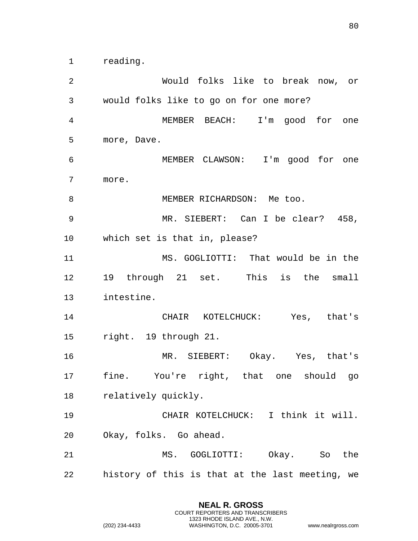reading.

 Would folks like to break now, or would folks like to go on for one more? MEMBER BEACH: I'm good for one more, Dave. MEMBER CLAWSON: I'm good for one more. 8 MEMBER RICHARDSON: Me too. MR. SIEBERT: Can I be clear? 458, which set is that in, please? MS. GOGLIOTTI: That would be in the 19 through 21 set. This is the small intestine. CHAIR KOTELCHUCK: Yes, that's right. 19 through 21. MR. SIEBERT: Okay. Yes, that's fine. You're right, that one should go relatively quickly. CHAIR KOTELCHUCK: I think it will. Okay, folks. Go ahead. MS. GOGLIOTTI: Okay. So the history of this is that at the last meeting, we

> **NEAL R. GROSS** COURT REPORTERS AND TRANSCRIBERS 1323 RHODE ISLAND AVE., N.W.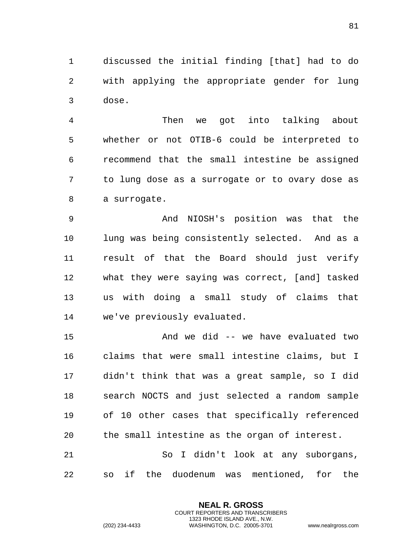discussed the initial finding [that] had to do with applying the appropriate gender for lung dose.

 Then we got into talking about whether or not OTIB-6 could be interpreted to recommend that the small intestine be assigned to lung dose as a surrogate or to ovary dose as a surrogate.

 And NIOSH's position was that the lung was being consistently selected. And as a result of that the Board should just verify what they were saying was correct, [and] tasked us with doing a small study of claims that we've previously evaluated.

 And we did -- we have evaluated two claims that were small intestine claims, but I didn't think that was a great sample, so I did search NOCTS and just selected a random sample of 10 other cases that specifically referenced the small intestine as the organ of interest. So I didn't look at any suborgans, so if the duodenum was mentioned, for the

> **NEAL R. GROSS** COURT REPORTERS AND TRANSCRIBERS 1323 RHODE ISLAND AVE., N.W.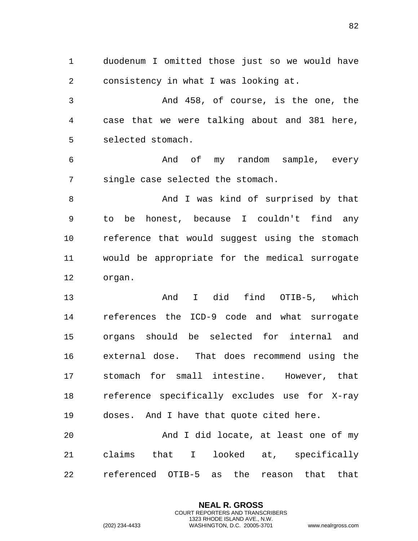duodenum I omitted those just so we would have consistency in what I was looking at. And 458, of course, is the one, the case that we were talking about and 381 here, selected stomach. And of my random sample, every single case selected the stomach. 8 And I was kind of surprised by that to be honest, because I couldn't find any reference that would suggest using the stomach would be appropriate for the medical surrogate organ. And I did find OTIB-5, which references the ICD-9 code and what surrogate organs should be selected for internal and external dose. That does recommend using the stomach for small intestine. However, that reference specifically excludes use for X-ray doses. And I have that quote cited here. And I did locate, at least one of my claims that I looked at, specifically referenced OTIB-5 as the reason that that

> **NEAL R. GROSS** COURT REPORTERS AND TRANSCRIBERS 1323 RHODE ISLAND AVE., N.W.

(202) 234-4433 WASHINGTON, D.C. 20005-3701 www.nealrgross.com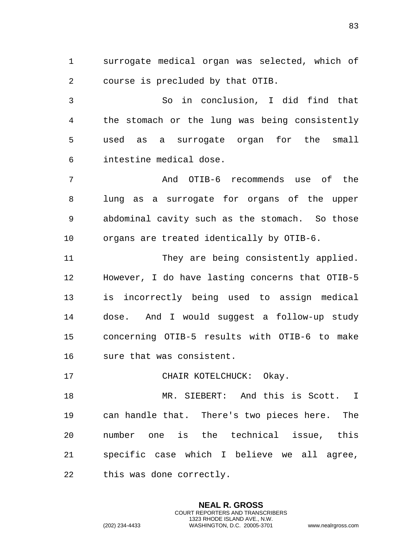surrogate medical organ was selected, which of course is precluded by that OTIB.

 So in conclusion, I did find that the stomach or the lung was being consistently used as a surrogate organ for the small intestine medical dose.

 And OTIB-6 recommends use of the lung as a surrogate for organs of the upper abdominal cavity such as the stomach. So those organs are treated identically by OTIB-6.

11 They are being consistently applied. However, I do have lasting concerns that OTIB-5 is incorrectly being used to assign medical dose. And I would suggest a follow-up study concerning OTIB-5 results with OTIB-6 to make sure that was consistent.

17 CHAIR KOTELCHUCK: Okay.

 MR. SIEBERT: And this is Scott. I can handle that. There's two pieces here. The number one is the technical issue, this specific case which I believe we all agree, this was done correctly.

> **NEAL R. GROSS** COURT REPORTERS AND TRANSCRIBERS 1323 RHODE ISLAND AVE., N.W.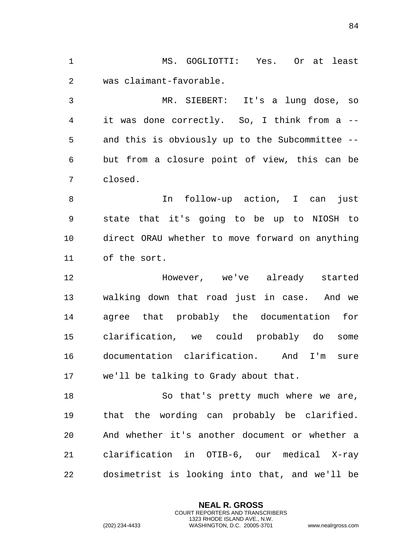MS. GOGLIOTTI: Yes. Or at least was claimant-favorable. MR. SIEBERT: It's a lung dose, so it was done correctly. So, I think from a -- and this is obviously up to the Subcommittee -- but from a closure point of view, this can be closed. In follow-up action, I can just state that it's going to be up to NIOSH to direct ORAU whether to move forward on anything of the sort. However, we've already started walking down that road just in case. And we agree that probably the documentation for clarification, we could probably do some documentation clarification. And I'm sure we'll be talking to Grady about that. So that's pretty much where we are, that the wording can probably be clarified. And whether it's another document or whether a clarification in OTIB-6, our medical X-ray dosimetrist is looking into that, and we'll be

> **NEAL R. GROSS** COURT REPORTERS AND TRANSCRIBERS 1323 RHODE ISLAND AVE., N.W.

(202) 234-4433 WASHINGTON, D.C. 20005-3701 www.nealrgross.com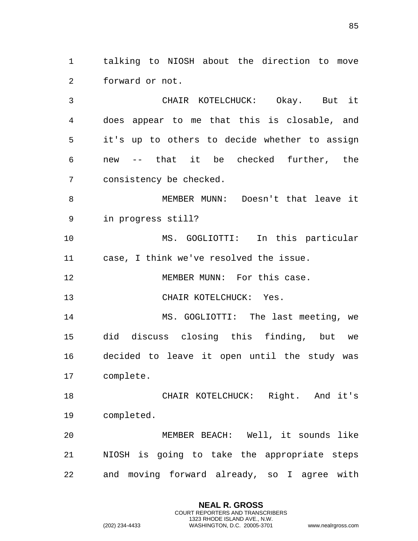talking to NIOSH about the direction to move forward or not.

 CHAIR KOTELCHUCK: Okay. But it does appear to me that this is closable, and it's up to others to decide whether to assign new -- that it be checked further, the consistency be checked.

 MEMBER MUNN: Doesn't that leave it in progress still?

 MS. GOGLIOTTI: In this particular case, I think we've resolved the issue.

12 MEMBER MUNN: For this case.

CHAIR KOTELCHUCK: Yes.

14 MS. GOGLIOTTI: The last meeting, we did discuss closing this finding, but we decided to leave it open until the study was complete.

 CHAIR KOTELCHUCK: Right. And it's completed.

 MEMBER BEACH: Well, it sounds like NIOSH is going to take the appropriate steps and moving forward already, so I agree with

> **NEAL R. GROSS** COURT REPORTERS AND TRANSCRIBERS 1323 RHODE ISLAND AVE., N.W.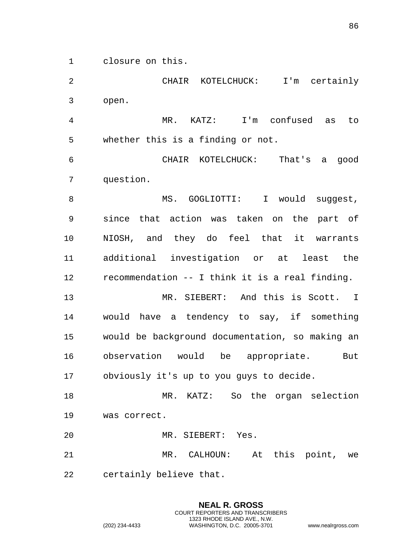closure on this.

 CHAIR KOTELCHUCK: I'm certainly open.

 MR. KATZ: I'm confused as to whether this is a finding or not.

 CHAIR KOTELCHUCK: That's a good question.

8 MS. GOGLIOTTI: I would suggest, since that action was taken on the part of NIOSH, and they do feel that it warrants additional investigation or at least the recommendation -- I think it is a real finding.

 MR. SIEBERT: And this is Scott. I would have a tendency to say, if something would be background documentation, so making an observation would be appropriate. But obviously it's up to you guys to decide.

 MR. KATZ: So the organ selection was correct.

MR. SIEBERT: Yes.

 MR. CALHOUN: At this point, we certainly believe that.

> **NEAL R. GROSS** COURT REPORTERS AND TRANSCRIBERS 1323 RHODE ISLAND AVE., N.W.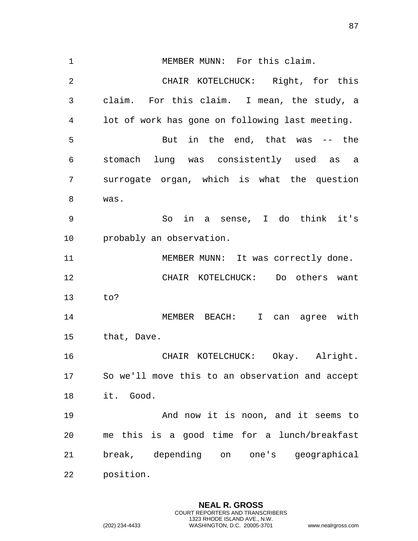MEMBER MUNN: For this claim. CHAIR KOTELCHUCK: Right, for this claim. For this claim. I mean, the study, a lot of work has gone on following last meeting. But in the end, that was -- the stomach lung was consistently used as a surrogate organ, which is what the question was. So in a sense, I do think it's probably an observation. MEMBER MUNN: It was correctly done. CHAIR KOTELCHUCK: Do others want to? 14 MEMBER BEACH: I can agree with that, Dave. CHAIR KOTELCHUCK: Okay. Alright. So we'll move this to an observation and accept it. Good. And now it is noon, and it seems to me this is a good time for a lunch/breakfast break, depending on one's geographical position.

> **NEAL R. GROSS** COURT REPORTERS AND TRANSCRIBERS 1323 RHODE ISLAND AVE., N.W.

(202) 234-4433 WASHINGTON, D.C. 20005-3701 www.nealrgross.com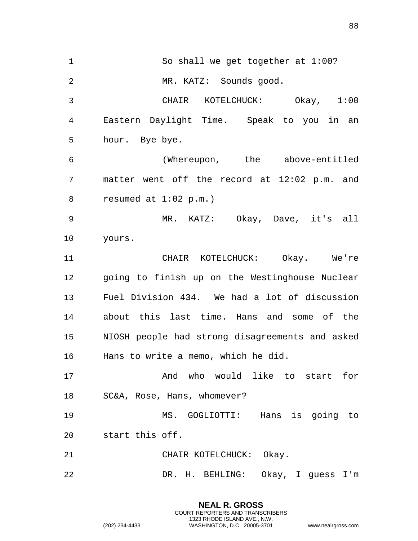So shall we get together at 1:00? MR. KATZ: Sounds good. CHAIR KOTELCHUCK: Okay, 1:00 Eastern Daylight Time. Speak to you in an hour. Bye bye. (Whereupon, the above-entitled matter went off the record at 12:02 p.m. and resumed at 1:02 p.m.) MR. KATZ: Okay, Dave, it's all yours. CHAIR KOTELCHUCK: Okay. We're going to finish up on the Westinghouse Nuclear Fuel Division 434. We had a lot of discussion about this last time. Hans and some of the NIOSH people had strong disagreements and asked Hans to write a memo, which he did. And who would like to start for SC&A, Rose, Hans, whomever? MS. GOGLIOTTI: Hans is going to start this off. 21 CHAIR KOTELCHUCK: Okay. DR. H. BEHLING: Okay, I guess I'm

> **NEAL R. GROSS** COURT REPORTERS AND TRANSCRIBERS 1323 RHODE ISLAND AVE., N.W.

(202) 234-4433 WASHINGTON, D.C. 20005-3701 www.nealrgross.com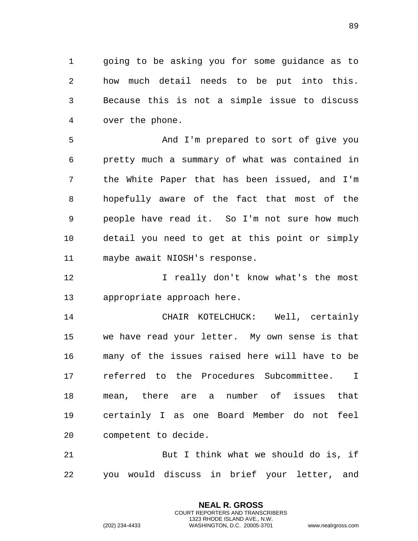going to be asking you for some guidance as to how much detail needs to be put into this. Because this is not a simple issue to discuss over the phone.

 And I'm prepared to sort of give you pretty much a summary of what was contained in the White Paper that has been issued, and I'm hopefully aware of the fact that most of the people have read it. So I'm not sure how much detail you need to get at this point or simply maybe await NIOSH's response.

**I** really don't know what's the most appropriate approach here.

 CHAIR KOTELCHUCK: Well, certainly we have read your letter. My own sense is that many of the issues raised here will have to be referred to the Procedures Subcommittee. I mean, there are a number of issues that certainly I as one Board Member do not feel competent to decide.

 But I think what we should do is, if you would discuss in brief your letter, and

> **NEAL R. GROSS** COURT REPORTERS AND TRANSCRIBERS 1323 RHODE ISLAND AVE., N.W.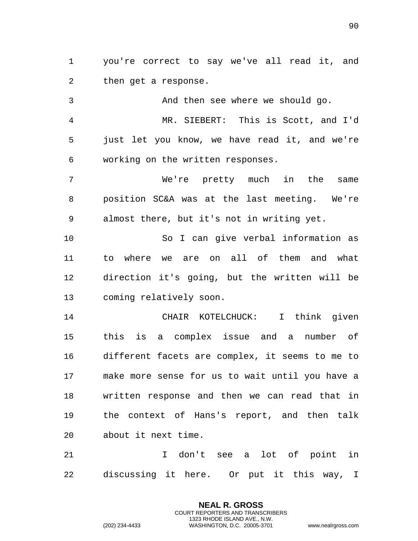you're correct to say we've all read it, and then get a response.

 And then see where we should go. MR. SIEBERT: This is Scott, and I'd just let you know, we have read it, and we're working on the written responses. We're pretty much in the same position SC&A was at the last meeting. We're almost there, but it's not in writing yet.

 So I can give verbal information as to where we are on all of them and what direction it's going, but the written will be coming relatively soon.

 CHAIR KOTELCHUCK: I think given this is a complex issue and a number of different facets are complex, it seems to me to make more sense for us to wait until you have a written response and then we can read that in the context of Hans's report, and then talk about it next time.

 I don't see a lot of point in discussing it here. Or put it this way, I

> **NEAL R. GROSS** COURT REPORTERS AND TRANSCRIBERS 1323 RHODE ISLAND AVE., N.W.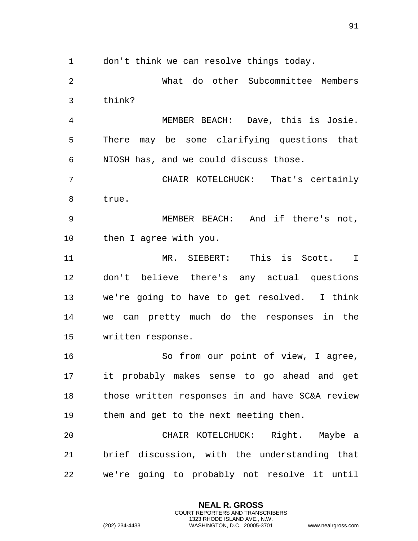don't think we can resolve things today.

 What do other Subcommittee Members think?

 MEMBER BEACH: Dave, this is Josie. There may be some clarifying questions that NIOSH has, and we could discuss those.

 CHAIR KOTELCHUCK: That's certainly true.

 MEMBER BEACH: And if there's not, then I agree with you.

 MR. SIEBERT: This is Scott. I don't believe there's any actual questions we're going to have to get resolved. I think we can pretty much do the responses in the written response.

 So from our point of view, I agree, it probably makes sense to go ahead and get those written responses in and have SC&A review them and get to the next meeting then.

 CHAIR KOTELCHUCK: Right. Maybe a brief discussion, with the understanding that we're going to probably not resolve it until

> **NEAL R. GROSS** COURT REPORTERS AND TRANSCRIBERS 1323 RHODE ISLAND AVE., N.W.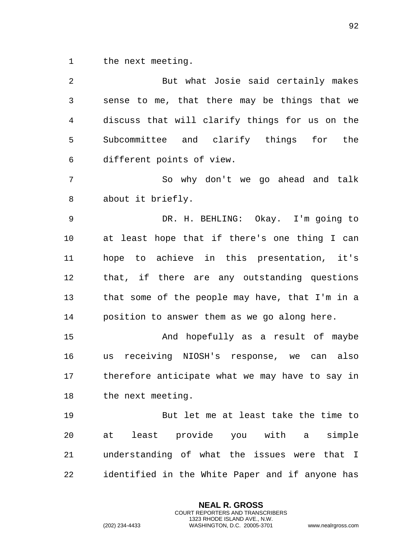the next meeting.

| 2  | But what Josie said certainly makes             |
|----|-------------------------------------------------|
| 3  | sense to me, that there may be things that we   |
| 4  | discuss that will clarify things for us on the  |
| 5  | Subcommittee and clarify things for the         |
| 6  | different points of view.                       |
| 7  | So why don't we go ahead and talk               |
| 8  | about it briefly.                               |
| 9  | DR. H. BEHLING: Okay. I'm going to              |
| 10 | at least hope that if there's one thing I can   |
| 11 | hope to achieve in this presentation, it's      |
| 12 | that, if there are any outstanding questions    |
| 13 | that some of the people may have, that I'm in a |
| 14 | position to answer them as we go along here.    |
| 15 | And hopefully as a result of maybe              |
| 16 | us receiving NIOSH's response, we can also      |
| 17 | therefore anticipate what we may have to say in |
| 18 | the next meeting.                               |
| 19 | But let me at least take the time to            |
| 20 | at least provide you with a simple              |
| 21 | understanding of what the issues were that I    |
| 22 | identified in the White Paper and if anyone has |

**NEAL R. GROSS** COURT REPORTERS AND TRANSCRIBERS 1323 RHODE ISLAND AVE., N.W.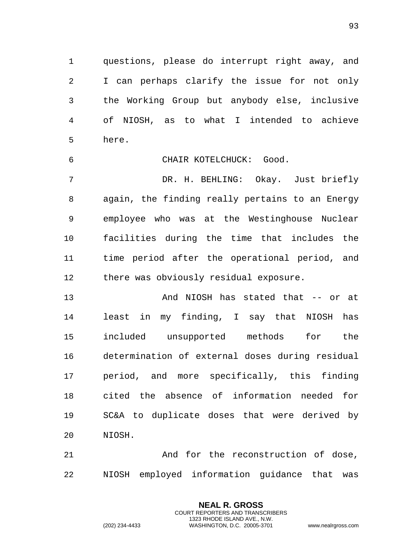questions, please do interrupt right away, and I can perhaps clarify the issue for not only the Working Group but anybody else, inclusive of NIOSH, as to what I intended to achieve here.

CHAIR KOTELCHUCK: Good.

 DR. H. BEHLING: Okay. Just briefly again, the finding really pertains to an Energy employee who was at the Westinghouse Nuclear facilities during the time that includes the time period after the operational period, and there was obviously residual exposure.

 And NIOSH has stated that -- or at least in my finding, I say that NIOSH has included unsupported methods for the determination of external doses during residual period, and more specifically, this finding cited the absence of information needed for SC&A to duplicate doses that were derived by NIOSH.

 And for the reconstruction of dose, NIOSH employed information guidance that was

> **NEAL R. GROSS** COURT REPORTERS AND TRANSCRIBERS 1323 RHODE ISLAND AVE., N.W.

(202) 234-4433 WASHINGTON, D.C. 20005-3701 www.nealrgross.com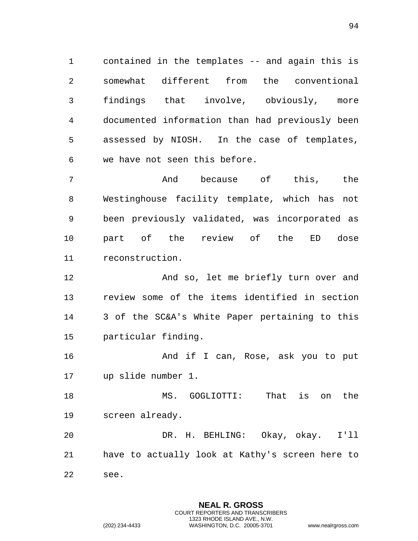contained in the templates -- and again this is somewhat different from the conventional findings that involve, obviously, more documented information than had previously been assessed by NIOSH. In the case of templates, we have not seen this before.

 And because of this, the Westinghouse facility template, which has not been previously validated, was incorporated as part of the review of the ED dose reconstruction.

12 And so, let me briefly turn over and review some of the items identified in section 3 of the SC&A's White Paper pertaining to this particular finding.

16 And if I can, Rose, ask you to put up slide number 1.

 MS. GOGLIOTTI: That is on the screen already.

 DR. H. BEHLING: Okay, okay. I'll have to actually look at Kathy's screen here to see.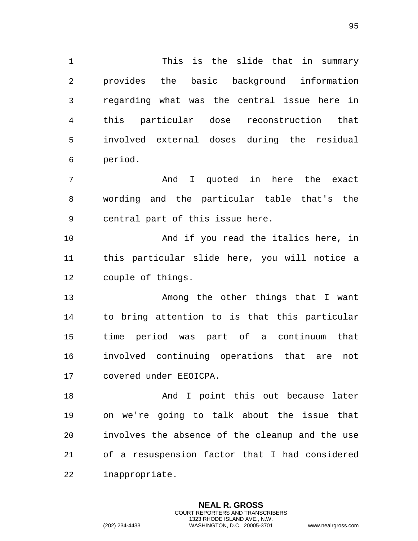This is the slide that in summary provides the basic background information regarding what was the central issue here in this particular dose reconstruction that involved external doses during the residual period.

 And I quoted in here the exact wording and the particular table that's the central part of this issue here.

 And if you read the italics here, in this particular slide here, you will notice a couple of things.

 Among the other things that I want to bring attention to is that this particular time period was part of a continuum that involved continuing operations that are not covered under EEOICPA.

18 And I point this out because later on we're going to talk about the issue that involves the absence of the cleanup and the use of a resuspension factor that I had considered inappropriate.

> **NEAL R. GROSS** COURT REPORTERS AND TRANSCRIBERS 1323 RHODE ISLAND AVE., N.W.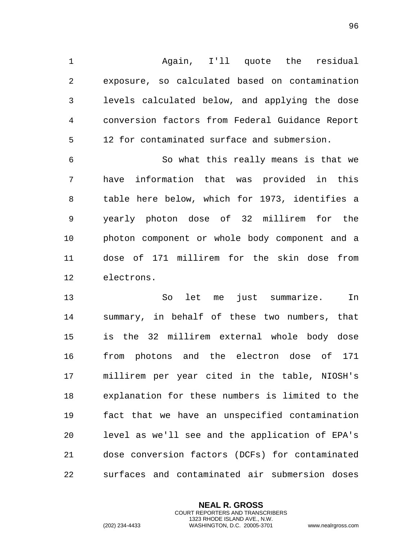Again, I'll quote the residual exposure, so calculated based on contamination levels calculated below, and applying the dose conversion factors from Federal Guidance Report 12 for contaminated surface and submersion.

 So what this really means is that we have information that was provided in this table here below, which for 1973, identifies a yearly photon dose of 32 millirem for the photon component or whole body component and a dose of 171 millirem for the skin dose from electrons.

 So let me just summarize. In summary, in behalf of these two numbers, that is the 32 millirem external whole body dose from photons and the electron dose of 171 millirem per year cited in the table, NIOSH's explanation for these numbers is limited to the fact that we have an unspecified contamination level as we'll see and the application of EPA's dose conversion factors (DCFs) for contaminated surfaces and contaminated air submersion doses

> **NEAL R. GROSS** COURT REPORTERS AND TRANSCRIBERS 1323 RHODE ISLAND AVE., N.W.

(202) 234-4433 WASHINGTON, D.C. 20005-3701 www.nealrgross.com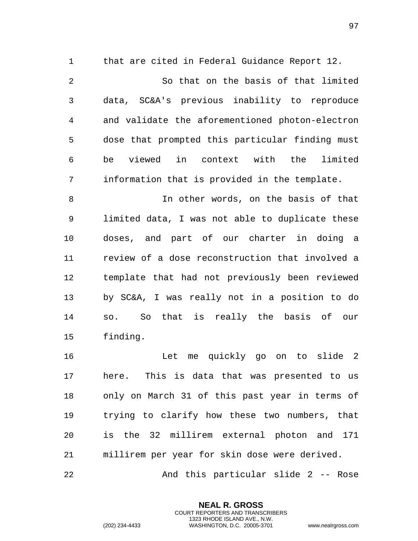that are cited in Federal Guidance Report 12. So that on the basis of that limited data, SC&A's previous inability to reproduce and validate the aforementioned photon-electron dose that prompted this particular finding must be viewed in context with the limited information that is provided in the template. In other words, on the basis of that limited data, I was not able to duplicate these doses, and part of our charter in doing a review of a dose reconstruction that involved a template that had not previously been reviewed

 by SC&A, I was really not in a position to do so. So that is really the basis of our finding.

 Let me quickly go on to slide 2 here. This is data that was presented to us only on March 31 of this past year in terms of trying to clarify how these two numbers, that is the 32 millirem external photon and 171 millirem per year for skin dose were derived. And this particular slide 2 -- Rose

> **NEAL R. GROSS** COURT REPORTERS AND TRANSCRIBERS 1323 RHODE ISLAND AVE., N.W.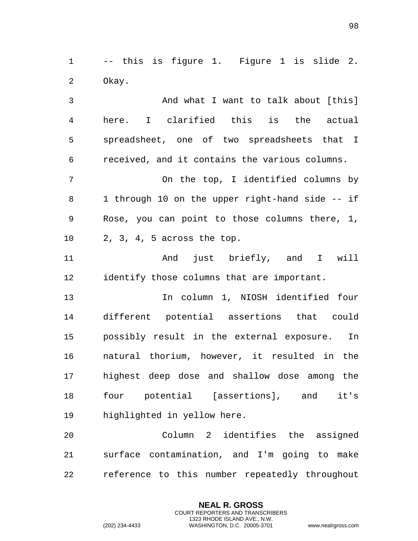-- this is figure 1. Figure 1 is slide 2. Okay.

 And what I want to talk about [this] here. I clarified this is the actual spreadsheet, one of two spreadsheets that I received, and it contains the various columns. On the top, I identified columns by 8 1 through 10 on the upper right-hand side -- if Rose, you can point to those columns there, 1, 2, 3, 4, 5 across the top. And just briefly, and I will

identify those columns that are important.

 In column 1, NIOSH identified four different potential assertions that could possibly result in the external exposure. In natural thorium, however, it resulted in the highest deep dose and shallow dose among the four potential [assertions], and it's highlighted in yellow here.

 Column 2 identifies the assigned surface contamination, and I'm going to make reference to this number repeatedly throughout

> **NEAL R. GROSS** COURT REPORTERS AND TRANSCRIBERS 1323 RHODE ISLAND AVE., N.W.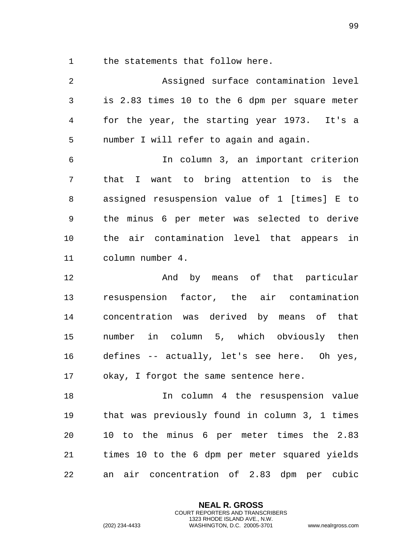the statements that follow here.

| $\overline{2}$ | Assigned surface contamination level           |
|----------------|------------------------------------------------|
| $\mathfrak{Z}$ | is 2.83 times 10 to the 6 dpm per square meter |
| 4              | for the year, the starting year 1973. It's a   |
| 5              | number I will refer to again and again.        |
| 6              | In column 3, an important criterion            |
| 7              | that I want to bring attention to is the       |
| 8              | assigned resuspension value of 1 [times] E to  |
| 9              | the minus 6 per meter was selected to derive   |
| 10             | the air contamination level that appears in    |
| 11             | column number 4.                               |
| 12             | And by means of that particular                |
| 13             | resuspension factor, the air contamination     |
| 14             | concentration was derived by means of that     |
| 15             | number in column 5, which obviously then       |
| 16             | defines -- actually, let's see here. Oh yes,   |
| 17             | okay, I forgot the same sentence here.         |
| 18             | In column 4 the resuspension value             |
| 19             | that was previously found in column 3, 1 times |
| 20             | 10 to the minus 6 per meter times the 2.83     |
| 21             | times 10 to the 6 dpm per meter squared yields |
| 22             | air concentration of 2.83 dpm per cubic<br>an  |

**NEAL R. GROSS** COURT REPORTERS AND TRANSCRIBERS 1323 RHODE ISLAND AVE., N.W.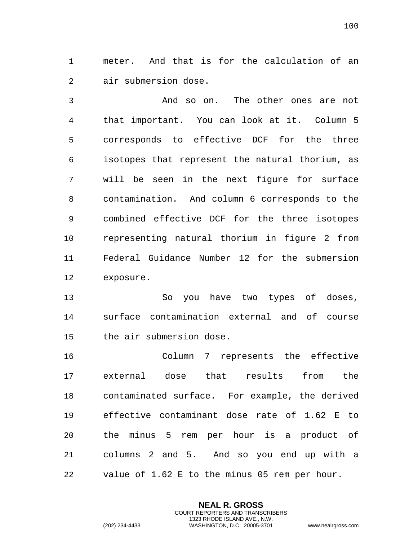meter. And that is for the calculation of an air submersion dose.

 And so on. The other ones are not that important. You can look at it. Column 5 corresponds to effective DCF for the three isotopes that represent the natural thorium, as will be seen in the next figure for surface contamination. And column 6 corresponds to the combined effective DCF for the three isotopes representing natural thorium in figure 2 from Federal Guidance Number 12 for the submersion exposure.

 So you have two types of doses, surface contamination external and of course the air submersion dose.

 Column 7 represents the effective external dose that results from the contaminated surface. For example, the derived effective contaminant dose rate of 1.62 E to the minus 5 rem per hour is a product of columns 2 and 5. And so you end up with a value of 1.62 E to the minus 05 rem per hour.

> **NEAL R. GROSS** COURT REPORTERS AND TRANSCRIBERS 1323 RHODE ISLAND AVE., N.W.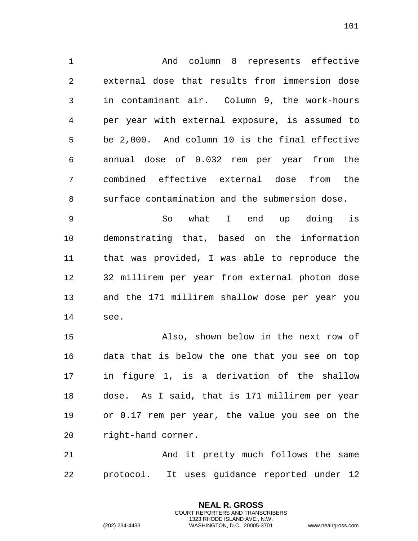And column 8 represents effective external dose that results from immersion dose in contaminant air. Column 9, the work-hours per year with external exposure, is assumed to be 2,000. And column 10 is the final effective annual dose of 0.032 rem per year from the combined effective external dose from the surface contamination and the submersion dose.

 So what I end up doing is demonstrating that, based on the information that was provided, I was able to reproduce the 32 millirem per year from external photon dose and the 171 millirem shallow dose per year you see.

 Also, shown below in the next row of data that is below the one that you see on top in figure 1, is a derivation of the shallow dose. As I said, that is 171 millirem per year or 0.17 rem per year, the value you see on the right-hand corner.

 And it pretty much follows the same protocol. It uses guidance reported under 12

> **NEAL R. GROSS** COURT REPORTERS AND TRANSCRIBERS 1323 RHODE ISLAND AVE., N.W.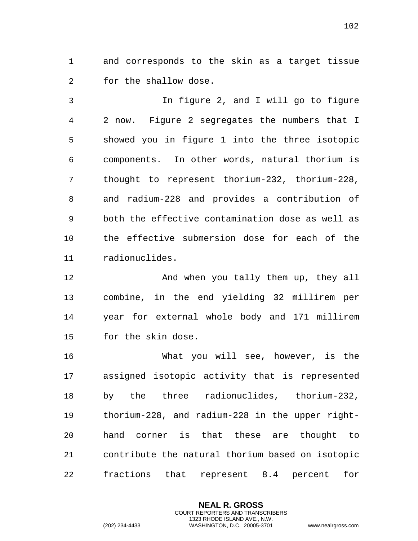and corresponds to the skin as a target tissue for the shallow dose.

 In figure 2, and I will go to figure 2 now. Figure 2 segregates the numbers that I showed you in figure 1 into the three isotopic components. In other words, natural thorium is thought to represent thorium-232, thorium-228, and radium-228 and provides a contribution of both the effective contamination dose as well as the effective submersion dose for each of the radionuclides.

12 And when you tally them up, they all combine, in the end yielding 32 millirem per year for external whole body and 171 millirem for the skin dose.

 What you will see, however, is the assigned isotopic activity that is represented by the three radionuclides, thorium-232, thorium-228, and radium-228 in the upper right- hand corner is that these are thought to contribute the natural thorium based on isotopic fractions that represent 8.4 percent for

> **NEAL R. GROSS** COURT REPORTERS AND TRANSCRIBERS 1323 RHODE ISLAND AVE., N.W.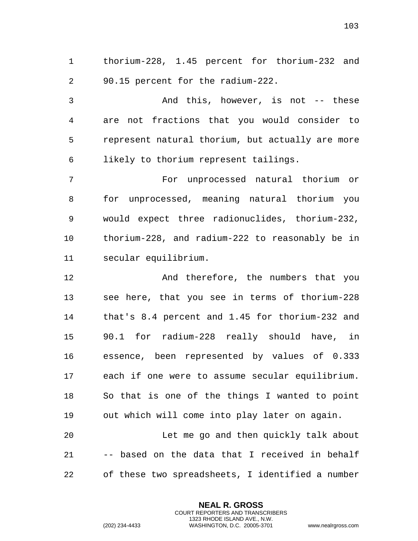thorium-228, 1.45 percent for thorium-232 and 90.15 percent for the radium-222.

 And this, however, is not -- these are not fractions that you would consider to represent natural thorium, but actually are more likely to thorium represent tailings.

 For unprocessed natural thorium or for unprocessed, meaning natural thorium you would expect three radionuclides, thorium-232, thorium-228, and radium-222 to reasonably be in secular equilibrium.

12 And therefore, the numbers that you see here, that you see in terms of thorium-228 that's 8.4 percent and 1.45 for thorium-232 and 90.1 for radium-228 really should have, in essence, been represented by values of 0.333 each if one were to assume secular equilibrium. So that is one of the things I wanted to point out which will come into play later on again.

 Let me go and then quickly talk about -- based on the data that I received in behalf of these two spreadsheets, I identified a number

> **NEAL R. GROSS** COURT REPORTERS AND TRANSCRIBERS 1323 RHODE ISLAND AVE., N.W.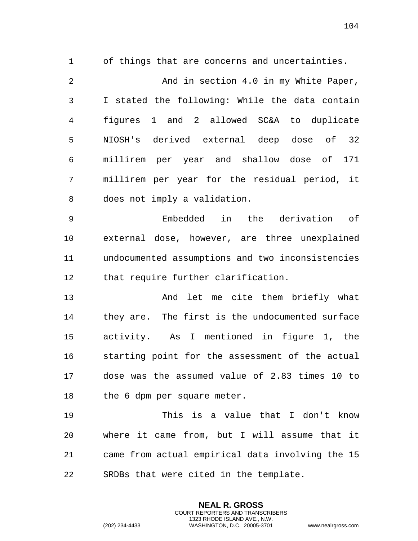of things that are concerns and uncertainties.

 And in section 4.0 in my White Paper, I stated the following: While the data contain figures 1 and 2 allowed SC&A to duplicate NIOSH's derived external deep dose of 32 millirem per year and shallow dose of 171 millirem per year for the residual period, it does not imply a validation.

 Embedded in the derivation of external dose, however, are three unexplained undocumented assumptions and two inconsistencies that require further clarification.

 And let me cite them briefly what they are. The first is the undocumented surface activity. As I mentioned in figure 1, the starting point for the assessment of the actual dose was the assumed value of 2.83 times 10 to the 6 dpm per square meter.

 This is a value that I don't know where it came from, but I will assume that it came from actual empirical data involving the 15 SRDBs that were cited in the template.

> **NEAL R. GROSS** COURT REPORTERS AND TRANSCRIBERS 1323 RHODE ISLAND AVE., N.W.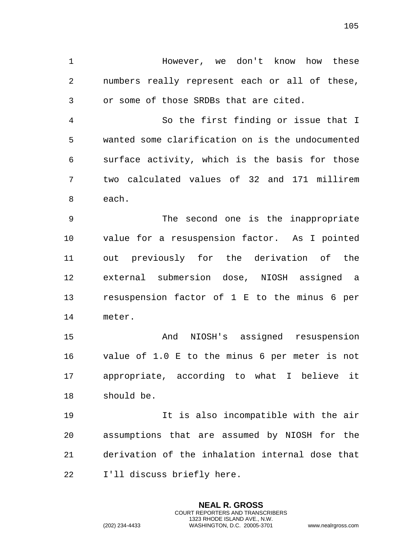However, we don't know how these numbers really represent each or all of these, or some of those SRDBs that are cited.

 So the first finding or issue that I wanted some clarification on is the undocumented surface activity, which is the basis for those two calculated values of 32 and 171 millirem each.

 The second one is the inappropriate value for a resuspension factor. As I pointed out previously for the derivation of the external submersion dose, NIOSH assigned a resuspension factor of 1 E to the minus 6 per meter.

 And NIOSH's assigned resuspension value of 1.0 E to the minus 6 per meter is not appropriate, according to what I believe it should be.

 It is also incompatible with the air assumptions that are assumed by NIOSH for the derivation of the inhalation internal dose that I'll discuss briefly here.

> **NEAL R. GROSS** COURT REPORTERS AND TRANSCRIBERS 1323 RHODE ISLAND AVE., N.W.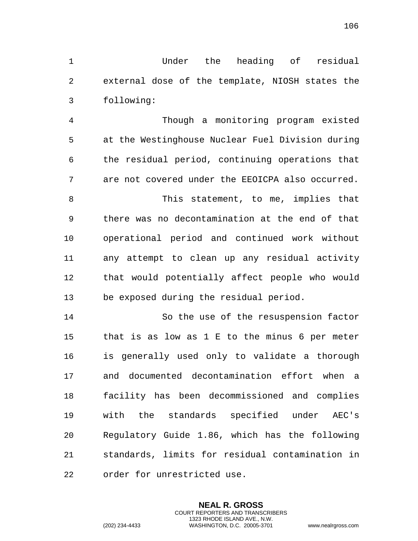Under the heading of residual external dose of the template, NIOSH states the following:

 Though a monitoring program existed at the Westinghouse Nuclear Fuel Division during the residual period, continuing operations that are not covered under the EEOICPA also occurred. This statement, to me, implies that there was no decontamination at the end of that operational period and continued work without any attempt to clean up any residual activity that would potentially affect people who would be exposed during the residual period. So the use of the resuspension factor that is as low as 1 E to the minus 6 per meter is generally used only to validate a thorough and documented decontamination effort when a facility has been decommissioned and complies with the standards specified under AEC's

 Regulatory Guide 1.86, which has the following standards, limits for residual contamination in order for unrestricted use.

> **NEAL R. GROSS** COURT REPORTERS AND TRANSCRIBERS 1323 RHODE ISLAND AVE., N.W.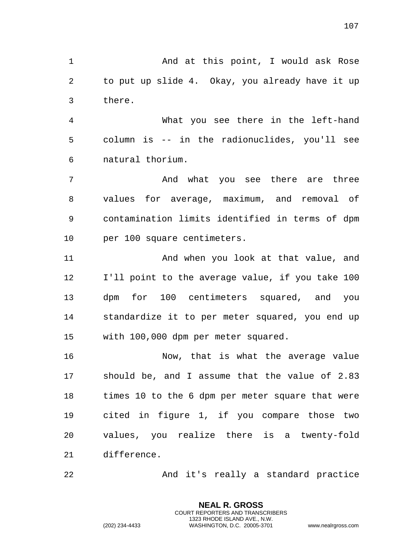1 And at this point, I would ask Rose to put up slide 4. Okay, you already have it up there.

 What you see there in the left-hand column is -- in the radionuclides, you'll see natural thorium.

 And what you see there are three values for average, maximum, and removal of contamination limits identified in terms of dpm per 100 square centimeters.

11 And when you look at that value, and I'll point to the average value, if you take 100 dpm for 100 centimeters squared, and you standardize it to per meter squared, you end up with 100,000 dpm per meter squared.

 Now, that is what the average value should be, and I assume that the value of 2.83 times 10 to the 6 dpm per meter square that were cited in figure 1, if you compare those two values, you realize there is a twenty-fold difference.

And it's really a standard practice

**NEAL R. GROSS** COURT REPORTERS AND TRANSCRIBERS 1323 RHODE ISLAND AVE., N.W.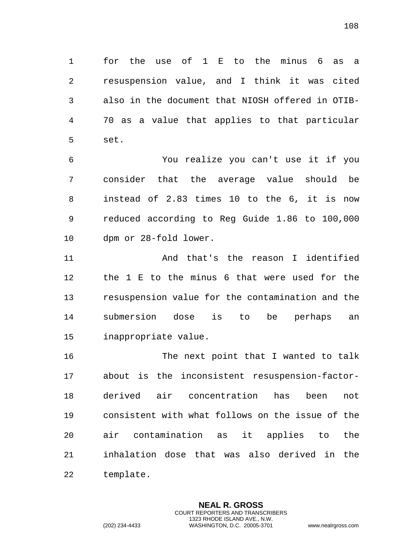for the use of 1 E to the minus 6 as a resuspension value, and I think it was cited also in the document that NIOSH offered in OTIB- 70 as a value that applies to that particular set.

 You realize you can't use it if you consider that the average value should be instead of 2.83 times 10 to the 6, it is now reduced according to Reg Guide 1.86 to 100,000 dpm or 28-fold lower.

 And that's the reason I identified the 1 E to the minus 6 that were used for the resuspension value for the contamination and the submersion dose is to be perhaps an inappropriate value.

16 The next point that I wanted to talk about is the inconsistent resuspension-factor- derived air concentration has been not consistent with what follows on the issue of the air contamination as it applies to the inhalation dose that was also derived in the template.

> **NEAL R. GROSS** COURT REPORTERS AND TRANSCRIBERS 1323 RHODE ISLAND AVE., N.W.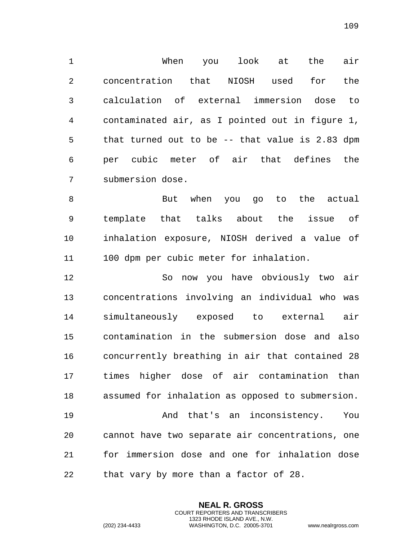When you look at the air concentration that NIOSH used for the calculation of external immersion dose to contaminated air, as I pointed out in figure 1, that turned out to be -- that value is 2.83 dpm per cubic meter of air that defines the submersion dose.

8 But when you go to the actual template that talks about the issue of inhalation exposure, NIOSH derived a value of 100 dpm per cubic meter for inhalation.

 So now you have obviously two air concentrations involving an individual who was simultaneously exposed to external air contamination in the submersion dose and also concurrently breathing in air that contained 28 times higher dose of air contamination than assumed for inhalation as opposed to submersion. And that's an inconsistency. You cannot have two separate air concentrations, one for immersion dose and one for inhalation dose

> **NEAL R. GROSS** COURT REPORTERS AND TRANSCRIBERS 1323 RHODE ISLAND AVE., N.W.

that vary by more than a factor of 28.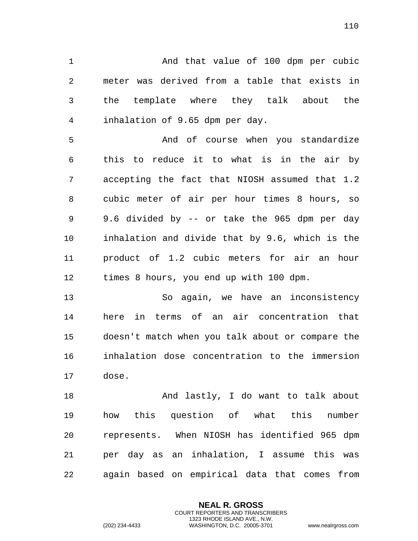And that value of 100 dpm per cubic meter was derived from a table that exists in the template where they talk about the inhalation of 9.65 dpm per day.

 And of course when you standardize this to reduce it to what is in the air by accepting the fact that NIOSH assumed that 1.2 cubic meter of air per hour times 8 hours, so 9.6 divided by -- or take the 965 dpm per day inhalation and divide that by 9.6, which is the product of 1.2 cubic meters for air an hour times 8 hours, you end up with 100 dpm.

 So again, we have an inconsistency here in terms of an air concentration that doesn't match when you talk about or compare the inhalation dose concentration to the immersion dose.

18 And lastly, I do want to talk about how this question of what this number represents. When NIOSH has identified 965 dpm per day as an inhalation, I assume this was again based on empirical data that comes from

> **NEAL R. GROSS** COURT REPORTERS AND TRANSCRIBERS 1323 RHODE ISLAND AVE., N.W.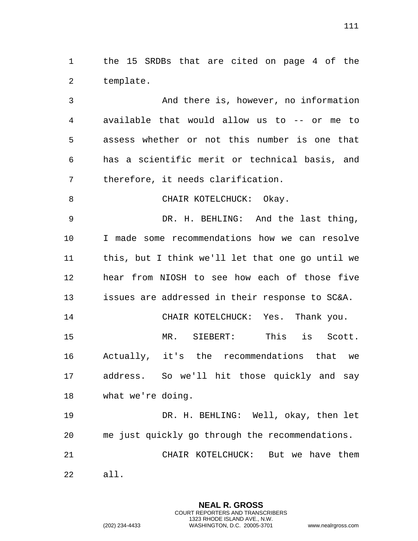the 15 SRDBs that are cited on page 4 of the template.

 And there is, however, no information available that would allow us to -- or me to assess whether or not this number is one that has a scientific merit or technical basis, and therefore, it needs clarification.

8 CHAIR KOTELCHUCK: Okay.

 DR. H. BEHLING: And the last thing, I made some recommendations how we can resolve this, but I think we'll let that one go until we hear from NIOSH to see how each of those five issues are addressed in their response to SC&A.

 CHAIR KOTELCHUCK: Yes. Thank you. MR. SIEBERT: This is Scott. Actually, it's the recommendations that we address. So we'll hit those quickly and say what we're doing.

 DR. H. BEHLING: Well, okay, then let me just quickly go through the recommendations. CHAIR KOTELCHUCK: But we have them all.

> **NEAL R. GROSS** COURT REPORTERS AND TRANSCRIBERS 1323 RHODE ISLAND AVE., N.W.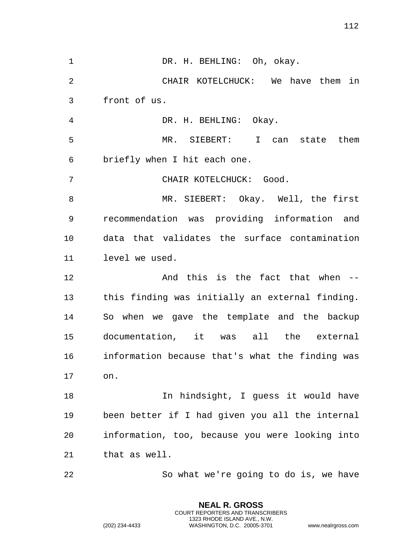1 DR. H. BEHLING: Oh, okay. CHAIR KOTELCHUCK: We have them in front of us. DR. H. BEHLING: Okay. MR. SIEBERT: I can state them briefly when I hit each one. CHAIR KOTELCHUCK: Good. MR. SIEBERT: Okay. Well, the first recommendation was providing information and data that validates the surface contamination level we used. 12 And this is the fact that when -- this finding was initially an external finding. So when we gave the template and the backup documentation, it was all the external information because that's what the finding was on. 18 In hindsight, I guess it would have been better if I had given you all the internal information, too, because you were looking into that as well. So what we're going to do is, we have

> **NEAL R. GROSS** COURT REPORTERS AND TRANSCRIBERS 1323 RHODE ISLAND AVE., N.W.

(202) 234-4433 WASHINGTON, D.C. 20005-3701 www.nealrgross.com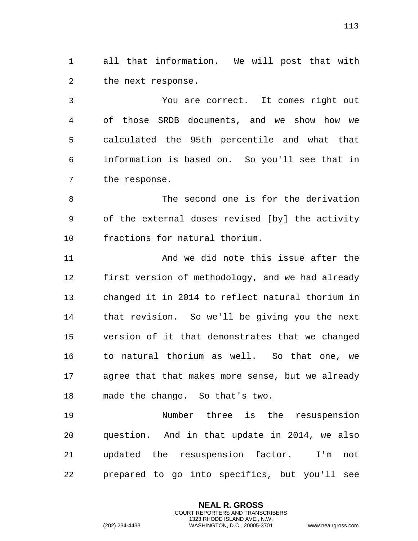all that information. We will post that with the next response.

 You are correct. It comes right out of those SRDB documents, and we show how we calculated the 95th percentile and what that information is based on. So you'll see that in the response.

8 The second one is for the derivation of the external doses revised [by] the activity fractions for natural thorium.

 And we did note this issue after the first version of methodology, and we had already changed it in 2014 to reflect natural thorium in that revision. So we'll be giving you the next version of it that demonstrates that we changed to natural thorium as well. So that one, we agree that that makes more sense, but we already made the change. So that's two.

 Number three is the resuspension question. And in that update in 2014, we also updated the resuspension factor. I'm not prepared to go into specifics, but you'll see

> **NEAL R. GROSS** COURT REPORTERS AND TRANSCRIBERS 1323 RHODE ISLAND AVE., N.W.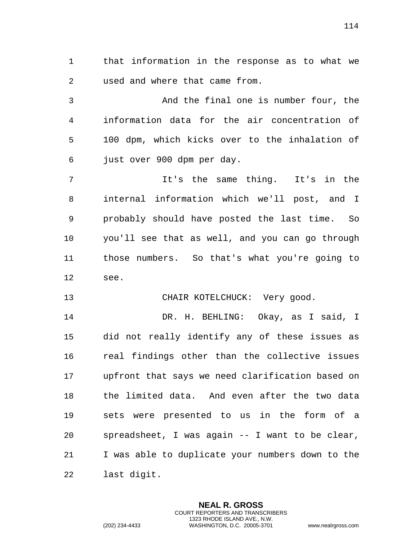that information in the response as to what we used and where that came from.

 And the final one is number four, the information data for the air concentration of 100 dpm, which kicks over to the inhalation of just over 900 dpm per day.

 It's the same thing. It's in the internal information which we'll post, and I probably should have posted the last time. So you'll see that as well, and you can go through those numbers. So that's what you're going to see.

## CHAIR KOTELCHUCK: Very good.

 DR. H. BEHLING: Okay, as I said, I did not really identify any of these issues as real findings other than the collective issues upfront that says we need clarification based on the limited data. And even after the two data sets were presented to us in the form of a spreadsheet, I was again -- I want to be clear, I was able to duplicate your numbers down to the last digit.

> **NEAL R. GROSS** COURT REPORTERS AND TRANSCRIBERS 1323 RHODE ISLAND AVE., N.W.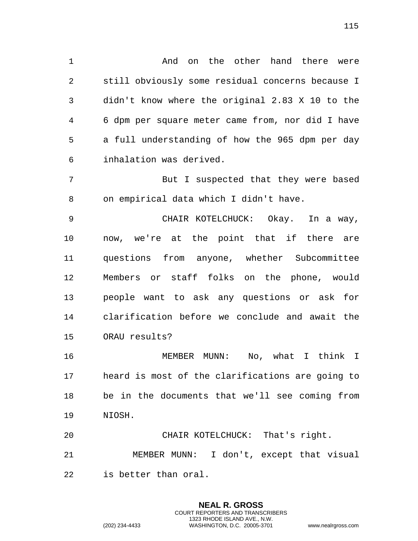And on the other hand there were still obviously some residual concerns because I didn't know where the original 2.83 X 10 to the 6 dpm per square meter came from, nor did I have

 a full understanding of how the 965 dpm per day inhalation was derived.

7 But I suspected that they were based on empirical data which I didn't have.

 CHAIR KOTELCHUCK: Okay. In a way, now, we're at the point that if there are questions from anyone, whether Subcommittee Members or staff folks on the phone, would people want to ask any questions or ask for clarification before we conclude and await the ORAU results?

 MEMBER MUNN: No, what I think I heard is most of the clarifications are going to be in the documents that we'll see coming from NIOSH.

 CHAIR KOTELCHUCK: That's right. MEMBER MUNN: I don't, except that visual is better than oral.

> **NEAL R. GROSS** COURT REPORTERS AND TRANSCRIBERS 1323 RHODE ISLAND AVE., N.W.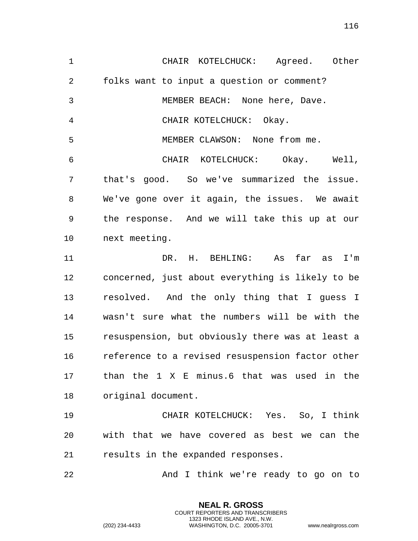CHAIR KOTELCHUCK: Agreed. Other folks want to input a question or comment? MEMBER BEACH: None here, Dave. CHAIR KOTELCHUCK: Okay. MEMBER CLAWSON: None from me. CHAIR KOTELCHUCK: Okay. Well, that's good. So we've summarized the issue. We've gone over it again, the issues. We await the response. And we will take this up at our next meeting. DR. H. BEHLING: As far as I'm concerned, just about everything is likely to be resolved. And the only thing that I guess I wasn't sure what the numbers will be with the resuspension, but obviously there was at least a reference to a revised resuspension factor other than the 1 X E minus.6 that was used in the original document. CHAIR KOTELCHUCK: Yes. So, I think with that we have covered as best we can the results in the expanded responses. 22 And I think we're ready to go on to

> **NEAL R. GROSS** COURT REPORTERS AND TRANSCRIBERS 1323 RHODE ISLAND AVE., N.W.

(202) 234-4433 WASHINGTON, D.C. 20005-3701 www.nealrgross.com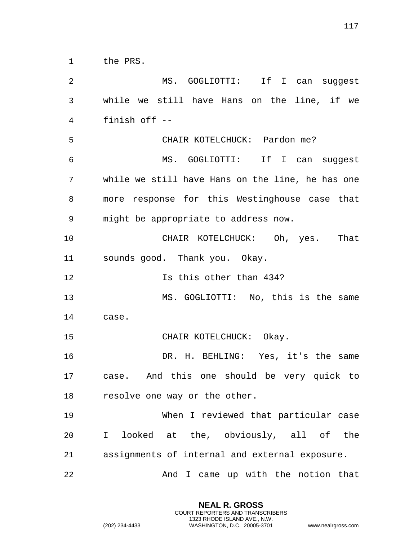the PRS.

 MS. GOGLIOTTI: If I can suggest while we still have Hans on the line, if we finish off -- CHAIR KOTELCHUCK: Pardon me? MS. GOGLIOTTI: If I can suggest while we still have Hans on the line, he has one more response for this Westinghouse case that might be appropriate to address now. CHAIR KOTELCHUCK: Oh, yes. That sounds good. Thank you. Okay. **Is this other than 434?**  MS. GOGLIOTTI: No, this is the same case. CHAIR KOTELCHUCK: Okay. DR. H. BEHLING: Yes, it's the same case. And this one should be very quick to resolve one way or the other. When I reviewed that particular case I looked at the, obviously, all of the assignments of internal and external exposure. 22 And I came up with the notion that

> **NEAL R. GROSS** COURT REPORTERS AND TRANSCRIBERS 1323 RHODE ISLAND AVE., N.W.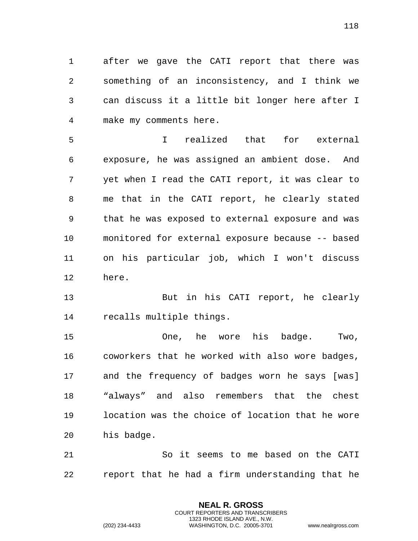after we gave the CATI report that there was something of an inconsistency, and I think we can discuss it a little bit longer here after I make my comments here.

 I realized that for external exposure, he was assigned an ambient dose. And yet when I read the CATI report, it was clear to me that in the CATI report, he clearly stated that he was exposed to external exposure and was monitored for external exposure because -- based on his particular job, which I won't discuss here.

 But in his CATI report, he clearly recalls multiple things.

 One, he wore his badge. Two, coworkers that he worked with also wore badges, and the frequency of badges worn he says [was] "always" and also remembers that the chest location was the choice of location that he wore his badge.

 So it seems to me based on the CATI report that he had a firm understanding that he

> **NEAL R. GROSS** COURT REPORTERS AND TRANSCRIBERS 1323 RHODE ISLAND AVE., N.W.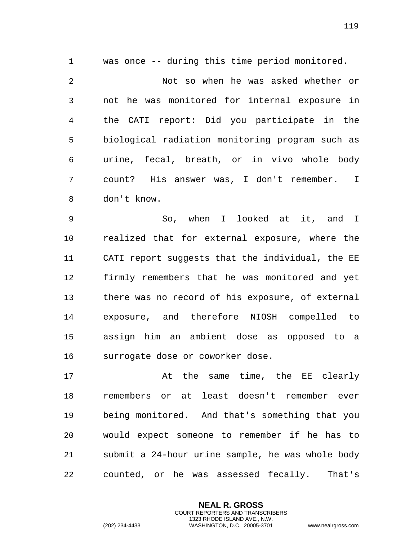was once -- during this time period monitored. Not so when he was asked whether or not he was monitored for internal exposure in the CATI report: Did you participate in the biological radiation monitoring program such as urine, fecal, breath, or in vivo whole body count? His answer was, I don't remember. I don't know.

 So, when I looked at it, and I realized that for external exposure, where the CATI report suggests that the individual, the EE firmly remembers that he was monitored and yet there was no record of his exposure, of external exposure, and therefore NIOSH compelled to assign him an ambient dose as opposed to a surrogate dose or coworker dose.

17 at the same time, the EE clearly remembers or at least doesn't remember ever being monitored. And that's something that you would expect someone to remember if he has to submit a 24-hour urine sample, he was whole body counted, or he was assessed fecally. That's

> **NEAL R. GROSS** COURT REPORTERS AND TRANSCRIBERS 1323 RHODE ISLAND AVE., N.W.

(202) 234-4433 WASHINGTON, D.C. 20005-3701 www.nealrgross.com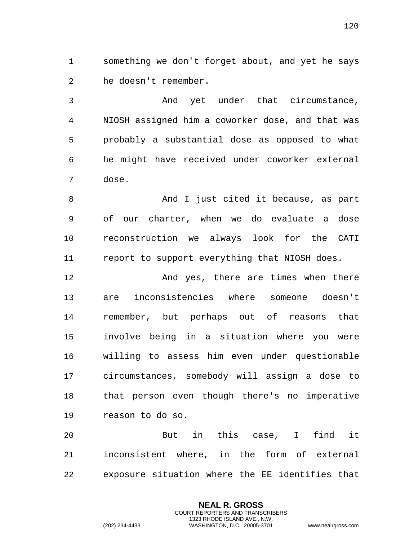something we don't forget about, and yet he says he doesn't remember.

 And yet under that circumstance, NIOSH assigned him a coworker dose, and that was probably a substantial dose as opposed to what he might have received under coworker external dose.

8 And I just cited it because, as part of our charter, when we do evaluate a dose reconstruction we always look for the CATI report to support everything that NIOSH does.

12 And yes, there are times when there are inconsistencies where someone doesn't remember, but perhaps out of reasons that involve being in a situation where you were willing to assess him even under questionable circumstances, somebody will assign a dose to that person even though there's no imperative reason to do so.

 But in this case, I find it inconsistent where, in the form of external exposure situation where the EE identifies that

> **NEAL R. GROSS** COURT REPORTERS AND TRANSCRIBERS 1323 RHODE ISLAND AVE., N.W.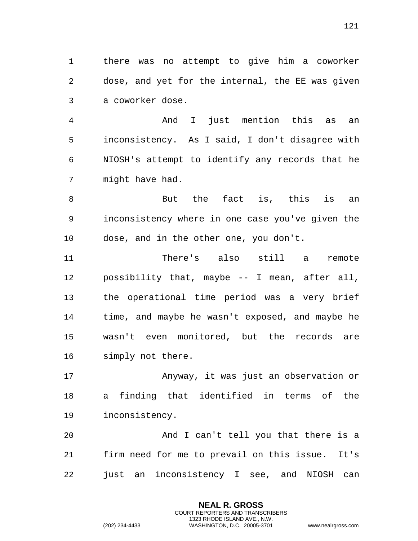there was no attempt to give him a coworker dose, and yet for the internal, the EE was given a coworker dose.

 And I just mention this as an inconsistency. As I said, I don't disagree with NIOSH's attempt to identify any records that he might have had.

8 But the fact is, this is an inconsistency where in one case you've given the dose, and in the other one, you don't.

 There's also still a remote possibility that, maybe -- I mean, after all, the operational time period was a very brief time, and maybe he wasn't exposed, and maybe he wasn't even monitored, but the records are simply not there.

 Anyway, it was just an observation or a finding that identified in terms of the inconsistency.

 And I can't tell you that there is a firm need for me to prevail on this issue. It's just an inconsistency I see, and NIOSH can

> **NEAL R. GROSS** COURT REPORTERS AND TRANSCRIBERS 1323 RHODE ISLAND AVE., N.W.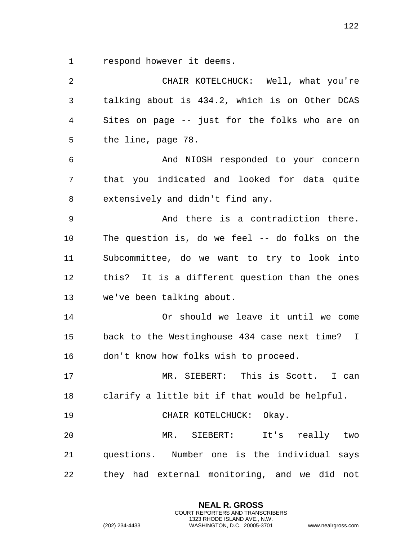respond however it deems.

 CHAIR KOTELCHUCK: Well, what you're talking about is 434.2, which is on Other DCAS Sites on page -- just for the folks who are on the line, page 78. And NIOSH responded to your concern that you indicated and looked for data quite extensively and didn't find any. And there is a contradiction there. The question is, do we feel -- do folks on the Subcommittee, do we want to try to look into this? It is a different question than the ones we've been talking about. Or should we leave it until we come back to the Westinghouse 434 case next time? I don't know how folks wish to proceed. MR. SIEBERT: This is Scott. I can clarify a little bit if that would be helpful. CHAIR KOTELCHUCK: Okay. MR. SIEBERT: It's really two questions. Number one is the individual says they had external monitoring, and we did not

> **NEAL R. GROSS** COURT REPORTERS AND TRANSCRIBERS 1323 RHODE ISLAND AVE., N.W.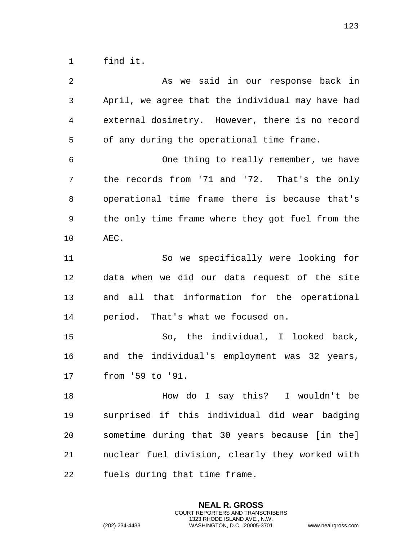find it.

| 2  | As we said in our response back in               |
|----|--------------------------------------------------|
| 3  | April, we agree that the individual may have had |
| 4  | external dosimetry. However, there is no record  |
| 5  | of any during the operational time frame.        |
| 6  | One thing to really remember, we have            |
| 7  | the records from '71 and '72. That's the only    |
| 8  | operational time frame there is because that's   |
| 9  | the only time frame where they got fuel from the |
| 10 | AEC.                                             |
| 11 | So we specifically were looking for              |
| 12 | data when we did our data request of the site    |
| 13 | and all that information for the operational     |
| 14 | period. That's what we focused on.               |
| 15 | So, the individual, I looked back,               |
| 16 | and the individual's employment was 32 years,    |
| 17 | from '59 to '91.                                 |
| 18 | How do I say this? I wouldn't be                 |
| 19 | surprised if this individual did wear badging    |
| 20 | sometime during that 30 years because [in the]   |
| 21 | nuclear fuel division, clearly they worked with  |
| 22 | fuels during that time frame.                    |

**NEAL R. GROSS** COURT REPORTERS AND TRANSCRIBERS 1323 RHODE ISLAND AVE., N.W.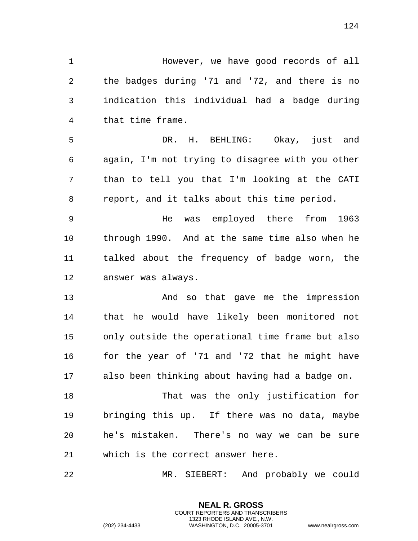| 1              | However, we have good records of all             |
|----------------|--------------------------------------------------|
| $\overline{2}$ | the badges during '71 and '72, and there is no   |
| 3              | indication this individual had a badge during    |
| 4              | that time frame.                                 |
| 5              | DR. H. BEHLING: Okay, just and                   |
| 6              | again, I'm not trying to disagree with you other |
| 7              | than to tell you that I'm looking at the CATI    |
| 8              | report, and it talks about this time period.     |
| $\mathsf 9$    | was employed there from 1963<br>He               |
| 10             | through 1990. And at the same time also when he  |
| 11             | talked about the frequency of badge worn, the    |
| 12             | answer was always.                               |
| 13             | And so that gave me the impression               |
| 14             | that he would have likely been monitored not     |
| 15             | only outside the operational time frame but also |
| 16             | for the year of '71 and '72 that he might have   |
| 17             | also been thinking about having had a badge on.  |
| 18             | That was the only justification for              |
| 19             | bringing this up. If there was no data, maybe    |
| 20             | he's mistaken. There's no way we can be sure     |
| 21             | which is the correct answer here.                |
| 22             | MR. SIEBERT: And probably we could               |

**NEAL R. GROSS** COURT REPORTERS AND TRANSCRIBERS 1323 RHODE ISLAND AVE., N.W.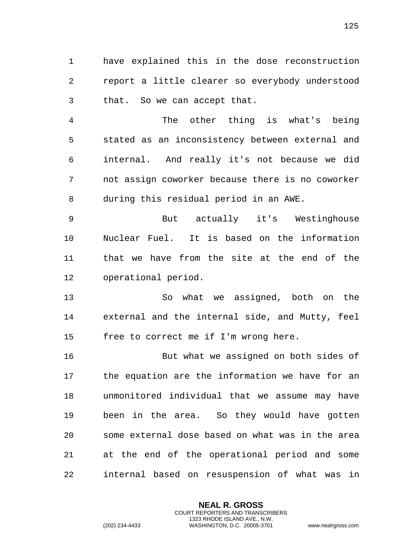have explained this in the dose reconstruction report a little clearer so everybody understood that. So we can accept that.

 The other thing is what's being stated as an inconsistency between external and internal. And really it's not because we did not assign coworker because there is no coworker during this residual period in an AWE.

 But actually it's Westinghouse Nuclear Fuel. It is based on the information that we have from the site at the end of the operational period.

 So what we assigned, both on the external and the internal side, and Mutty, feel free to correct me if I'm wrong here.

 But what we assigned on both sides of the equation are the information we have for an unmonitored individual that we assume may have been in the area. So they would have gotten some external dose based on what was in the area at the end of the operational period and some internal based on resuspension of what was in

> **NEAL R. GROSS** COURT REPORTERS AND TRANSCRIBERS 1323 RHODE ISLAND AVE., N.W.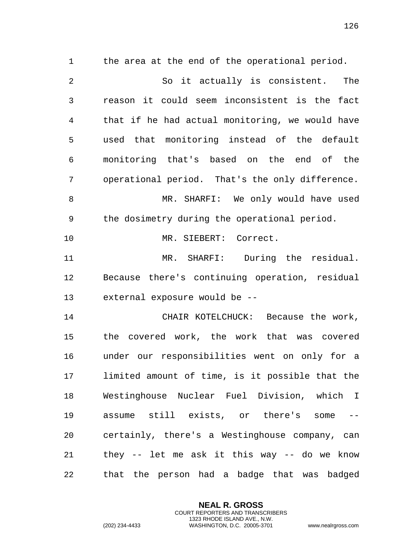the area at the end of the operational period. So it actually is consistent. The reason it could seem inconsistent is the fact that if he had actual monitoring, we would have used that monitoring instead of the default monitoring that's based on the end of the operational period. That's the only difference. 8 MR. SHARFI: We only would have used the dosimetry during the operational period. MR. SIEBERT: Correct. MR. SHARFI: During the residual. Because there's continuing operation, residual external exposure would be -- CHAIR KOTELCHUCK: Because the work, the covered work, the work that was covered under our responsibilities went on only for a limited amount of time, is it possible that the Westinghouse Nuclear Fuel Division, which I assume still exists, or there's some -- certainly, there's a Westinghouse company, can they -- let me ask it this way -- do we know that the person had a badge that was badged

> **NEAL R. GROSS** COURT REPORTERS AND TRANSCRIBERS 1323 RHODE ISLAND AVE., N.W.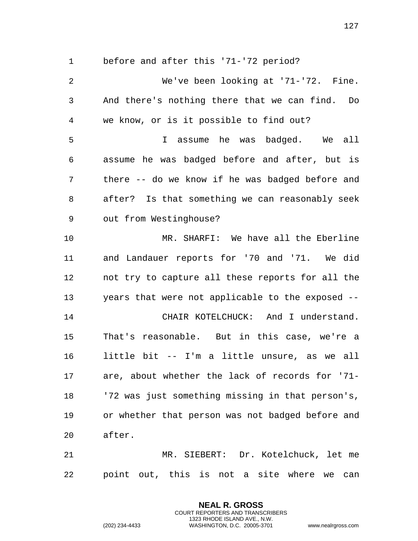before and after this '71-'72 period?

 We've been looking at '71-'72. Fine. And there's nothing there that we can find. Do we know, or is it possible to find out? I assume he was badged. We all assume he was badged before and after, but is there -- do we know if he was badged before and after? Is that something we can reasonably seek out from Westinghouse? MR. SHARFI: We have all the Eberline and Landauer reports for '70 and '71. We did not try to capture all these reports for all the years that were not applicable to the exposed -- CHAIR KOTELCHUCK: And I understand. That's reasonable. But in this case, we're a little bit -- I'm a little unsure, as we all are, about whether the lack of records for '71- '72 was just something missing in that person's, or whether that person was not badged before and after. MR. SIEBERT: Dr. Kotelchuck, let me

point out, this is not a site where we can

**NEAL R. GROSS** COURT REPORTERS AND TRANSCRIBERS 1323 RHODE ISLAND AVE., N.W.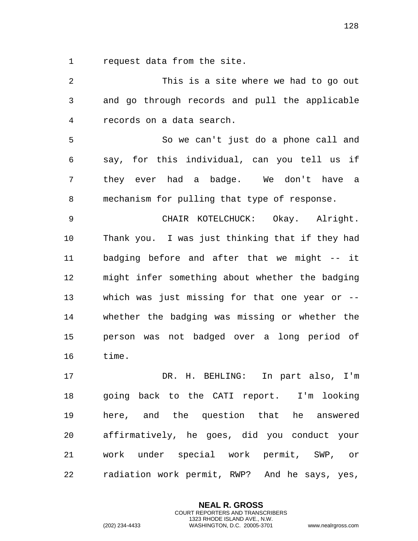request data from the site.

 This is a site where we had to go out and go through records and pull the applicable records on a data search. So we can't just do a phone call and say, for this individual, can you tell us if they ever had a badge. We don't have a mechanism for pulling that type of response. CHAIR KOTELCHUCK: Okay. Alright. Thank you. I was just thinking that if they had badging before and after that we might -- it might infer something about whether the badging which was just missing for that one year or -- whether the badging was missing or whether the person was not badged over a long period of time. DR. H. BEHLING: In part also, I'm going back to the CATI report. I'm looking here, and the question that he answered affirmatively, he goes, did you conduct your work under special work permit, SWP, or radiation work permit, RWP? And he says, yes,

> **NEAL R. GROSS** COURT REPORTERS AND TRANSCRIBERS 1323 RHODE ISLAND AVE., N.W.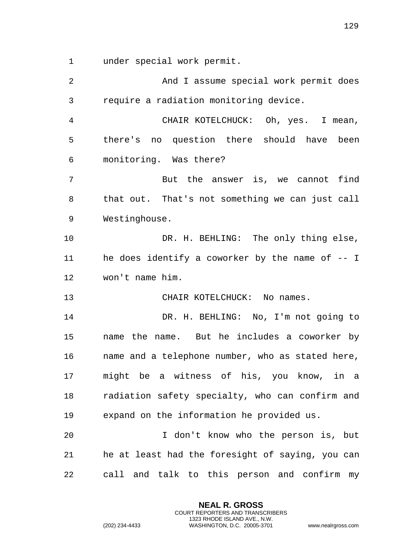under special work permit.

| 2              | And I assume special work permit does            |
|----------------|--------------------------------------------------|
| $\mathfrak{Z}$ | require a radiation monitoring device.           |
| 4              | CHAIR KOTELCHUCK: Oh, yes. I mean,               |
| 5              | there's no question there should have been       |
| 6              | monitoring. Was there?                           |
| 7              | But the answer is, we cannot find                |
| 8              | that out. That's not something we can just call  |
| 9              | Westinghouse.                                    |
| 10             | DR. H. BEHLING: The only thing else,             |
| 11             | he does identify a coworker by the name of $-$ I |
| 12             | won't name him.                                  |
| 13             | CHAIR KOTELCHUCK: No names.                      |
| 14             | DR. H. BEHLING: No, I'm not going to             |
| 15             | name the name. But he includes a coworker by     |
| 16             | name and a telephone number, who as stated here, |
| 17             | might be a witness of his, you know, in a        |
| 18             | radiation safety specialty, who can confirm and  |
| 19             | expand on the information he provided us.        |
| 20             | I don't know who the person is, but              |
| 21             | he at least had the foresight of saying, you can |
| 22             | call and talk to this person and confirm my      |

**NEAL R. GROSS** COURT REPORTERS AND TRANSCRIBERS 1323 RHODE ISLAND AVE., N.W.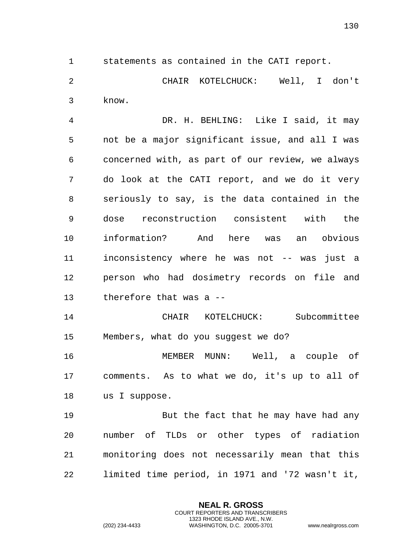statements as contained in the CATI report.

 CHAIR KOTELCHUCK: Well, I don't know.

 DR. H. BEHLING: Like I said, it may not be a major significant issue, and all I was concerned with, as part of our review, we always do look at the CATI report, and we do it very seriously to say, is the data contained in the dose reconstruction consistent with the information? And here was an obvious inconsistency where he was not -- was just a person who had dosimetry records on file and therefore that was a --

 CHAIR KOTELCHUCK: Subcommittee Members, what do you suggest we do?

 MEMBER MUNN: Well, a couple of comments. As to what we do, it's up to all of us I suppose.

 But the fact that he may have had any number of TLDs or other types of radiation monitoring does not necessarily mean that this limited time period, in 1971 and '72 wasn't it,

> **NEAL R. GROSS** COURT REPORTERS AND TRANSCRIBERS 1323 RHODE ISLAND AVE., N.W.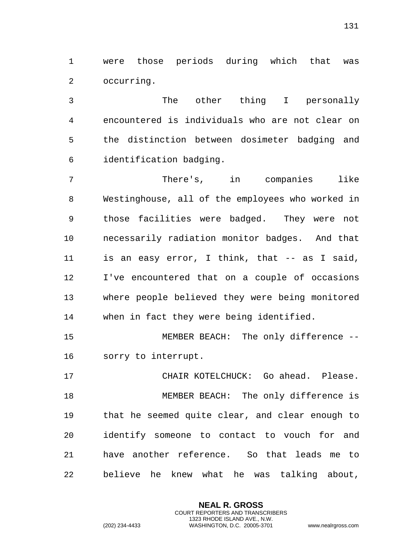were those periods during which that was occurring.

 The other thing I personally encountered is individuals who are not clear on the distinction between dosimeter badging and identification badging.

 There's, in companies like Westinghouse, all of the employees who worked in those facilities were badged. They were not necessarily radiation monitor badges. And that is an easy error, I think, that -- as I said, I've encountered that on a couple of occasions where people believed they were being monitored when in fact they were being identified.

 MEMBER BEACH: The only difference -- sorry to interrupt.

 CHAIR KOTELCHUCK: Go ahead. Please. MEMBER BEACH: The only difference is that he seemed quite clear, and clear enough to identify someone to contact to vouch for and have another reference. So that leads me to believe he knew what he was talking about,

> **NEAL R. GROSS** COURT REPORTERS AND TRANSCRIBERS 1323 RHODE ISLAND AVE., N.W.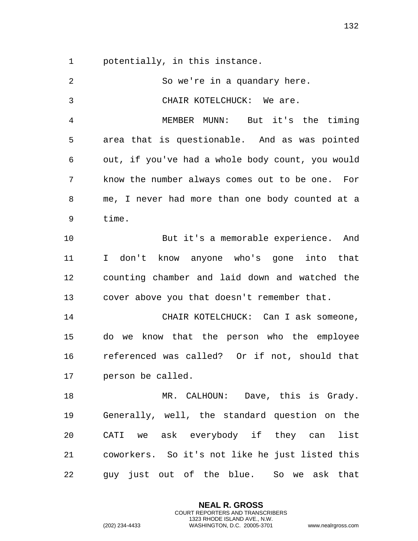potentially, in this instance.

| $\overline{2}$ | So we're in a quandary here.                     |
|----------------|--------------------------------------------------|
| 3              | CHAIR KOTELCHUCK: We are.                        |
| 4              | MEMBER MUNN: But it's the timing                 |
| 5              | area that is questionable. And as was pointed    |
| 6              | out, if you've had a whole body count, you would |
| 7              | know the number always comes out to be one. For  |
| 8              | me, I never had more than one body counted at a  |
| 9              | time.                                            |
| 10             | But it's a memorable experience. And             |
| 11             | I don't know anyone who's gone into that         |
| 12             | counting chamber and laid down and watched the   |
| 13             | cover above you that doesn't remember that.      |
| 14             | CHAIR KOTELCHUCK: Can I ask someone,             |
| 15             | do we know that the person who the employee      |
| 16             | referenced was called? Or if not, should that    |
| 17             | person be called.                                |
| 18             | MR. CALHOUN: Dave, this is Grady.                |
| 19             | Generally, well, the standard question on the    |
| 20             | CATI we ask everybody if they can list           |
| 21             | coworkers. So it's not like he just listed this  |
| 22             | guy just out of the blue. So we ask that         |

**NEAL R. GROSS** COURT REPORTERS AND TRANSCRIBERS 1323 RHODE ISLAND AVE., N.W.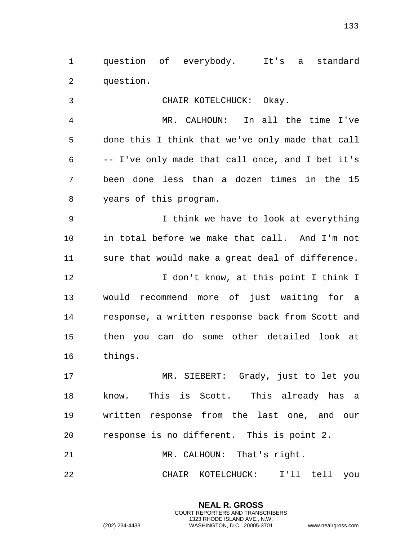question of everybody. It's a standard question.

 CHAIR KOTELCHUCK: Okay. MR. CALHOUN: In all the time I've done this I think that we've only made that call -- I've only made that call once, and I bet it's been done less than a dozen times in the 15 years of this program. I think we have to look at everything in total before we make that call. And I'm not sure that would make a great deal of difference. **I** don't know, at this point I think I would recommend more of just waiting for a response, a written response back from Scott and then you can do some other detailed look at things. MR. SIEBERT: Grady, just to let you

 know. This is Scott. This already has a written response from the last one, and our response is no different. This is point 2. MR. CALHOUN: That's right.

CHAIR KOTELCHUCK: I'll tell you

**NEAL R. GROSS** COURT REPORTERS AND TRANSCRIBERS 1323 RHODE ISLAND AVE., N.W.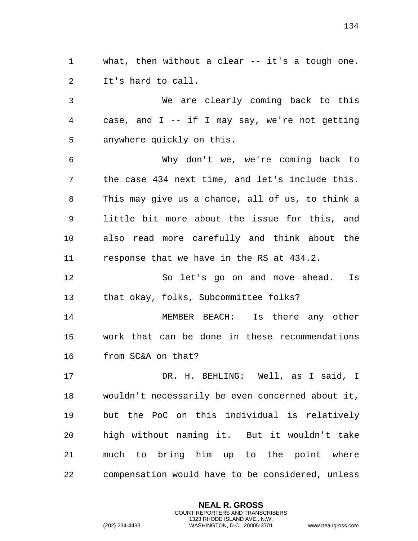what, then without a clear -- it's a tough one. It's hard to call.

 We are clearly coming back to this case, and I -- if I may say, we're not getting anywhere quickly on this.

 Why don't we, we're coming back to the case 434 next time, and let's include this. This may give us a chance, all of us, to think a little bit more about the issue for this, and also read more carefully and think about the response that we have in the RS at 434.2.

 So let's go on and move ahead. Is that okay, folks, Subcommittee folks?

 MEMBER BEACH: Is there any other work that can be done in these recommendations from SC&A on that?

 DR. H. BEHLING: Well, as I said, I wouldn't necessarily be even concerned about it, but the PoC on this individual is relatively high without naming it. But it wouldn't take much to bring him up to the point where compensation would have to be considered, unless

> **NEAL R. GROSS** COURT REPORTERS AND TRANSCRIBERS 1323 RHODE ISLAND AVE., N.W.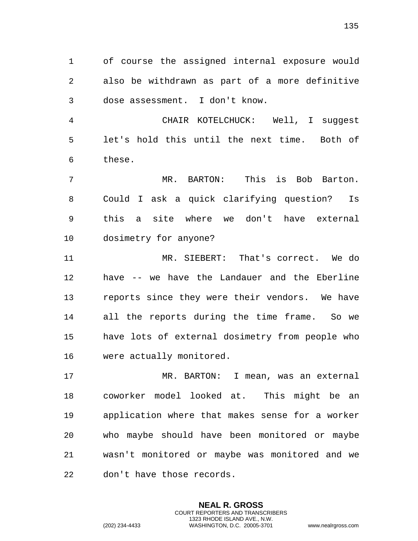of course the assigned internal exposure would also be withdrawn as part of a more definitive dose assessment. I don't know.

 CHAIR KOTELCHUCK: Well, I suggest let's hold this until the next time. Both of these.

 MR. BARTON: This is Bob Barton. Could I ask a quick clarifying question? Is this a site where we don't have external dosimetry for anyone?

 MR. SIEBERT: That's correct. We do have -- we have the Landauer and the Eberline reports since they were their vendors. We have all the reports during the time frame. So we have lots of external dosimetry from people who were actually monitored.

 MR. BARTON: I mean, was an external coworker model looked at. This might be an application where that makes sense for a worker who maybe should have been monitored or maybe wasn't monitored or maybe was monitored and we don't have those records.

> **NEAL R. GROSS** COURT REPORTERS AND TRANSCRIBERS 1323 RHODE ISLAND AVE., N.W.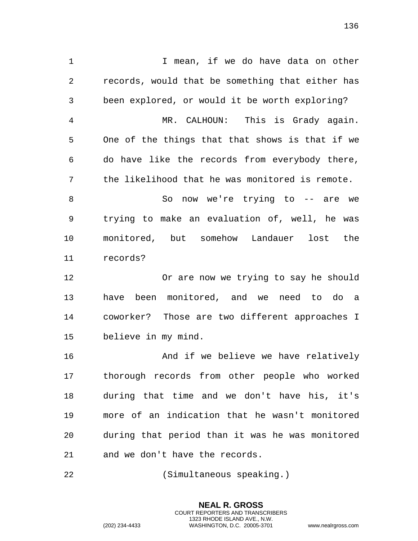I mean, if we do have data on other records, would that be something that either has been explored, or would it be worth exploring? MR. CALHOUN: This is Grady again. One of the things that that shows is that if we do have like the records from everybody there, the likelihood that he was monitored is remote. 8 So now we're trying to -- are we trying to make an evaluation of, well, he was monitored, but somehow Landauer lost the records? Or are now we trying to say he should have been monitored, and we need to do a coworker? Those are two different approaches I believe in my mind. **And if we believe we have relatively**  thorough records from other people who worked during that time and we don't have his, it's more of an indication that he wasn't monitored

 during that period than it was he was monitored and we don't have the records.

> **NEAL R. GROSS** COURT REPORTERS AND TRANSCRIBERS 1323 RHODE ISLAND AVE., N.W.

(Simultaneous speaking.)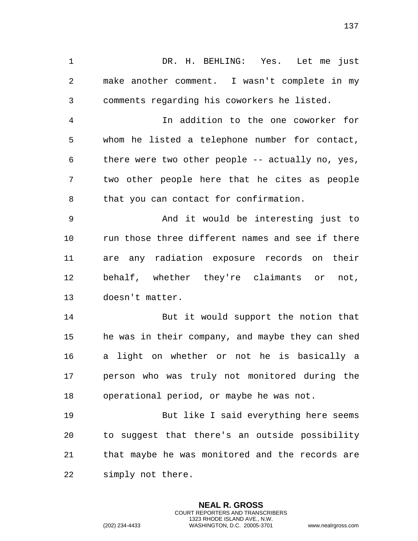DR. H. BEHLING: Yes. Let me just make another comment. I wasn't complete in my comments regarding his coworkers he listed. In addition to the one coworker for whom he listed a telephone number for contact, there were two other people -- actually no, yes, two other people here that he cites as people that you can contact for confirmation.

 And it would be interesting just to run those three different names and see if there are any radiation exposure records on their behalf, whether they're claimants or not, doesn't matter.

14 But it would support the notion that he was in their company, and maybe they can shed a light on whether or not he is basically a person who was truly not monitored during the operational period, or maybe he was not.

 But like I said everything here seems to suggest that there's an outside possibility that maybe he was monitored and the records are simply not there.

> **NEAL R. GROSS** COURT REPORTERS AND TRANSCRIBERS 1323 RHODE ISLAND AVE., N.W.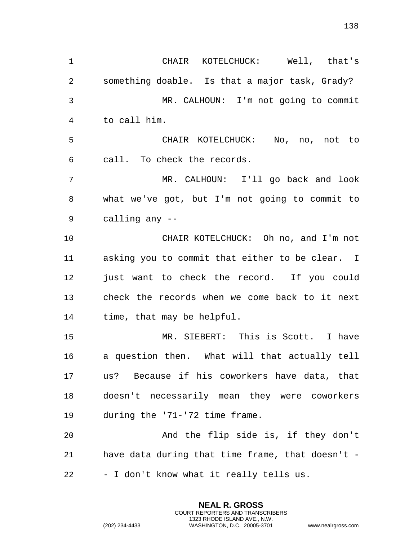CHAIR KOTELCHUCK: Well, that's something doable. Is that a major task, Grady? MR. CALHOUN: I'm not going to commit to call him. CHAIR KOTELCHUCK: No, no, not to call. To check the records. MR. CALHOUN: I'll go back and look what we've got, but I'm not going to commit to calling any -- CHAIR KOTELCHUCK: Oh no, and I'm not asking you to commit that either to be clear. I just want to check the record. If you could check the records when we come back to it next time, that may be helpful. MR. SIEBERT: This is Scott. I have a question then. What will that actually tell us? Because if his coworkers have data, that doesn't necessarily mean they were coworkers during the '71-'72 time frame. And the flip side is, if they don't have data during that time frame, that doesn't - - I don't know what it really tells us.

> **NEAL R. GROSS** COURT REPORTERS AND TRANSCRIBERS 1323 RHODE ISLAND AVE., N.W.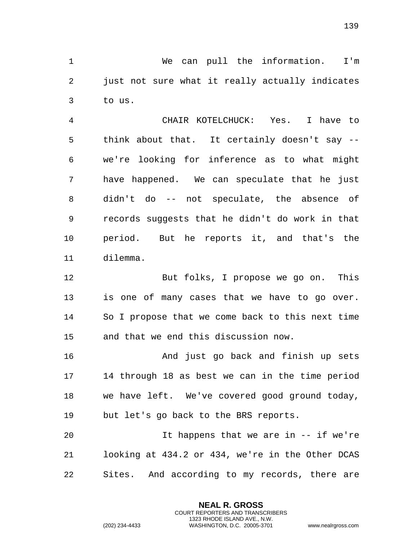We can pull the information. I'm just not sure what it really actually indicates to us.

 CHAIR KOTELCHUCK: Yes. I have to think about that. It certainly doesn't say -- we're looking for inference as to what might have happened. We can speculate that he just didn't do -- not speculate, the absence of records suggests that he didn't do work in that period. But he reports it, and that's the dilemma.

 But folks, I propose we go on. This is one of many cases that we have to go over. So I propose that we come back to this next time and that we end this discussion now.

 And just go back and finish up sets 14 through 18 as best we can in the time period we have left. We've covered good ground today, but let's go back to the BRS reports.

 It happens that we are in -- if we're looking at 434.2 or 434, we're in the Other DCAS Sites. And according to my records, there are

> **NEAL R. GROSS** COURT REPORTERS AND TRANSCRIBERS 1323 RHODE ISLAND AVE., N.W.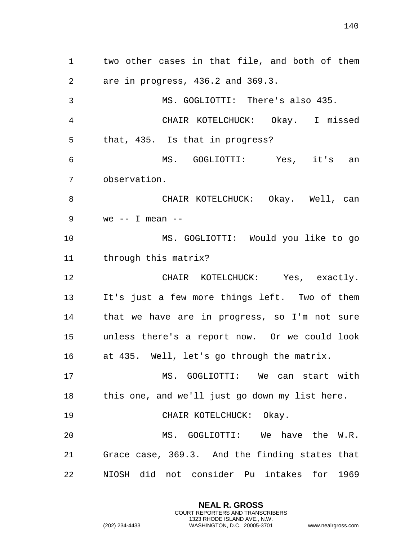two other cases in that file, and both of them are in progress, 436.2 and 369.3. MS. GOGLIOTTI: There's also 435. CHAIR KOTELCHUCK: Okay. I missed that, 435. Is that in progress? MS. GOGLIOTTI: Yes, it's an observation. CHAIR KOTELCHUCK: Okay. Well, can we -- I mean -- MS. GOGLIOTTI: Would you like to go through this matrix? CHAIR KOTELCHUCK: Yes, exactly. It's just a few more things left. Two of them that we have are in progress, so I'm not sure unless there's a report now. Or we could look at 435. Well, let's go through the matrix. MS. GOGLIOTTI: We can start with this one, and we'll just go down my list here. 19 CHAIR KOTELCHUCK: Okay. MS. GOGLIOTTI: We have the W.R. Grace case, 369.3. And the finding states that NIOSH did not consider Pu intakes for 1969

> **NEAL R. GROSS** COURT REPORTERS AND TRANSCRIBERS 1323 RHODE ISLAND AVE., N.W.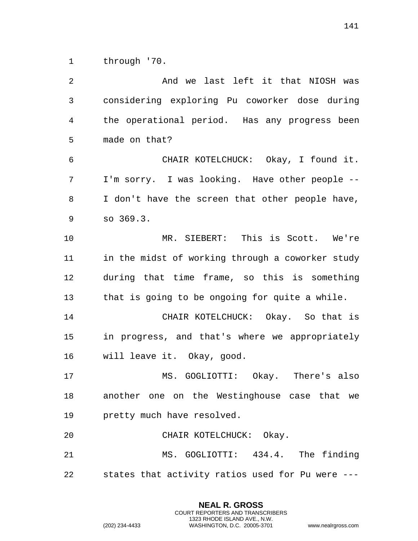through '70.

 And we last left it that NIOSH was considering exploring Pu coworker dose during the operational period. Has any progress been made on that? CHAIR KOTELCHUCK: Okay, I found it. I'm sorry. I was looking. Have other people -- I don't have the screen that other people have, so 369.3. MR. SIEBERT: This is Scott. We're in the midst of working through a coworker study during that time frame, so this is something that is going to be ongoing for quite a while. CHAIR KOTELCHUCK: Okay. So that is in progress, and that's where we appropriately will leave it. Okay, good. MS. GOGLIOTTI: Okay. There's also another one on the Westinghouse case that we pretty much have resolved. CHAIR KOTELCHUCK: Okay. MS. GOGLIOTTI: 434.4. The finding states that activity ratios used for Pu were ---

> **NEAL R. GROSS** COURT REPORTERS AND TRANSCRIBERS 1323 RHODE ISLAND AVE., N.W.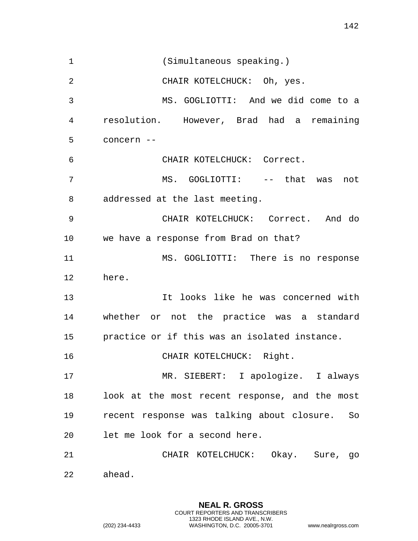(Simultaneous speaking.) CHAIR KOTELCHUCK: Oh, yes. MS. GOGLIOTTI: And we did come to a resolution. However, Brad had a remaining concern -- CHAIR KOTELCHUCK: Correct. MS. GOGLIOTTI: -- that was not addressed at the last meeting. CHAIR KOTELCHUCK: Correct. And do we have a response from Brad on that? MS. GOGLIOTTI: There is no response here. It looks like he was concerned with whether or not the practice was a standard practice or if this was an isolated instance. 16 CHAIR KOTELCHUCK: Right. MR. SIEBERT: I apologize. I always look at the most recent response, and the most recent response was talking about closure. So let me look for a second here. CHAIR KOTELCHUCK: Okay. Sure, go ahead.

> **NEAL R. GROSS** COURT REPORTERS AND TRANSCRIBERS 1323 RHODE ISLAND AVE., N.W.

(202) 234-4433 WASHINGTON, D.C. 20005-3701 www.nealrgross.com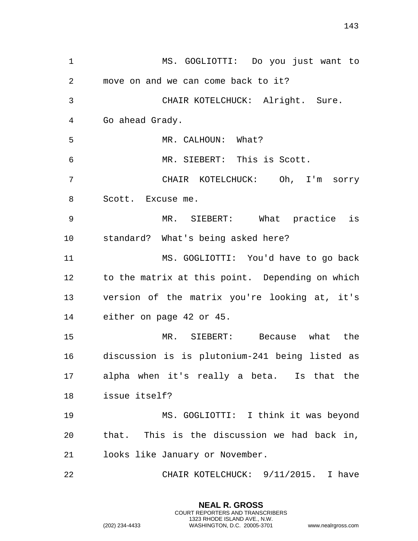MS. GOGLIOTTI: Do you just want to move on and we can come back to it? CHAIR KOTELCHUCK: Alright. Sure. Go ahead Grady. 5 MR. CALHOUN: What? MR. SIEBERT: This is Scott. CHAIR KOTELCHUCK: Oh, I'm sorry Scott. Excuse me. MR. SIEBERT: What practice is standard? What's being asked here? MS. GOGLIOTTI: You'd have to go back to the matrix at this point. Depending on which version of the matrix you're looking at, it's either on page 42 or 45. MR. SIEBERT: Because what the discussion is is plutonium-241 being listed as alpha when it's really a beta. Is that the issue itself? MS. GOGLIOTTI: I think it was beyond that. This is the discussion we had back in, looks like January or November. CHAIR KOTELCHUCK: 9/11/2015. I have

> **NEAL R. GROSS** COURT REPORTERS AND TRANSCRIBERS 1323 RHODE ISLAND AVE., N.W.

(202) 234-4433 WASHINGTON, D.C. 20005-3701 www.nealrgross.com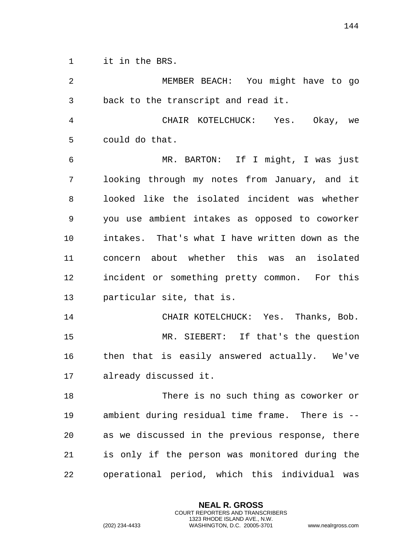it in the BRS.

| 2  | MEMBER BEACH: You might have to go               |
|----|--------------------------------------------------|
| 3  | back to the transcript and read it.              |
| 4  | CHAIR KOTELCHUCK: Yes. Okay, we                  |
| 5  | could do that.                                   |
| 6  | MR. BARTON: If I might, I was just               |
| 7  | looking through my notes from January, and it    |
| 8  | looked like the isolated incident was whether    |
| 9  | you use ambient intakes as opposed to coworker   |
| 10 | intakes. That's what I have written down as the  |
| 11 | concern about whether this was an isolated       |
| 12 | incident or something pretty common. For this    |
| 13 | particular site, that is.                        |
| 14 | CHAIR KOTELCHUCK: Yes. Thanks, Bob.              |
| 15 | MR. SIEBERT: If that's the question              |
| 16 | then that is easily answered actually. We've     |
| 17 | already discussed it.                            |
| 18 | There is no such thing as coworker or            |
| 19 | ambient during residual time frame. There is --  |
| 20 | as we discussed in the previous response, there  |
| 21 | is only if the person was monitored during the   |
| 22 | operational period, which this individual<br>was |

**NEAL R. GROSS** COURT REPORTERS AND TRANSCRIBERS 1323 RHODE ISLAND AVE., N.W.

(202) 234-4433 WASHINGTON, D.C. 20005-3701 www.nealrgross.com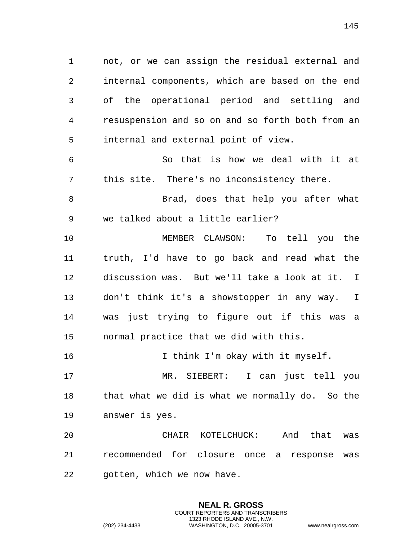not, or we can assign the residual external and internal components, which are based on the end of the operational period and settling and resuspension and so on and so forth both from an internal and external point of view. So that is how we deal with it at this site. There's no inconsistency there. Brad, does that help you after what we talked about a little earlier? MEMBER CLAWSON: To tell you the truth, I'd have to go back and read what the discussion was. But we'll take a look at it. I don't think it's a showstopper in any way. I was just trying to figure out if this was a normal practice that we did with this. 16 16 I think I'm okay with it myself. MR. SIEBERT: I can just tell you that what we did is what we normally do. So the answer is yes. CHAIR KOTELCHUCK: And that was recommended for closure once a response was gotten, which we now have.

> **NEAL R. GROSS** COURT REPORTERS AND TRANSCRIBERS 1323 RHODE ISLAND AVE., N.W.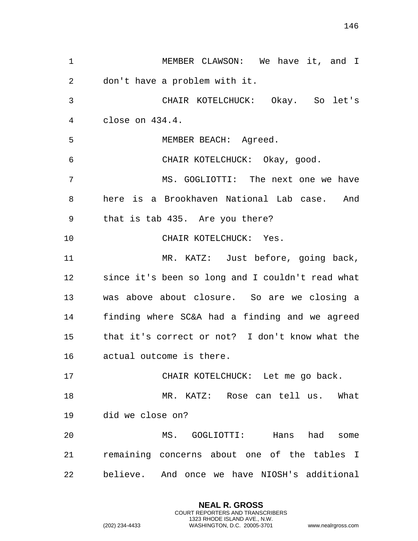MEMBER CLAWSON: We have it, and I don't have a problem with it. CHAIR KOTELCHUCK: Okay. So let's close on 434.4. MEMBER BEACH: Agreed. CHAIR KOTELCHUCK: Okay, good. MS. GOGLIOTTI: The next one we have here is a Brookhaven National Lab case. And that is tab 435. Are you there? 10 CHAIR KOTELCHUCK: Yes. MR. KATZ: Just before, going back, since it's been so long and I couldn't read what was above about closure. So are we closing a finding where SC&A had a finding and we agreed that it's correct or not? I don't know what the actual outcome is there. CHAIR KOTELCHUCK: Let me go back. MR. KATZ: Rose can tell us. What did we close on? MS. GOGLIOTTI: Hans had some remaining concerns about one of the tables I believe. And once we have NIOSH's additional

> **NEAL R. GROSS** COURT REPORTERS AND TRANSCRIBERS 1323 RHODE ISLAND AVE., N.W.

(202) 234-4433 WASHINGTON, D.C. 20005-3701 www.nealrgross.com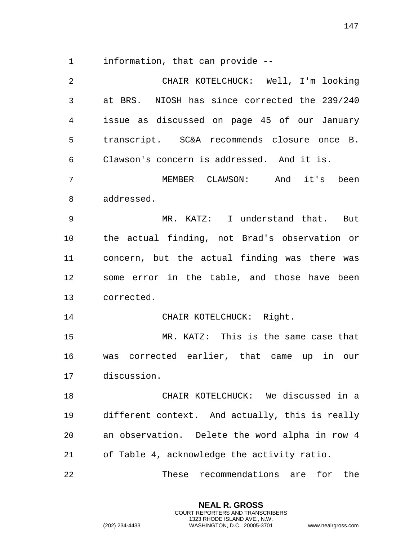information, that can provide --

 CHAIR KOTELCHUCK: Well, I'm looking at BRS. NIOSH has since corrected the 239/240 issue as discussed on page 45 of our January transcript. SC&A recommends closure once B. Clawson's concern is addressed. And it is. MEMBER CLAWSON: And it's been

addressed.

 MR. KATZ: I understand that. But the actual finding, not Brad's observation or concern, but the actual finding was there was some error in the table, and those have been corrected.

14 CHAIR KOTELCHUCK: Right.

 MR. KATZ: This is the same case that was corrected earlier, that came up in our discussion.

 CHAIR KOTELCHUCK: We discussed in a different context. And actually, this is really an observation. Delete the word alpha in row 4 of Table 4, acknowledge the activity ratio.

These recommendations are for the

**NEAL R. GROSS** COURT REPORTERS AND TRANSCRIBERS 1323 RHODE ISLAND AVE., N.W.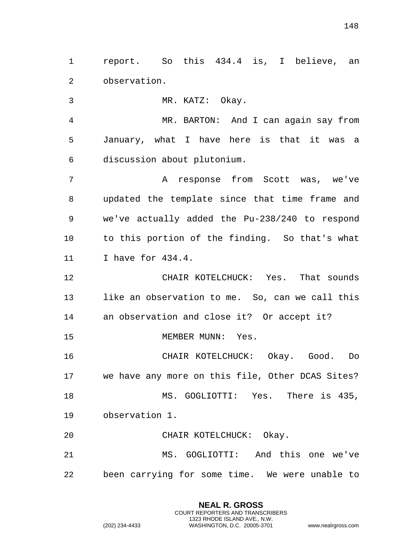report. So this 434.4 is, I believe, an observation.

MR. KATZ: Okay.

 MR. BARTON: And I can again say from January, what I have here is that it was a discussion about plutonium.

 A response from Scott was, we've updated the template since that time frame and we've actually added the Pu-238/240 to respond to this portion of the finding. So that's what I have for 434.4.

 CHAIR KOTELCHUCK: Yes. That sounds like an observation to me. So, can we call this an observation and close it? Or accept it?

15 MEMBER MUNN: Yes.

 CHAIR KOTELCHUCK: Okay. Good. Do we have any more on this file, Other DCAS Sites? MS. GOGLIOTTI: Yes. There is 435, observation 1.

CHAIR KOTELCHUCK: Okay.

 MS. GOGLIOTTI: And this one we've been carrying for some time. We were unable to

> **NEAL R. GROSS** COURT REPORTERS AND TRANSCRIBERS 1323 RHODE ISLAND AVE., N.W.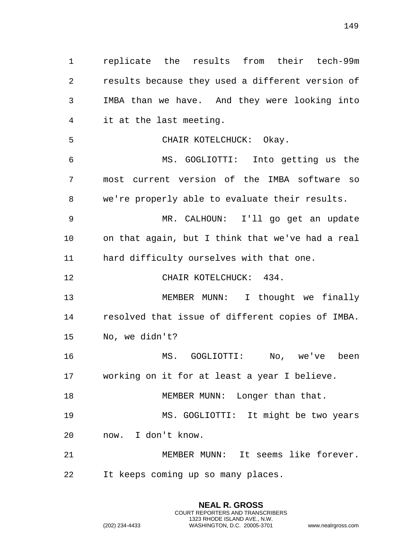replicate the results from their tech-99m results because they used a different version of IMBA than we have. And they were looking into it at the last meeting. CHAIR KOTELCHUCK: Okay. MS. GOGLIOTTI: Into getting us the most current version of the IMBA software so we're properly able to evaluate their results. MR. CALHOUN: I'll go get an update on that again, but I think that we've had a real hard difficulty ourselves with that one. 12 CHAIR KOTELCHUCK: 434. MEMBER MUNN: I thought we finally resolved that issue of different copies of IMBA. No, we didn't? MS. GOGLIOTTI: No, we've been working on it for at least a year I believe. 18 MEMBER MUNN: Longer than that. MS. GOGLIOTTI: It might be two years now. I don't know. MEMBER MUNN: It seems like forever. It keeps coming up so many places.

> **NEAL R. GROSS** COURT REPORTERS AND TRANSCRIBERS 1323 RHODE ISLAND AVE., N.W.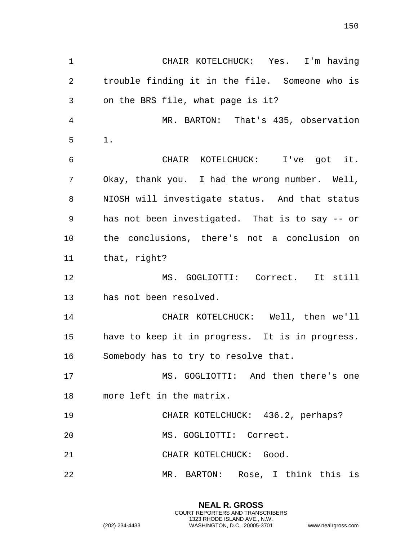CHAIR KOTELCHUCK: Yes. I'm having trouble finding it in the file. Someone who is on the BRS file, what page is it? MR. BARTON: That's 435, observation 1. CHAIR KOTELCHUCK: I've got it. Okay, thank you. I had the wrong number. Well, NIOSH will investigate status. And that status has not been investigated. That is to say -- or the conclusions, there's not a conclusion on that, right? MS. GOGLIOTTI: Correct. It still has not been resolved. CHAIR KOTELCHUCK: Well, then we'll have to keep it in progress. It is in progress. Somebody has to try to resolve that. MS. GOGLIOTTI: And then there's one more left in the matrix. CHAIR KOTELCHUCK: 436.2, perhaps? MS. GOGLIOTTI: Correct. 21 CHAIR KOTELCHUCK: Good. MR. BARTON: Rose, I think this is

> **NEAL R. GROSS** COURT REPORTERS AND TRANSCRIBERS 1323 RHODE ISLAND AVE., N.W.

(202) 234-4433 WASHINGTON, D.C. 20005-3701 www.nealrgross.com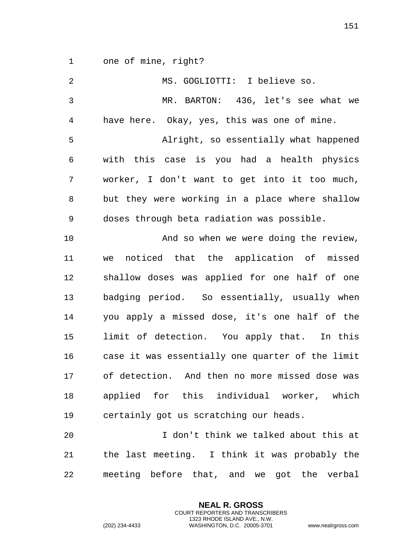one of mine, right?

| 2  | MS. GOGLIOTTI: I believe so.                     |
|----|--------------------------------------------------|
| 3  | MR. BARTON: 436, let's see what we               |
| 4  | have here. Okay, yes, this was one of mine.      |
| 5  | Alright, so essentially what happened            |
| 6  | with this case is you had a health physics       |
| 7  | worker, I don't want to get into it too much,    |
| 8  | but they were working in a place where shallow   |
| 9  | doses through beta radiation was possible.       |
| 10 | And so when we were doing the review,            |
| 11 | noticed that the application of missed<br>we     |
| 12 | shallow doses was applied for one half of one    |
| 13 | badging period. So essentially, usually when     |
| 14 | you apply a missed dose, it's one half of the    |
| 15 | limit of detection. You apply that. In this      |
| 16 | case it was essentially one quarter of the limit |
| 17 | of detection. And then no more missed dose was   |
| 18 | applied for this individual worker, which        |
| 19 | certainly got us scratching our heads.           |
| 20 | I don't think we talked about this at            |
| 21 | the last meeting. I think it was probably the    |
| 22 | meeting before that, and we got the verbal       |

**NEAL R. GROSS** COURT REPORTERS AND TRANSCRIBERS 1323 RHODE ISLAND AVE., N.W.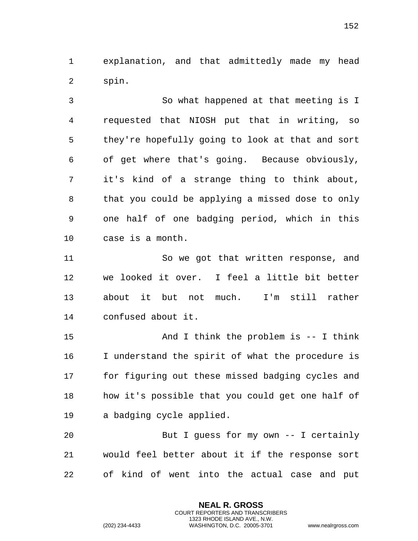explanation, and that admittedly made my head spin.

 So what happened at that meeting is I requested that NIOSH put that in writing, so they're hopefully going to look at that and sort of get where that's going. Because obviously, it's kind of a strange thing to think about, that you could be applying a missed dose to only one half of one badging period, which in this case is a month.

 So we got that written response, and we looked it over. I feel a little bit better about it but not much. I'm still rather confused about it.

 And I think the problem is -- I think I understand the spirit of what the procedure is for figuring out these missed badging cycles and how it's possible that you could get one half of a badging cycle applied.

 But I guess for my own -- I certainly would feel better about it if the response sort of kind of went into the actual case and put

> **NEAL R. GROSS** COURT REPORTERS AND TRANSCRIBERS 1323 RHODE ISLAND AVE., N.W.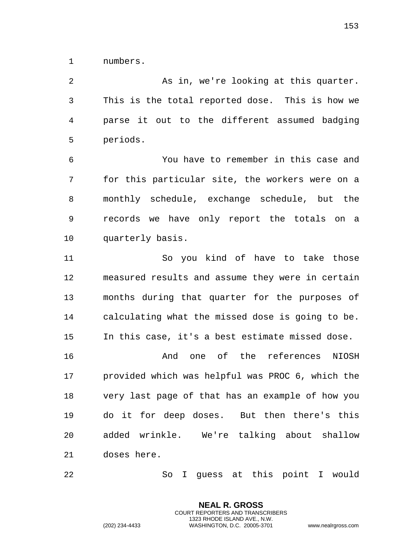numbers.

 As in, we're looking at this quarter. This is the total reported dose. This is how we parse it out to the different assumed badging periods.

 You have to remember in this case and for this particular site, the workers were on a monthly schedule, exchange schedule, but the records we have only report the totals on a quarterly basis.

 So you kind of have to take those measured results and assume they were in certain months during that quarter for the purposes of calculating what the missed dose is going to be. In this case, it's a best estimate missed dose.

 And one of the references NIOSH provided which was helpful was PROC 6, which the very last page of that has an example of how you do it for deep doses. But then there's this added wrinkle. We're talking about shallow doses here.

So I guess at this point I would

**NEAL R. GROSS** COURT REPORTERS AND TRANSCRIBERS 1323 RHODE ISLAND AVE., N.W.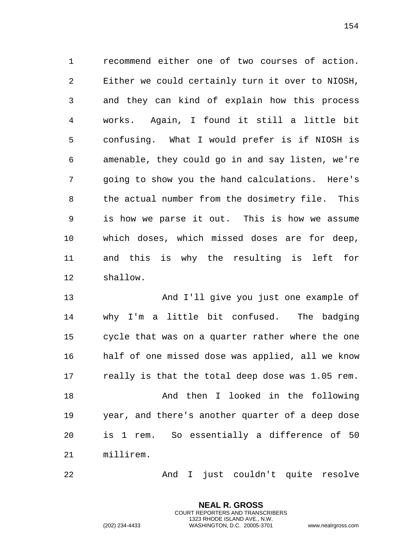recommend either one of two courses of action. Either we could certainly turn it over to NIOSH, and they can kind of explain how this process works. Again, I found it still a little bit confusing. What I would prefer is if NIOSH is amenable, they could go in and say listen, we're going to show you the hand calculations. Here's the actual number from the dosimetry file. This is how we parse it out. This is how we assume which doses, which missed doses are for deep, and this is why the resulting is left for shallow.

 And I'll give you just one example of why I'm a little bit confused. The badging cycle that was on a quarter rather where the one half of one missed dose was applied, all we know really is that the total deep dose was 1.05 rem. And then I looked in the following year, and there's another quarter of a deep dose is 1 rem. So essentially a difference of 50 millirem.

And I just couldn't quite resolve

**NEAL R. GROSS** COURT REPORTERS AND TRANSCRIBERS 1323 RHODE ISLAND AVE., N.W.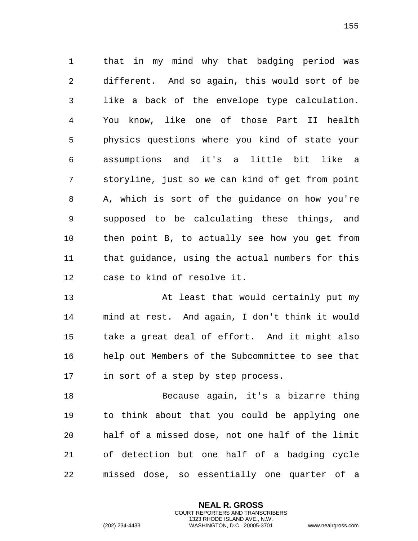that in my mind why that badging period was different. And so again, this would sort of be like a back of the envelope type calculation. You know, like one of those Part II health physics questions where you kind of state your assumptions and it's a little bit like a storyline, just so we can kind of get from point A, which is sort of the guidance on how you're supposed to be calculating these things, and then point B, to actually see how you get from that guidance, using the actual numbers for this case to kind of resolve it.

 At least that would certainly put my mind at rest. And again, I don't think it would take a great deal of effort. And it might also help out Members of the Subcommittee to see that in sort of a step by step process.

 Because again, it's a bizarre thing to think about that you could be applying one half of a missed dose, not one half of the limit of detection but one half of a badging cycle missed dose, so essentially one quarter of a

> **NEAL R. GROSS** COURT REPORTERS AND TRANSCRIBERS 1323 RHODE ISLAND AVE., N.W.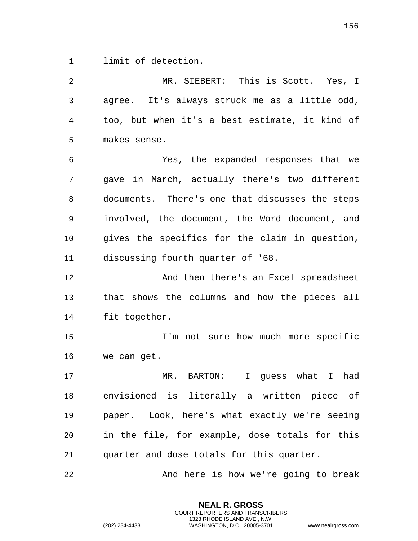limit of detection.

| 2              | MR. SIEBERT: This is Scott. Yes, I              |
|----------------|-------------------------------------------------|
| $\mathfrak{Z}$ | agree. It's always struck me as a little odd,   |
| 4              | too, but when it's a best estimate, it kind of  |
| 5              | makes sense.                                    |
| 6              | Yes, the expanded responses that we             |
| 7              | gave in March, actually there's two different   |
| 8              | documents. There's one that discusses the steps |
| 9              | involved, the document, the Word document, and  |
| 10             | gives the specifics for the claim in question,  |
| 11             | discussing fourth quarter of '68.               |
| 12             | And then there's an Excel spreadsheet           |
| 13             | that shows the columns and how the pieces all   |
| 14             | fit together.                                   |
| 15             | I'm not sure how much more specific             |
| 16             | we can get.                                     |
| 17             | MR. BARTON: I guess what I had                  |
| 18             | envisioned is literally a written piece of      |
| 19             | paper. Look, here's what exactly we're seeing   |
| 20             | in the file, for example, dose totals for this  |
| 21             | quarter and dose totals for this quarter.       |
| 22             | And here is how we're going to break            |

**NEAL R. GROSS** COURT REPORTERS AND TRANSCRIBERS 1323 RHODE ISLAND AVE., N.W.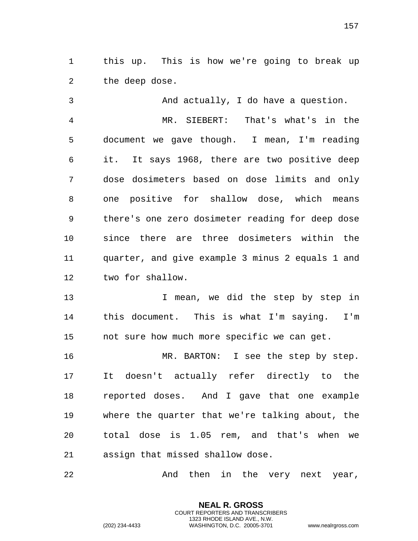this up. This is how we're going to break up the deep dose.

 And actually, I do have a question. MR. SIEBERT: That's what's in the document we gave though. I mean, I'm reading it. It says 1968, there are two positive deep dose dosimeters based on dose limits and only one positive for shallow dose, which means there's one zero dosimeter reading for deep dose since there are three dosimeters within the quarter, and give example 3 minus 2 equals 1 and two for shallow.

13 13 I mean, we did the step by step in this document. This is what I'm saying. I'm not sure how much more specific we can get.

16 MR. BARTON: I see the step by step. It doesn't actually refer directly to the reported doses. And I gave that one example where the quarter that we're talking about, the total dose is 1.05 rem, and that's when we assign that missed shallow dose.

And then in the very next year,

**NEAL R. GROSS** COURT REPORTERS AND TRANSCRIBERS 1323 RHODE ISLAND AVE., N.W.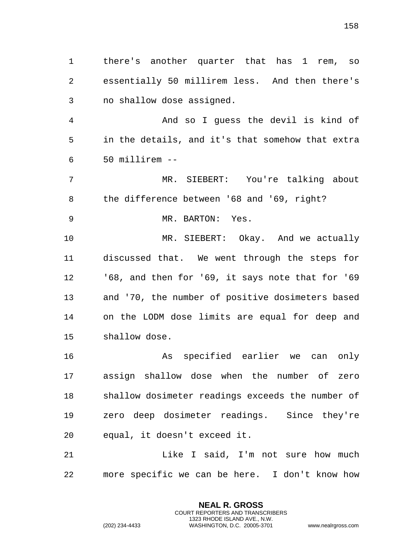there's another quarter that has 1 rem, so essentially 50 millirem less. And then there's no shallow dose assigned. And so I guess the devil is kind of in the details, and it's that somehow that extra 50 millirem -- MR. SIEBERT: You're talking about the difference between '68 and '69, right? MR. BARTON: Yes. MR. SIEBERT: Okay. And we actually discussed that. We went through the steps for '68, and then for '69, it says note that for '69 and '70, the number of positive dosimeters based on the LODM dose limits are equal for deep and shallow dose. As specified earlier we can only assign shallow dose when the number of zero shallow dosimeter readings exceeds the number of zero deep dosimeter readings. Since they're

equal, it doesn't exceed it.

 Like I said, I'm not sure how much more specific we can be here. I don't know how

> **NEAL R. GROSS** COURT REPORTERS AND TRANSCRIBERS 1323 RHODE ISLAND AVE., N.W.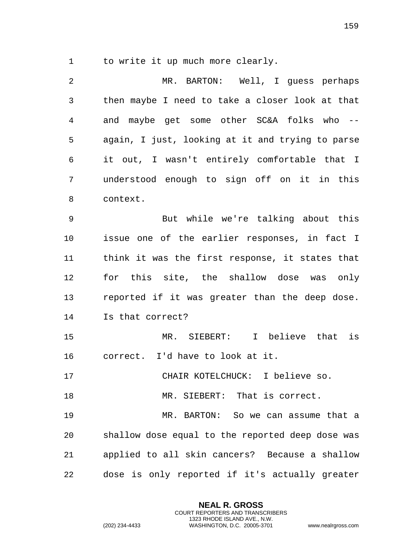to write it up much more clearly.

 MR. BARTON: Well, I guess perhaps then maybe I need to take a closer look at that and maybe get some other SC&A folks who -- again, I just, looking at it and trying to parse it out, I wasn't entirely comfortable that I understood enough to sign off on it in this context. But while we're talking about this issue one of the earlier responses, in fact I think it was the first response, it states that for this site, the shallow dose was only reported if it was greater than the deep dose. Is that correct? MR. SIEBERT: I believe that is correct. I'd have to look at it. CHAIR KOTELCHUCK: I believe so. MR. SIEBERT: That is correct. MR. BARTON: So we can assume that a shallow dose equal to the reported deep dose was applied to all skin cancers? Because a shallow dose is only reported if it's actually greater

> **NEAL R. GROSS** COURT REPORTERS AND TRANSCRIBERS 1323 RHODE ISLAND AVE., N.W.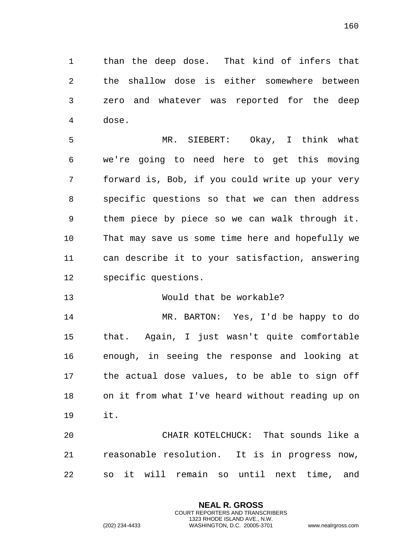than the deep dose. That kind of infers that the shallow dose is either somewhere between zero and whatever was reported for the deep dose.

 MR. SIEBERT: Okay, I think what we're going to need here to get this moving forward is, Bob, if you could write up your very specific questions so that we can then address them piece by piece so we can walk through it. That may save us some time here and hopefully we can describe it to your satisfaction, answering specific questions.

## Would that be workable?

 MR. BARTON: Yes, I'd be happy to do that. Again, I just wasn't quite comfortable enough, in seeing the response and looking at the actual dose values, to be able to sign off on it from what I've heard without reading up on it.

 CHAIR KOTELCHUCK: That sounds like a reasonable resolution. It is in progress now, so it will remain so until next time, and

> **NEAL R. GROSS** COURT REPORTERS AND TRANSCRIBERS 1323 RHODE ISLAND AVE., N.W.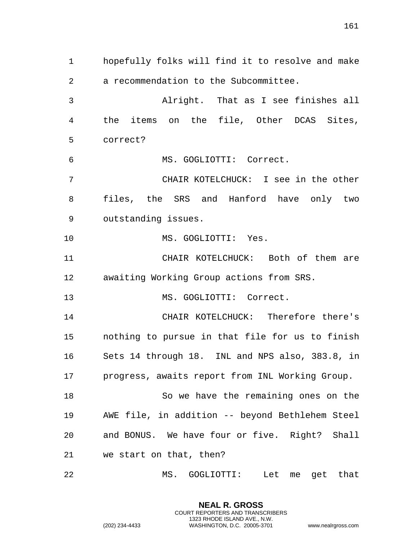hopefully folks will find it to resolve and make a recommendation to the Subcommittee. Alright. That as I see finishes all the items on the file, Other DCAS Sites, correct? MS. GOGLIOTTI: Correct. CHAIR KOTELCHUCK: I see in the other files, the SRS and Hanford have only two outstanding issues. MS. GOGLIOTTI: Yes. CHAIR KOTELCHUCK: Both of them are awaiting Working Group actions from SRS. 13 MS. GOGLIOTTI: Correct. CHAIR KOTELCHUCK: Therefore there's nothing to pursue in that file for us to finish Sets 14 through 18. INL and NPS also, 383.8, in progress, awaits report from INL Working Group. So we have the remaining ones on the AWE file, in addition -- beyond Bethlehem Steel and BONUS. We have four or five. Right? Shall we start on that, then? MS. GOGLIOTTI: Let me get that

> **NEAL R. GROSS** COURT REPORTERS AND TRANSCRIBERS 1323 RHODE ISLAND AVE., N.W.

(202) 234-4433 WASHINGTON, D.C. 20005-3701 www.nealrgross.com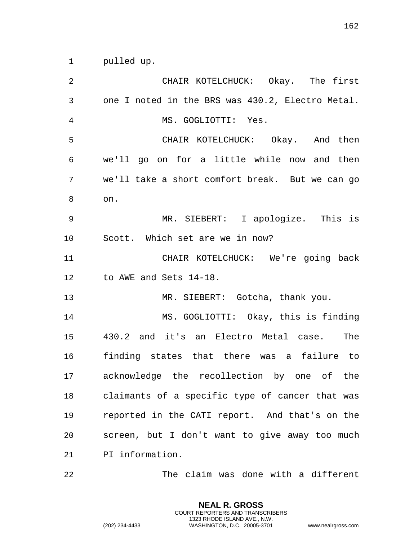| 2              | CHAIR KOTELCHUCK: Okay. The first                |
|----------------|--------------------------------------------------|
| $\mathfrak{Z}$ | one I noted in the BRS was 430.2, Electro Metal. |
| $\overline{4}$ | MS. GOGLIOTTI: Yes.                              |
| 5              | CHAIR KOTELCHUCK: Okay. And then                 |
| 6              | we'll go on for a little while now and then      |
| 7              | we'll take a short comfort break. But we can go  |
| 8              | on.                                              |
| 9              | MR. SIEBERT: I apologize. This is                |
| 10             | Scott. Which set are we in now?                  |
| 11             | CHAIR KOTELCHUCK: We're going back               |
| 12             | to AWE and Sets 14-18.                           |
| 13             | MR. SIEBERT: Gotcha, thank you.                  |
| 14             | MS. GOGLIOTTI: Okay, this is finding             |
| 15             | 430.2 and it's an Electro Metal case.<br>The     |
| 16             | finding states that there was a failure to       |
| 17             | acknowledge the recollection by one of the       |
| 18             | claimants of a specific type of cancer that was  |
| 19             | reported in the CATI report. And that's on the   |
| 20             | screen, but I don't want to give away too much   |
| 21             | PI information.                                  |
|                |                                                  |

The claim was done with a different

**NEAL R. GROSS** COURT REPORTERS AND TRANSCRIBERS 1323 RHODE ISLAND AVE., N.W.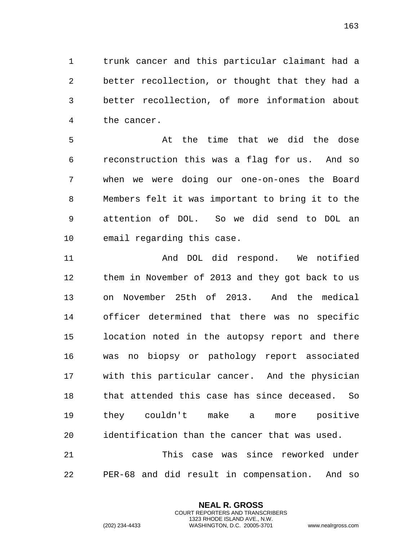trunk cancer and this particular claimant had a better recollection, or thought that they had a better recollection, of more information about the cancer.

 At the time that we did the dose reconstruction this was a flag for us. And so when we were doing our one-on-ones the Board Members felt it was important to bring it to the attention of DOL. So we did send to DOL an email regarding this case.

 And DOL did respond. We notified them in November of 2013 and they got back to us on November 25th of 2013. And the medical officer determined that there was no specific location noted in the autopsy report and there was no biopsy or pathology report associated with this particular cancer. And the physician that attended this case has since deceased. So they couldn't make a more positive identification than the cancer that was used. This case was since reworked under

PER-68 and did result in compensation. And so

**NEAL R. GROSS** COURT REPORTERS AND TRANSCRIBERS 1323 RHODE ISLAND AVE., N.W.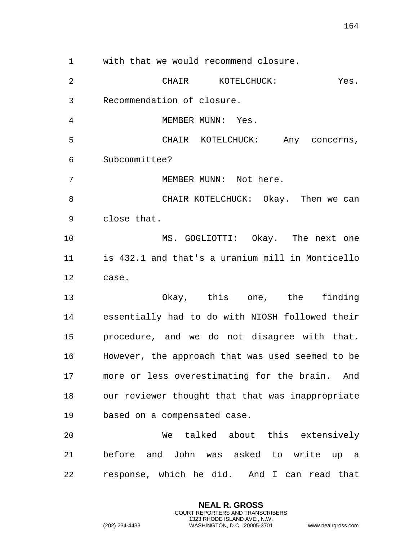with that we would recommend closure. CHAIR KOTELCHUCK: Yes. Recommendation of closure. 4 MEMBER MUNN: Yes. CHAIR KOTELCHUCK: Any concerns, Subcommittee? 7 MEMBER MUNN: Not here. 8 CHAIR KOTELCHUCK: Okay. Then we can close that. MS. GOGLIOTTI: Okay. The next one is 432.1 and that's a uranium mill in Monticello case. Okay, this one, the finding essentially had to do with NIOSH followed their procedure, and we do not disagree with that. However, the approach that was used seemed to be more or less overestimating for the brain. And our reviewer thought that that was inappropriate based on a compensated case. We talked about this extensively before and John was asked to write up a response, which he did. And I can read that

> **NEAL R. GROSS** COURT REPORTERS AND TRANSCRIBERS 1323 RHODE ISLAND AVE., N.W.

(202) 234-4433 WASHINGTON, D.C. 20005-3701 www.nealrgross.com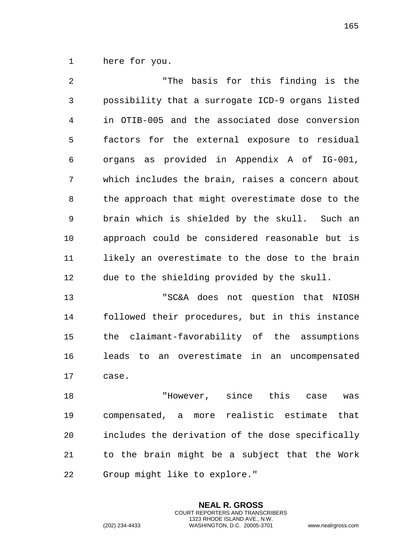here for you.

 "The basis for this finding is the possibility that a surrogate ICD-9 organs listed in OTIB-005 and the associated dose conversion factors for the external exposure to residual organs as provided in Appendix A of IG-001, which includes the brain, raises a concern about the approach that might overestimate dose to the brain which is shielded by the skull. Such an approach could be considered reasonable but is likely an overestimate to the dose to the brain due to the shielding provided by the skull. "SC&A does not question that NIOSH followed their procedures, but in this instance the claimant-favorability of the assumptions leads to an overestimate in an uncompensated case. "However, since this case was compensated, a more realistic estimate that includes the derivation of the dose specifically

 to the brain might be a subject that the Work Group might like to explore."

> **NEAL R. GROSS** COURT REPORTERS AND TRANSCRIBERS 1323 RHODE ISLAND AVE., N.W.

(202) 234-4433 WASHINGTON, D.C. 20005-3701 www.nealrgross.com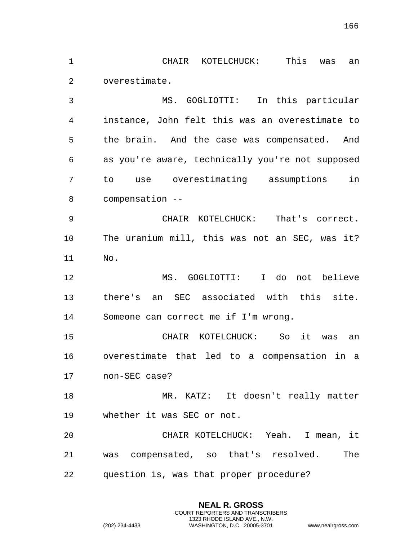CHAIR KOTELCHUCK: This was an

overestimate.

 MS. GOGLIOTTI: In this particular instance, John felt this was an overestimate to the brain. And the case was compensated. And as you're aware, technically you're not supposed to use overestimating assumptions in compensation --

 CHAIR KOTELCHUCK: That's correct. The uranium mill, this was not an SEC, was it? No.

 MS. GOGLIOTTI: I do not believe there's an SEC associated with this site. Someone can correct me if I'm wrong.

 CHAIR KOTELCHUCK: So it was an overestimate that led to a compensation in a non-SEC case?

 MR. KATZ: It doesn't really matter whether it was SEC or not.

 CHAIR KOTELCHUCK: Yeah. I mean, it was compensated, so that's resolved. The question is, was that proper procedure?

> **NEAL R. GROSS** COURT REPORTERS AND TRANSCRIBERS 1323 RHODE ISLAND AVE., N.W.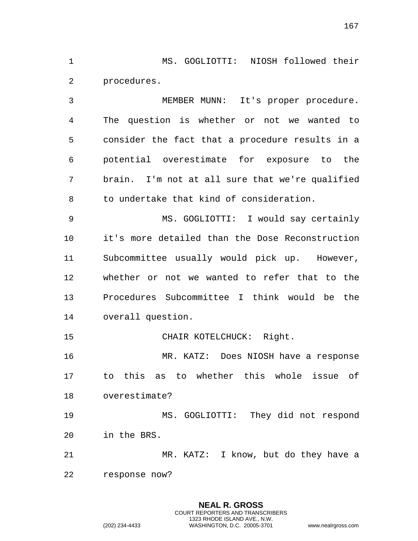MS. GOGLIOTTI: NIOSH followed their procedures.

 MEMBER MUNN: It's proper procedure. The question is whether or not we wanted to consider the fact that a procedure results in a potential overestimate for exposure to the brain. I'm not at all sure that we're qualified to undertake that kind of consideration.

 MS. GOGLIOTTI: I would say certainly it's more detailed than the Dose Reconstruction Subcommittee usually would pick up. However, whether or not we wanted to refer that to the Procedures Subcommittee I think would be the overall question.

CHAIR KOTELCHUCK: Right.

 MR. KATZ: Does NIOSH have a response to this as to whether this whole issue of overestimate?

 MS. GOGLIOTTI: They did not respond in the BRS.

 MR. KATZ: I know, but do they have a response now?

**NEAL R. GROSS**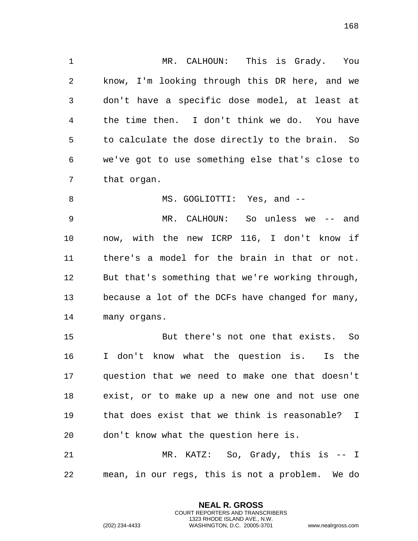MR. CALHOUN: This is Grady. You know, I'm looking through this DR here, and we don't have a specific dose model, at least at the time then. I don't think we do. You have to calculate the dose directly to the brain. So we've got to use something else that's close to that organ.

 MR. CALHOUN: So unless we -- and now, with the new ICRP 116, I don't know if there's a model for the brain in that or not. But that's something that we're working through, because a lot of the DCFs have changed for many, many organs.

8 MS. GOGLIOTTI: Yes, and --

 But there's not one that exists. So I don't know what the question is. Is the question that we need to make one that doesn't exist, or to make up a new one and not use one that does exist that we think is reasonable? I don't know what the question here is.

 MR. KATZ: So, Grady, this is -- I mean, in our regs, this is not a problem. We do

> **NEAL R. GROSS** COURT REPORTERS AND TRANSCRIBERS 1323 RHODE ISLAND AVE., N.W.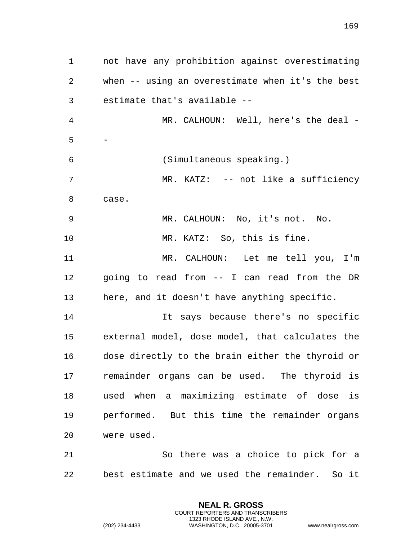not have any prohibition against overestimating when -- using an overestimate when it's the best estimate that's available -- MR. CALHOUN: Well, here's the deal - - (Simultaneous speaking.) 7 MR. KATZ: -- not like a sufficiency case. MR. CALHOUN: No, it's not. No. MR. KATZ: So, this is fine. MR. CALHOUN: Let me tell you, I'm going to read from -- I can read from the DR here, and it doesn't have anything specific. It says because there's no specific external model, dose model, that calculates the dose directly to the brain either the thyroid or remainder organs can be used. The thyroid is used when a maximizing estimate of dose is performed. But this time the remainder organs were used. So there was a choice to pick for a best estimate and we used the remainder. So it

> **NEAL R. GROSS** COURT REPORTERS AND TRANSCRIBERS 1323 RHODE ISLAND AVE., N.W.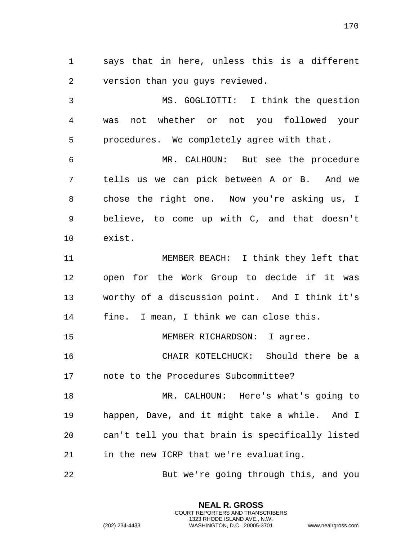says that in here, unless this is a different version than you guys reviewed.

 MS. GOGLIOTTI: I think the question was not whether or not you followed your procedures. We completely agree with that.

 MR. CALHOUN: But see the procedure tells us we can pick between A or B. And we chose the right one. Now you're asking us, I believe, to come up with C, and that doesn't exist.

 MEMBER BEACH: I think they left that open for the Work Group to decide if it was worthy of a discussion point. And I think it's fine. I mean, I think we can close this.

MEMBER RICHARDSON: I agree.

 CHAIR KOTELCHUCK: Should there be a note to the Procedures Subcommittee?

 MR. CALHOUN: Here's what's going to happen, Dave, and it might take a while. And I can't tell you that brain is specifically listed in the new ICRP that we're evaluating.

But we're going through this, and you

**NEAL R. GROSS** COURT REPORTERS AND TRANSCRIBERS 1323 RHODE ISLAND AVE., N.W.

(202) 234-4433 WASHINGTON, D.C. 20005-3701 www.nealrgross.com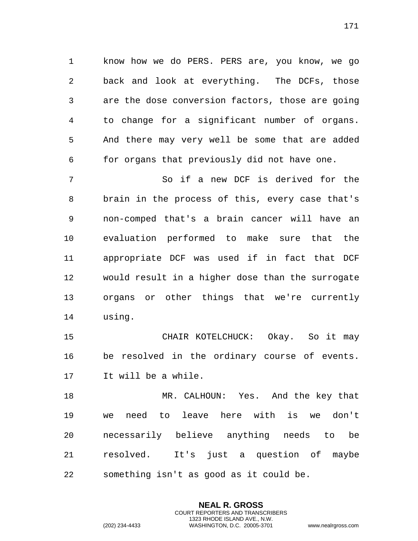know how we do PERS. PERS are, you know, we go back and look at everything. The DCFs, those are the dose conversion factors, those are going to change for a significant number of organs. And there may very well be some that are added for organs that previously did not have one.

 So if a new DCF is derived for the brain in the process of this, every case that's non-comped that's a brain cancer will have an evaluation performed to make sure that the appropriate DCF was used if in fact that DCF would result in a higher dose than the surrogate organs or other things that we're currently using.

 CHAIR KOTELCHUCK: Okay. So it may be resolved in the ordinary course of events. It will be a while.

 MR. CALHOUN: Yes. And the key that we need to leave here with is we don't necessarily believe anything needs to be resolved. It's just a question of maybe something isn't as good as it could be.

> **NEAL R. GROSS** COURT REPORTERS AND TRANSCRIBERS 1323 RHODE ISLAND AVE., N.W.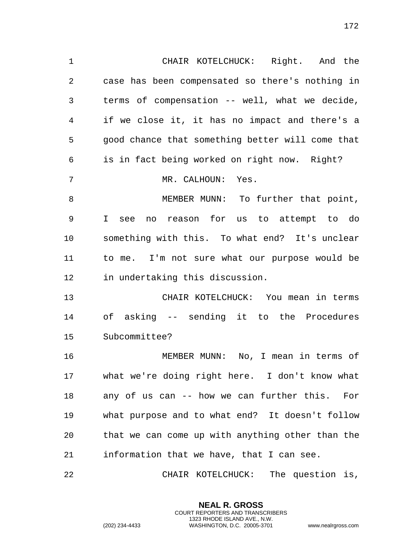case has been compensated so there's nothing in terms of compensation -- well, what we decide, if we close it, it has no impact and there's a good chance that something better will come that is in fact being worked on right now. Right? 7 MR. CALHOUN: Yes. 8 MEMBER MUNN: To further that point, I see no reason for us to attempt to do something with this. To what end? It's unclear to me. I'm not sure what our purpose would be in undertaking this discussion. CHAIR KOTELCHUCK: You mean in terms of asking -- sending it to the Procedures Subcommittee? MEMBER MUNN: No, I mean in terms of

CHAIR KOTELCHUCK: Right. And the

 what we're doing right here. I don't know what any of us can -- how we can further this. For what purpose and to what end? It doesn't follow that we can come up with anything other than the information that we have, that I can see.

CHAIR KOTELCHUCK: The question is,

**NEAL R. GROSS** COURT REPORTERS AND TRANSCRIBERS 1323 RHODE ISLAND AVE., N.W.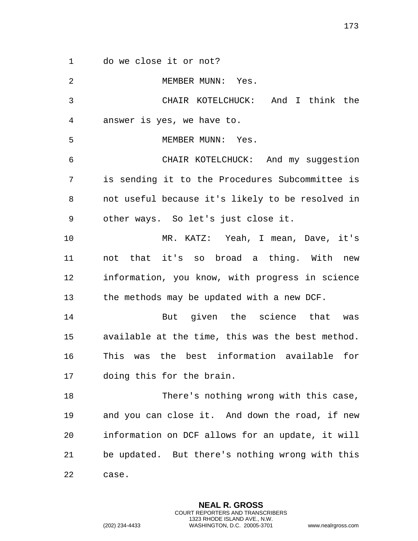do we close it or not?

| $\overline{2}$ | MEMBER MUNN: Yes.                                |
|----------------|--------------------------------------------------|
| 3              | CHAIR KOTELCHUCK: And I think the                |
| 4              | answer is yes, we have to.                       |
| 5              | MEMBER MUNN: Yes.                                |
| 6              | CHAIR KOTELCHUCK: And my suggestion              |
| 7              | is sending it to the Procedures Subcommittee is  |
| 8              | not useful because it's likely to be resolved in |
| 9              | other ways. So let's just close it.              |
| 10             | MR. KATZ: Yeah, I mean, Dave, it's               |
| 11             | not that it's so broad a thing. With new         |
| 12             | information, you know, with progress in science  |
| 13             | the methods may be updated with a new DCF.       |
| 14             | But given the science that<br>was                |
| 15             | available at the time, this was the best method. |
| 16             | This was the best information available for      |
| 17             | doing this for the brain.                        |
| 18             | There's nothing wrong with this case,            |
| 19             | and you can close it. And down the road, if new  |
| 20             | information on DCF allows for an update, it will |
| 21             | be updated. But there's nothing wrong with this  |
| 22             | case.                                            |

**NEAL R. GROSS** COURT REPORTERS AND TRANSCRIBERS 1323 RHODE ISLAND AVE., N.W.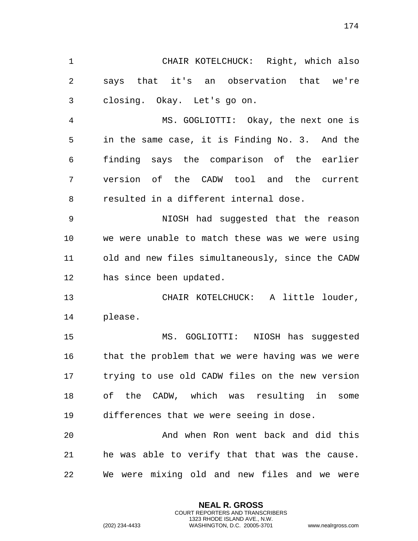CHAIR KOTELCHUCK: Right, which also says that it's an observation that we're closing. Okay. Let's go on. MS. GOGLIOTTI: Okay, the next one is

 in the same case, it is Finding No. 3. And the finding says the comparison of the earlier version of the CADW tool and the current resulted in a different internal dose.

 NIOSH had suggested that the reason we were unable to match these was we were using old and new files simultaneously, since the CADW has since been updated.

 CHAIR KOTELCHUCK: A little louder, please.

 MS. GOGLIOTTI: NIOSH has suggested that the problem that we were having was we were trying to use old CADW files on the new version of the CADW, which was resulting in some differences that we were seeing in dose.

 And when Ron went back and did this he was able to verify that that was the cause. We were mixing old and new files and we were

> **NEAL R. GROSS** COURT REPORTERS AND TRANSCRIBERS 1323 RHODE ISLAND AVE., N.W.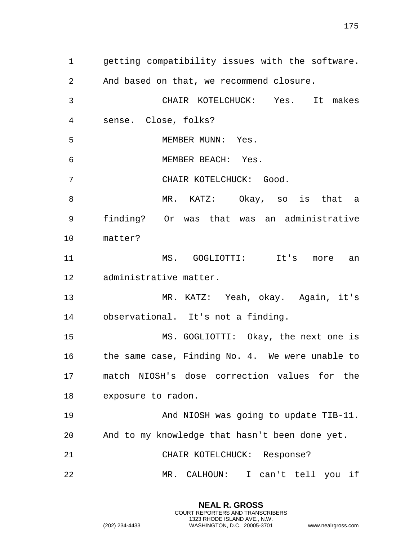getting compatibility issues with the software. And based on that, we recommend closure. CHAIR KOTELCHUCK: Yes. It makes sense. Close, folks? 5 MEMBER MUNN: Yes. MEMBER BEACH: Yes. CHAIR KOTELCHUCK: Good. MR. KATZ: Okay, so is that a finding? Or was that was an administrative matter? MS. GOGLIOTTI: It's more an administrative matter. MR. KATZ: Yeah, okay. Again, it's observational. It's not a finding. MS. GOGLIOTTI: Okay, the next one is the same case, Finding No. 4. We were unable to match NIOSH's dose correction values for the exposure to radon. 19 And NIOSH was going to update TIB-11. And to my knowledge that hasn't been done yet. CHAIR KOTELCHUCK: Response? MR. CALHOUN: I can't tell you if

> **NEAL R. GROSS** COURT REPORTERS AND TRANSCRIBERS 1323 RHODE ISLAND AVE., N.W.

(202) 234-4433 WASHINGTON, D.C. 20005-3701 www.nealrgross.com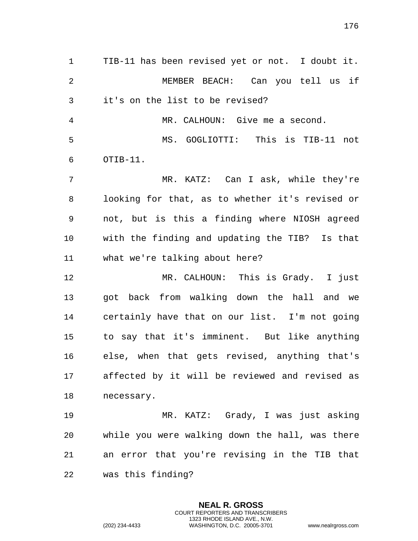TIB-11 has been revised yet or not. I doubt it. MEMBER BEACH: Can you tell us if it's on the list to be revised? MR. CALHOUN: Give me a second.

 MS. GOGLIOTTI: This is TIB-11 not OTIB-11.

 MR. KATZ: Can I ask, while they're looking for that, as to whether it's revised or not, but is this a finding where NIOSH agreed with the finding and updating the TIB? Is that what we're talking about here?

 MR. CALHOUN: This is Grady. I just got back from walking down the hall and we certainly have that on our list. I'm not going to say that it's imminent. But like anything else, when that gets revised, anything that's affected by it will be reviewed and revised as necessary.

 MR. KATZ: Grady, I was just asking while you were walking down the hall, was there an error that you're revising in the TIB that was this finding?

> **NEAL R. GROSS** COURT REPORTERS AND TRANSCRIBERS 1323 RHODE ISLAND AVE., N.W.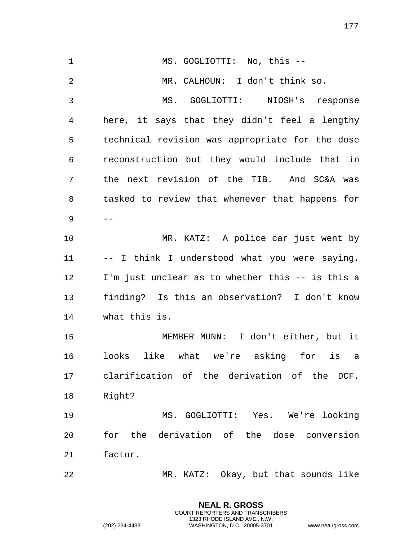| $\mathbf{1}$   | MS. GOGLIOTTI: No, this --                       |
|----------------|--------------------------------------------------|
| 2              | MR. CALHOUN: I don't think so.                   |
| $\mathfrak{Z}$ | MS. GOGLIOTTI: NIOSH's response                  |
| 4              | here, it says that they didn't feel a lengthy    |
| 5              | technical revision was appropriate for the dose  |
| 6              | reconstruction but they would include that in    |
| 7              | the next revision of the TIB. And SC&A was       |
| 8              | tasked to review that whenever that happens for  |
| 9              |                                                  |
| 10             | MR. KATZ: A police car just went by              |
| 11             | -- I think I understood what you were saying.    |
| 12             | I'm just unclear as to whether this -- is this a |
| 13             | finding? Is this an observation? I don't know    |
| 14             | what this is.                                    |
| 15             | MEMBER MUNN: I don't either, but it              |
| 16             | like what we're asking for is<br>looks<br>a a    |
| 17             | clarification of the derivation of the DCF.      |
| 18             | Right?                                           |
| 19             | MS. GOGLIOTTI: Yes. We're looking                |
| 20             | for the derivation of the dose conversion        |
| 21             | factor.                                          |
| 22             | MR. KATZ: Okay, but that sounds like             |

**NEAL R. GROSS** COURT REPORTERS AND TRANSCRIBERS 1323 RHODE ISLAND AVE., N.W.

(202) 234-4433 WASHINGTON, D.C. 20005-3701 www.nealrgross.com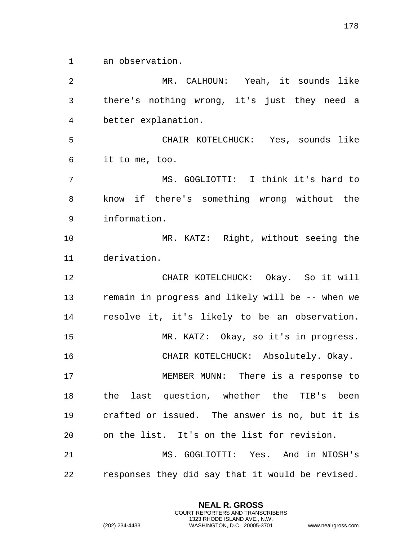an observation.

 MR. CALHOUN: Yeah, it sounds like there's nothing wrong, it's just they need a better explanation. CHAIR KOTELCHUCK: Yes, sounds like it to me, too. MS. GOGLIOTTI: I think it's hard to know if there's something wrong without the information. MR. KATZ: Right, without seeing the derivation. CHAIR KOTELCHUCK: Okay. So it will remain in progress and likely will be -- when we resolve it, it's likely to be an observation. MR. KATZ: Okay, so it's in progress. CHAIR KOTELCHUCK: Absolutely. Okay. MEMBER MUNN: There is a response to the last question, whether the TIB's been crafted or issued. The answer is no, but it is on the list. It's on the list for revision. MS. GOGLIOTTI: Yes. And in NIOSH's responses they did say that it would be revised.

> **NEAL R. GROSS** COURT REPORTERS AND TRANSCRIBERS 1323 RHODE ISLAND AVE., N.W.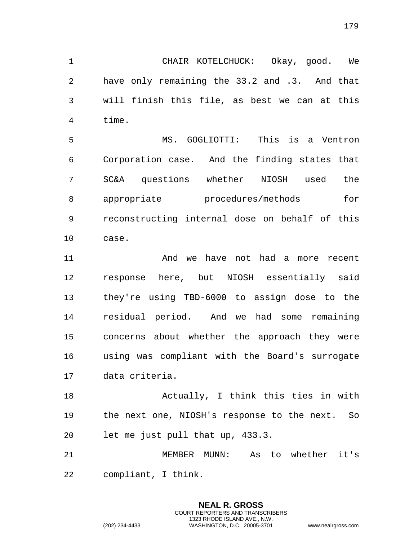CHAIR KOTELCHUCK: Okay, good. We have only remaining the 33.2 and .3. And that will finish this file, as best we can at this time.

 MS. GOGLIOTTI: This is a Ventron Corporation case. And the finding states that SC&A questions whether NIOSH used the 8 appropriate procedures/methods for reconstructing internal dose on behalf of this case.

11 And we have not had a more recent response here, but NIOSH essentially said they're using TBD-6000 to assign dose to the residual period. And we had some remaining concerns about whether the approach they were using was compliant with the Board's surrogate data criteria.

 Actually, I think this ties in with the next one, NIOSH's response to the next. So let me just pull that up, 433.3.

 MEMBER MUNN: As to whether it's compliant, I think.

> **NEAL R. GROSS** COURT REPORTERS AND TRANSCRIBERS 1323 RHODE ISLAND AVE., N.W.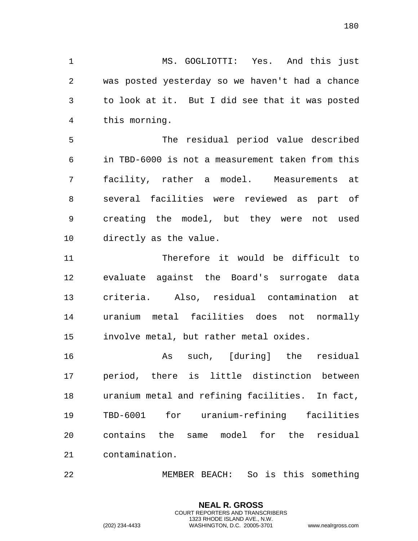MS. GOGLIOTTI: Yes. And this just was posted yesterday so we haven't had a chance to look at it. But I did see that it was posted this morning.

 The residual period value described in TBD-6000 is not a measurement taken from this facility, rather a model. Measurements at several facilities were reviewed as part of creating the model, but they were not used directly as the value.

 Therefore it would be difficult to evaluate against the Board's surrogate data criteria. Also, residual contamination at uranium metal facilities does not normally involve metal, but rather metal oxides.

 As such, [during] the residual period, there is little distinction between uranium metal and refining facilities. In fact, TBD-6001 for uranium-refining facilities contains the same model for the residual contamination.

MEMBER BEACH: So is this something

**NEAL R. GROSS** COURT REPORTERS AND TRANSCRIBERS 1323 RHODE ISLAND AVE., N.W.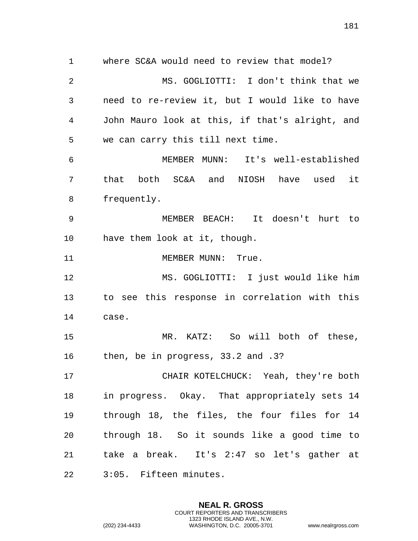where SC&A would need to review that model? MS. GOGLIOTTI: I don't think that we need to re-review it, but I would like to have John Mauro look at this, if that's alright, and we can carry this till next time. MEMBER MUNN: It's well-established that both SC&A and NIOSH have used it frequently. MEMBER BEACH: It doesn't hurt to have them look at it, though. 11 MEMBER MUNN: True. MS. GOGLIOTTI: I just would like him to see this response in correlation with this case. MR. KATZ: So will both of these, then, be in progress, 33.2 and .3? CHAIR KOTELCHUCK: Yeah, they're both in progress. Okay. That appropriately sets 14 through 18, the files, the four files for 14 through 18. So it sounds like a good time to

 take a break. It's 2:47 so let's gather at 3:05. Fifteen minutes.

> **NEAL R. GROSS** COURT REPORTERS AND TRANSCRIBERS 1323 RHODE ISLAND AVE., N.W.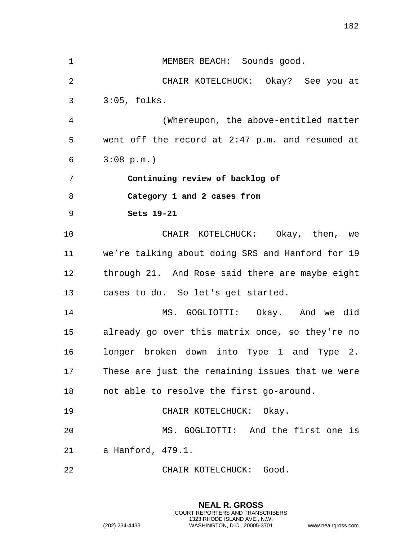| $\mathbf 1$ | MEMBER BEACH: Sounds good.                       |
|-------------|--------------------------------------------------|
| 2           | CHAIR KOTELCHUCK: Okay? See you at               |
| 3           | $3:05$ , folks.                                  |
| 4           | (Whereupon, the above-entitled matter            |
| 5           | went off the record at 2:47 p.m. and resumed at  |
| 6           | $3:08 \text{ p.m.}$                              |
| 7           | Continuing review of backlog of                  |
| 8           | Category 1 and 2 cases from                      |
| 9           | Sets 19-21                                       |
| 10          | CHAIR KOTELCHUCK: Okay, then, we                 |
| 11          | we're talking about doing SRS and Hanford for 19 |
| 12          | through 21. And Rose said there are maybe eight  |
| 13          | cases to do. So let's get started.               |
| 14          | MS. GOGLIOTTI: Okay. And we did                  |
| 15          | already go over this matrix once, so they're no  |
| 16          | longer broken down into Type 1 and Type 2.       |
| 17          | These are just the remaining issues that we were |
| 18          | not able to resolve the first go-around.         |
| 19          | CHAIR KOTELCHUCK: Okay.                          |
| 20          | MS. GOGLIOTTI: And the first one is              |
| 21          | a Hanford, 479.1.                                |
| 22          | CHAIR KOTELCHUCK: Good.                          |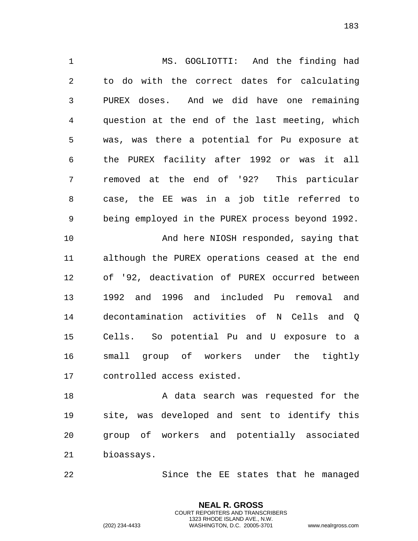MS. GOGLIOTTI: And the finding had to do with the correct dates for calculating PUREX doses. And we did have one remaining question at the end of the last meeting, which was, was there a potential for Pu exposure at the PUREX facility after 1992 or was it all removed at the end of '92? This particular case, the EE was in a job title referred to being employed in the PUREX process beyond 1992. And here NIOSH responded, saying that although the PUREX operations ceased at the end of '92, deactivation of PUREX occurred between 1992 and 1996 and included Pu removal and decontamination activities of N Cells and Q Cells. So potential Pu and U exposure to a small group of workers under the tightly controlled access existed.

18 A data search was requested for the site, was developed and sent to identify this group of workers and potentially associated bioassays.

Since the EE states that he managed

**NEAL R. GROSS** COURT REPORTERS AND TRANSCRIBERS 1323 RHODE ISLAND AVE., N.W.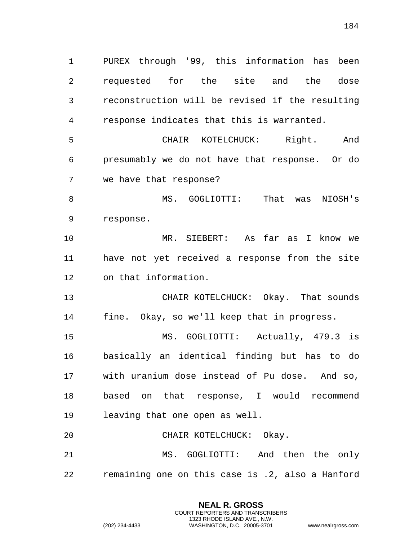PUREX through '99, this information has been requested for the site and the dose reconstruction will be revised if the resulting response indicates that this is warranted.

 CHAIR KOTELCHUCK: Right. And presumably we do not have that response. Or do we have that response?

 MS. GOGLIOTTI: That was NIOSH's response.

 MR. SIEBERT: As far as I know we have not yet received a response from the site on that information.

 CHAIR KOTELCHUCK: Okay. That sounds fine. Okay, so we'll keep that in progress.

 MS. GOGLIOTTI: Actually, 479.3 is basically an identical finding but has to do with uranium dose instead of Pu dose. And so, based on that response, I would recommend leaving that one open as well.

 CHAIR KOTELCHUCK: Okay. MS. GOGLIOTTI: And then the only remaining one on this case is .2, also a Hanford

> **NEAL R. GROSS** COURT REPORTERS AND TRANSCRIBERS 1323 RHODE ISLAND AVE., N.W.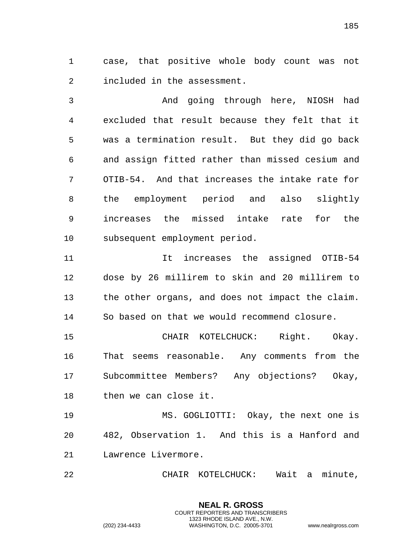case, that positive whole body count was not included in the assessment.

 And going through here, NIOSH had excluded that result because they felt that it was a termination result. But they did go back and assign fitted rather than missed cesium and OTIB-54. And that increases the intake rate for the employment period and also slightly increases the missed intake rate for the subsequent employment period.

 It increases the assigned OTIB-54 dose by 26 millirem to skin and 20 millirem to the other organs, and does not impact the claim. So based on that we would recommend closure.

 CHAIR KOTELCHUCK: Right. Okay. That seems reasonable. Any comments from the Subcommittee Members? Any objections? Okay, then we can close it.

 MS. GOGLIOTTI: Okay, the next one is 482, Observation 1. And this is a Hanford and Lawrence Livermore.

CHAIR KOTELCHUCK: Wait a minute,

**NEAL R. GROSS** COURT REPORTERS AND TRANSCRIBERS 1323 RHODE ISLAND AVE., N.W.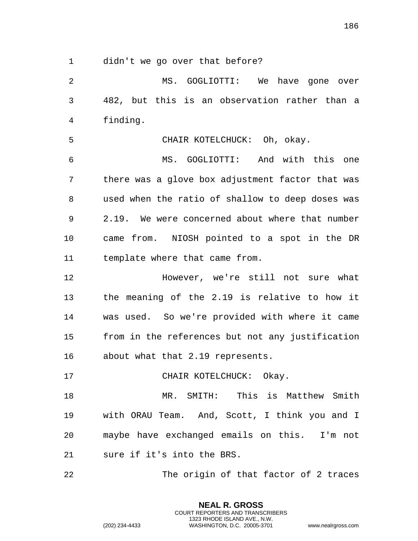didn't we go over that before?

 MS. GOGLIOTTI: We have gone over 482, but this is an observation rather than a finding.

CHAIR KOTELCHUCK: Oh, okay.

 MS. GOGLIOTTI: And with this one there was a glove box adjustment factor that was used when the ratio of shallow to deep doses was 2.19. We were concerned about where that number came from. NIOSH pointed to a spot in the DR template where that came from.

 However, we're still not sure what the meaning of the 2.19 is relative to how it was used. So we're provided with where it came from in the references but not any justification about what that 2.19 represents.

17 CHAIR KOTELCHUCK: Okay.

 MR. SMITH: This is Matthew Smith with ORAU Team. And, Scott, I think you and I maybe have exchanged emails on this. I'm not sure if it's into the BRS.

The origin of that factor of 2 traces

**NEAL R. GROSS** COURT REPORTERS AND TRANSCRIBERS 1323 RHODE ISLAND AVE., N.W.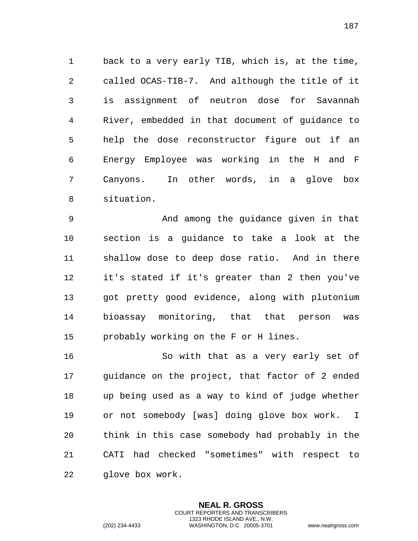back to a very early TIB, which is, at the time, called OCAS-TIB-7. And although the title of it is assignment of neutron dose for Savannah River, embedded in that document of guidance to help the dose reconstructor figure out if an Energy Employee was working in the H and F Canyons. In other words, in a glove box situation.

 And among the guidance given in that section is a guidance to take a look at the shallow dose to deep dose ratio. And in there it's stated if it's greater than 2 then you've got pretty good evidence, along with plutonium bioassay monitoring, that that person was probably working on the F or H lines.

 So with that as a very early set of guidance on the project, that factor of 2 ended up being used as a way to kind of judge whether or not somebody [was] doing glove box work. I think in this case somebody had probably in the CATI had checked "sometimes" with respect to glove box work.

> **NEAL R. GROSS** COURT REPORTERS AND TRANSCRIBERS 1323 RHODE ISLAND AVE., N.W.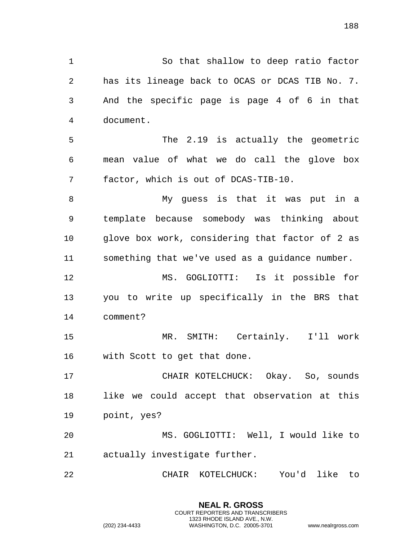So that shallow to deep ratio factor has its lineage back to OCAS or DCAS TIB No. 7. And the specific page is page 4 of 6 in that document. The 2.19 is actually the geometric mean value of what we do call the glove box factor, which is out of DCAS-TIB-10. My guess is that it was put in a template because somebody was thinking about glove box work, considering that factor of 2 as something that we've used as a guidance number. MS. GOGLIOTTI: Is it possible for you to write up specifically in the BRS that comment? MR. SMITH: Certainly. I'll work with Scott to get that done. CHAIR KOTELCHUCK: Okay. So, sounds like we could accept that observation at this point, yes? MS. GOGLIOTTI: Well, I would like to actually investigate further. CHAIR KOTELCHUCK: You'd like to

> **NEAL R. GROSS** COURT REPORTERS AND TRANSCRIBERS 1323 RHODE ISLAND AVE., N.W.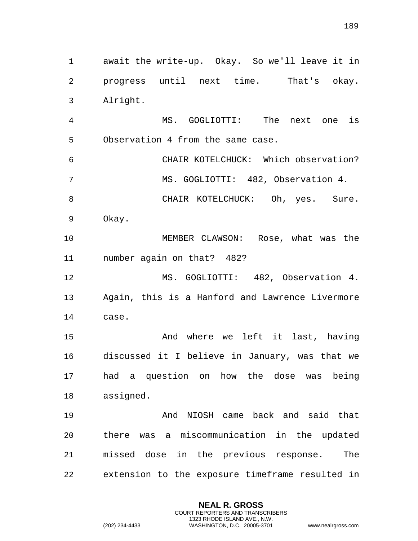await the write-up. Okay. So we'll leave it in progress until next time. That's okay. Alright. MS. GOGLIOTTI: The next one is Observation 4 from the same case. CHAIR KOTELCHUCK: Which observation? MS. GOGLIOTTI: 482, Observation 4. 8 CHAIR KOTELCHUCK: Oh, yes. Sure. Okay. MEMBER CLAWSON: Rose, what was the number again on that? 482? 12 MS. GOGLIOTTI: 482, Observation 4. Again, this is a Hanford and Lawrence Livermore case. And where we left it last, having discussed it I believe in January, was that we had a question on how the dose was being assigned. And NIOSH came back and said that there was a miscommunication in the updated missed dose in the previous response. The extension to the exposure timeframe resulted in

> **NEAL R. GROSS** COURT REPORTERS AND TRANSCRIBERS 1323 RHODE ISLAND AVE., N.W.

(202) 234-4433 WASHINGTON, D.C. 20005-3701 www.nealrgross.com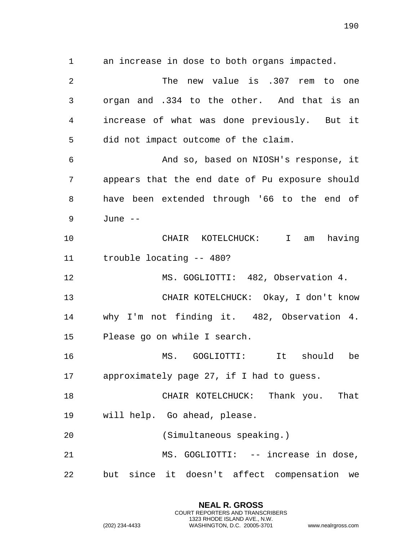an increase in dose to both organs impacted. The new value is .307 rem to one organ and .334 to the other. And that is an increase of what was done previously. But it did not impact outcome of the claim. And so, based on NIOSH's response, it appears that the end date of Pu exposure should have been extended through '66 to the end of June -- CHAIR KOTELCHUCK: I am having trouble locating -- 480? 12 MS. GOGLIOTTI: 482, Observation 4. CHAIR KOTELCHUCK: Okay, I don't know why I'm not finding it. 482, Observation 4. Please go on while I search. MS. GOGLIOTTI: It should be approximately page 27, if I had to guess. CHAIR KOTELCHUCK: Thank you. That will help. Go ahead, please. (Simultaneous speaking.) MS. GOGLIOTTI: -- increase in dose, but since it doesn't affect compensation we

> **NEAL R. GROSS** COURT REPORTERS AND TRANSCRIBERS 1323 RHODE ISLAND AVE., N.W.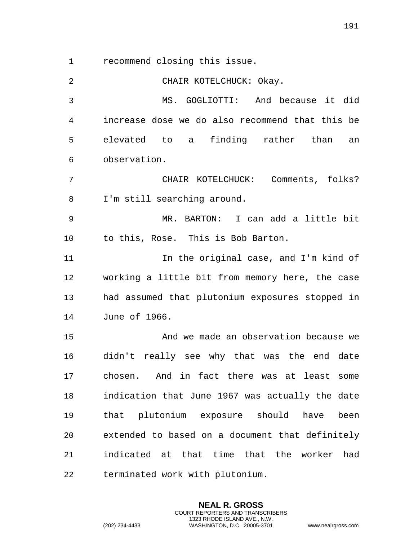recommend closing this issue.

 CHAIR KOTELCHUCK: Okay. MS. GOGLIOTTI: And because it did increase dose we do also recommend that this be elevated to a finding rather than an observation. CHAIR KOTELCHUCK: Comments, folks? I'm still searching around. MR. BARTON: I can add a little bit to this, Rose. This is Bob Barton. In the original case, and I'm kind of working a little bit from memory here, the case had assumed that plutonium exposures stopped in June of 1966. And we made an observation because we didn't really see why that was the end date chosen. And in fact there was at least some indication that June 1967 was actually the date that plutonium exposure should have been extended to based on a document that definitely indicated at that time that the worker had terminated work with plutonium.

> **NEAL R. GROSS** COURT REPORTERS AND TRANSCRIBERS 1323 RHODE ISLAND AVE., N.W.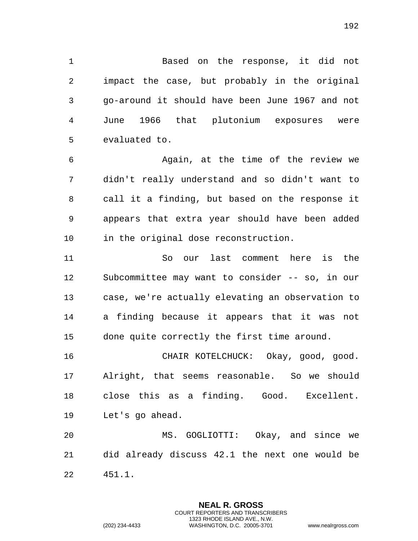Based on the response, it did not impact the case, but probably in the original go-around it should have been June 1967 and not June 1966 that plutonium exposures were evaluated to.

 Again, at the time of the review we didn't really understand and so didn't want to call it a finding, but based on the response it appears that extra year should have been added in the original dose reconstruction.

 So our last comment here is the Subcommittee may want to consider -- so, in our case, we're actually elevating an observation to a finding because it appears that it was not done quite correctly the first time around.

 CHAIR KOTELCHUCK: Okay, good, good. Alright, that seems reasonable. So we should close this as a finding. Good. Excellent. Let's go ahead.

 MS. GOGLIOTTI: Okay, and since we did already discuss 42.1 the next one would be 451.1.

> **NEAL R. GROSS** COURT REPORTERS AND TRANSCRIBERS 1323 RHODE ISLAND AVE., N.W.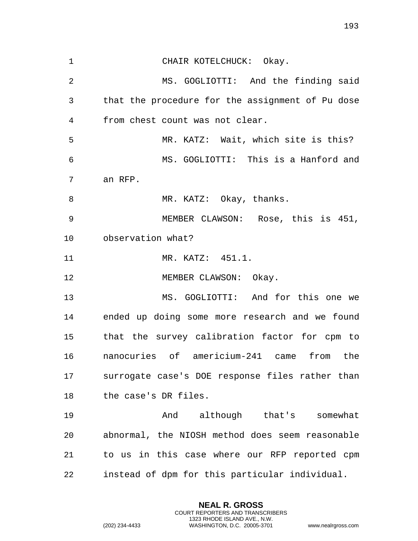CHAIR KOTELCHUCK: Okay. MS. GOGLIOTTI: And the finding said that the procedure for the assignment of Pu dose from chest count was not clear. MR. KATZ: Wait, which site is this? MS. GOGLIOTTI: This is a Hanford and an RFP. 8 MR. KATZ: Okay, thanks. MEMBER CLAWSON: Rose, this is 451, observation what? 11 MR. KATZ: 451.1. 12 MEMBER CLAWSON: Okay. MS. GOGLIOTTI: And for this one we ended up doing some more research and we found that the survey calibration factor for cpm to nanocuries of americium-241 came from the surrogate case's DOE response files rather than the case's DR files. And although that's somewhat abnormal, the NIOSH method does seem reasonable to us in this case where our RFP reported cpm instead of dpm for this particular individual.

> **NEAL R. GROSS** COURT REPORTERS AND TRANSCRIBERS 1323 RHODE ISLAND AVE., N.W.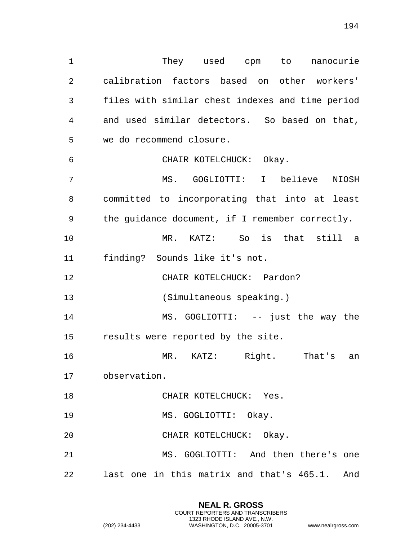1 They used cpm to nanocurie calibration factors based on other workers' files with similar chest indexes and time period and used similar detectors. So based on that, we do recommend closure. CHAIR KOTELCHUCK: Okay. MS. GOGLIOTTI: I believe NIOSH committed to incorporating that into at least the guidance document, if I remember correctly. MR. KATZ: So is that still a finding? Sounds like it's not. 12 CHAIR KOTELCHUCK: Pardon? (Simultaneous speaking.) 14 MS. GOGLIOTTI: -- just the way the results were reported by the site. MR. KATZ: Right. That's an observation. 18 CHAIR KOTELCHUCK: Yes. MS. GOGLIOTTI: Okay. CHAIR KOTELCHUCK: Okay. MS. GOGLIOTTI: And then there's one last one in this matrix and that's 465.1. And

> **NEAL R. GROSS** COURT REPORTERS AND TRANSCRIBERS 1323 RHODE ISLAND AVE., N.W.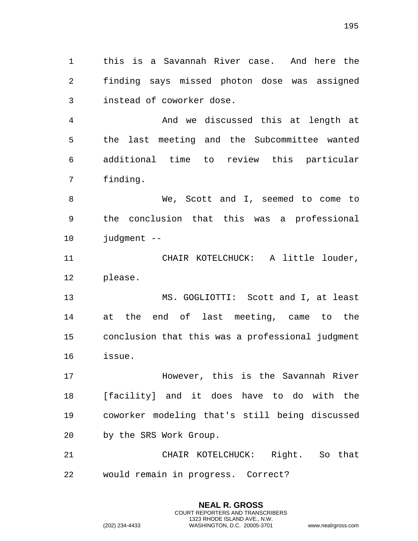this is a Savannah River case. And here the finding says missed photon dose was assigned instead of coworker dose.

 And we discussed this at length at the last meeting and the Subcommittee wanted additional time to review this particular finding.

 We, Scott and I, seemed to come to the conclusion that this was a professional judgment --

 CHAIR KOTELCHUCK: A little louder, please.

 MS. GOGLIOTTI: Scott and I, at least at the end of last meeting, came to the conclusion that this was a professional judgment issue.

 However, this is the Savannah River [facility] and it does have to do with the coworker modeling that's still being discussed by the SRS Work Group.

 CHAIR KOTELCHUCK: Right. So that would remain in progress. Correct?

> **NEAL R. GROSS** COURT REPORTERS AND TRANSCRIBERS 1323 RHODE ISLAND AVE., N.W.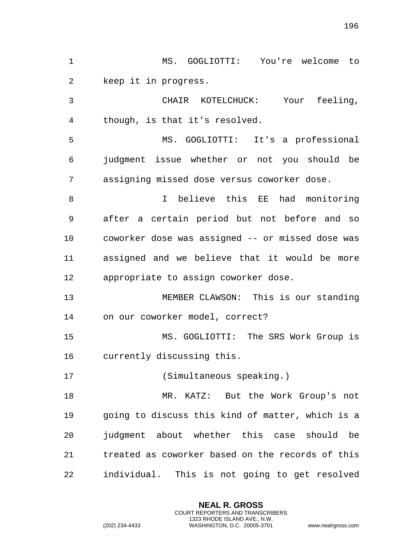| $\mathbf 1$ | MS. GOGLIOTTI: You're welcome to                 |
|-------------|--------------------------------------------------|
| 2           | keep it in progress.                             |
| 3           | Your feeling,<br>CHAIR KOTELCHUCK:               |
| 4           | though, is that it's resolved.                   |
| 5           | MS. GOGLIOTTI: It's a professional               |
| 6           | judgment issue whether or not you should be      |
| 7           | assigning missed dose versus coworker dose.      |
| 8           | I believe this EE had monitoring                 |
| 9           | after a certain period but not before and so     |
| 10          | coworker dose was assigned -- or missed dose was |
| 11          | assigned and we believe that it would be more    |
| 12          | appropriate to assign coworker dose.             |
| 13          | MEMBER CLAWSON: This is our standing             |
| 14          | on our coworker model, correct?                  |
| 15          | MS. GOGLIOTTI: The SRS Work Group is             |
| 16          | currently discussing this.                       |
| 17          | (Simultaneous speaking.)                         |
| 18          | MR. KATZ: But the Work Group's not               |
| 19          | going to discuss this kind of matter, which is a |
| 20          | judgment about whether this case should<br>be    |
| 21          | treated as coworker based on the records of this |
| 22          | individual. This is not going to get resolved    |

**NEAL R. GROSS** COURT REPORTERS AND TRANSCRIBERS 1323 RHODE ISLAND AVE., N.W.

(202) 234-4433 WASHINGTON, D.C. 20005-3701 www.nealrgross.com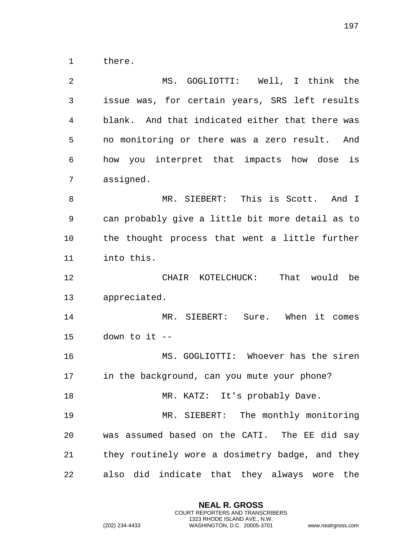there.

| 2  | MS. GOGLIOTTI: Well, I think the                 |
|----|--------------------------------------------------|
| 3  | issue was, for certain years, SRS left results   |
| 4  | blank. And that indicated either that there was  |
| 5  | no monitoring or there was a zero result.<br>And |
| 6  | how you interpret that impacts how dose is       |
| 7  | assigned.                                        |
| 8  | MR. SIEBERT: This is Scott. And I                |
| 9  | can probably give a little bit more detail as to |
| 10 | the thought process that went a little further   |
| 11 | into this.                                       |
| 12 | That would be<br>CHAIR KOTELCHUCK:               |
| 13 | appreciated.                                     |
| 14 | MR. SIEBERT: Sure. When it comes                 |
| 15 | down to it --                                    |
| 16 | MS. GOGLIOTTI: Whoever has the siren             |
| 17 | in the background, can you mute your phone?      |
| 18 | MR. KATZ: It's probably Dave.                    |
| 19 | MR. SIEBERT: The monthly monitoring              |
| 20 | was assumed based on the CATI. The EE did say    |
| 21 | they routinely wore a dosimetry badge, and they  |
| 22 | also did indicate that they always wore the      |

**NEAL R. GROSS** COURT REPORTERS AND TRANSCRIBERS 1323 RHODE ISLAND AVE., N.W.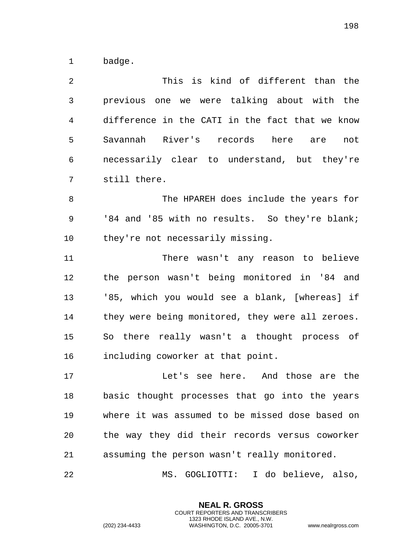badge.

 This is kind of different than the previous one we were talking about with the difference in the CATI in the fact that we know Savannah River's records here are not necessarily clear to understand, but they're still there.

 The HPAREH does include the years for '84 and '85 with no results. So they're blank; they're not necessarily missing.

 There wasn't any reason to believe the person wasn't being monitored in '84 and '85, which you would see a blank, [whereas] if 14 they were being monitored, they were all zeroes. So there really wasn't a thought process of including coworker at that point.

 Let's see here. And those are the basic thought processes that go into the years where it was assumed to be missed dose based on the way they did their records versus coworker assuming the person wasn't really monitored.

MS. GOGLIOTTI: I do believe, also,

**NEAL R. GROSS** COURT REPORTERS AND TRANSCRIBERS 1323 RHODE ISLAND AVE., N.W.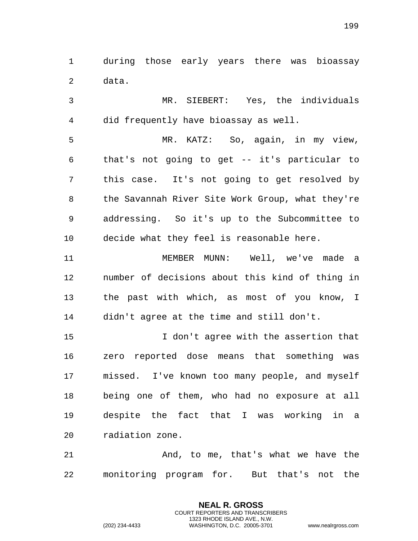during those early years there was bioassay data.

 MR. SIEBERT: Yes, the individuals did frequently have bioassay as well. MR. KATZ: So, again, in my view, that's not going to get -- it's particular to

 this case. It's not going to get resolved by the Savannah River Site Work Group, what they're addressing. So it's up to the Subcommittee to decide what they feel is reasonable here.

 MEMBER MUNN: Well, we've made a number of decisions about this kind of thing in the past with which, as most of you know, I didn't agree at the time and still don't.

 I don't agree with the assertion that zero reported dose means that something was missed. I've known too many people, and myself being one of them, who had no exposure at all despite the fact that I was working in a radiation zone.

 And, to me, that's what we have the monitoring program for. But that's not the

> **NEAL R. GROSS** COURT REPORTERS AND TRANSCRIBERS 1323 RHODE ISLAND AVE., N.W.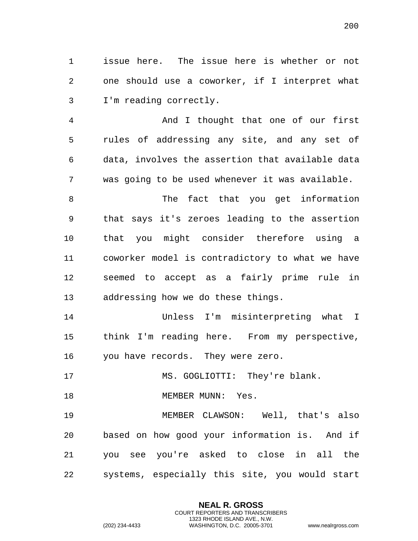issue here. The issue here is whether or not one should use a coworker, if I interpret what I'm reading correctly.

 And I thought that one of our first rules of addressing any site, and any set of data, involves the assertion that available data was going to be used whenever it was available.

8 The fact that you get information that says it's zeroes leading to the assertion that you might consider therefore using a coworker model is contradictory to what we have seemed to accept as a fairly prime rule in addressing how we do these things.

 Unless I'm misinterpreting what I think I'm reading here. From my perspective, you have records. They were zero.

MS. GOGLIOTTI: They're blank.

18 MEMBER MUNN: Yes.

 MEMBER CLAWSON: Well, that's also based on how good your information is. And if you see you're asked to close in all the systems, especially this site, you would start

> **NEAL R. GROSS** COURT REPORTERS AND TRANSCRIBERS 1323 RHODE ISLAND AVE., N.W.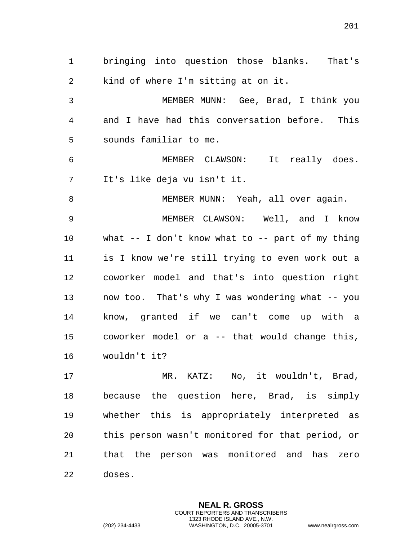bringing into question those blanks. That's kind of where I'm sitting at on it.

 MEMBER MUNN: Gee, Brad, I think you and I have had this conversation before. This sounds familiar to me.

 MEMBER CLAWSON: It really does. It's like deja vu isn't it.

8 MEMBER MUNN: Yeah, all over again.

 MEMBER CLAWSON: Well, and I know what -- I don't know what to -- part of my thing is I know we're still trying to even work out a coworker model and that's into question right now too. That's why I was wondering what -- you know, granted if we can't come up with a coworker model or a -- that would change this, wouldn't it?

 MR. KATZ: No, it wouldn't, Brad, because the question here, Brad, is simply whether this is appropriately interpreted as this person wasn't monitored for that period, or that the person was monitored and has zero doses.

> **NEAL R. GROSS** COURT REPORTERS AND TRANSCRIBERS 1323 RHODE ISLAND AVE., N.W.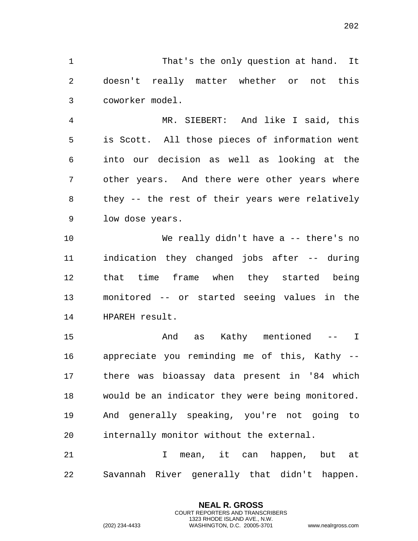That's the only question at hand. It doesn't really matter whether or not this coworker model.

 MR. SIEBERT: And like I said, this is Scott. All those pieces of information went into our decision as well as looking at the other years. And there were other years where they -- the rest of their years were relatively low dose years.

 We really didn't have a -- there's no indication they changed jobs after -- during that time frame when they started being monitored -- or started seeing values in the HPAREH result.

 And as Kathy mentioned -- I appreciate you reminding me of this, Kathy -- there was bioassay data present in '84 which would be an indicator they were being monitored. And generally speaking, you're not going to internally monitor without the external.

 I mean, it can happen, but at Savannah River generally that didn't happen.

> **NEAL R. GROSS** COURT REPORTERS AND TRANSCRIBERS 1323 RHODE ISLAND AVE., N.W.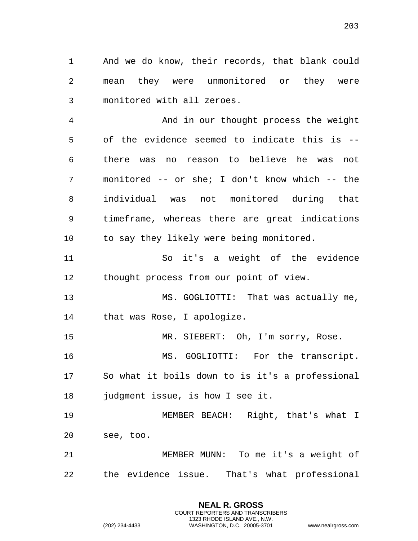And we do know, their records, that blank could mean they were unmonitored or they were monitored with all zeroes.

 And in our thought process the weight of the evidence seemed to indicate this is -- there was no reason to believe he was not monitored -- or she; I don't know which -- the individual was not monitored during that timeframe, whereas there are great indications to say they likely were being monitored.

 So it's a weight of the evidence thought process from our point of view.

 MS. GOGLIOTTI: That was actually me, that was Rose, I apologize.

MR. SIEBERT: Oh, I'm sorry, Rose.

16 MS. GOGLIOTTI: For the transcript. So what it boils down to is it's a professional 18 judgment issue, is how I see it.

 MEMBER BEACH: Right, that's what I see, too.

 MEMBER MUNN: To me it's a weight of the evidence issue. That's what professional

> **NEAL R. GROSS** COURT REPORTERS AND TRANSCRIBERS 1323 RHODE ISLAND AVE., N.W.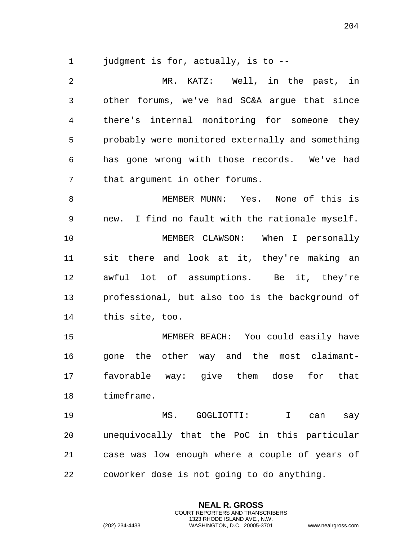judgment is for, actually, is to --

 MR. KATZ: Well, in the past, in other forums, we've had SC&A argue that since there's internal monitoring for someone they probably were monitored externally and something has gone wrong with those records. We've had that argument in other forums. MEMBER MUNN: Yes. None of this is new. I find no fault with the rationale myself. MEMBER CLAWSON: When I personally sit there and look at it, they're making an awful lot of assumptions. Be it, they're professional, but also too is the background of this site, too. MEMBER BEACH: You could easily have gone the other way and the most claimant-

 favorable way: give them dose for that timeframe.

 MS. GOGLIOTTI: I can say unequivocally that the PoC in this particular case was low enough where a couple of years of coworker dose is not going to do anything.

> **NEAL R. GROSS** COURT REPORTERS AND TRANSCRIBERS 1323 RHODE ISLAND AVE., N.W.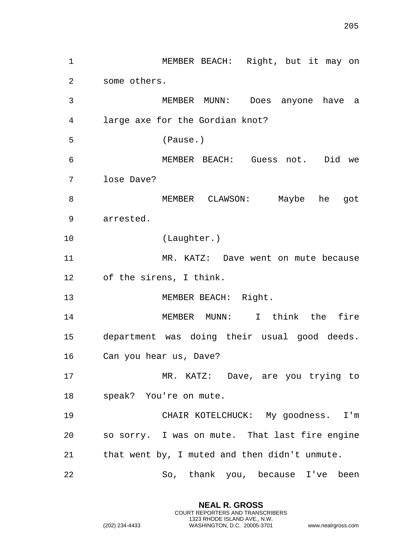MEMBER BEACH: Right, but it may on some others. MEMBER MUNN: Does anyone have a large axe for the Gordian knot? (Pause.) MEMBER BEACH: Guess not. Did we lose Dave? MEMBER CLAWSON: Maybe he got arrested. (Laughter.) MR. KATZ: Dave went on mute because of the sirens, I think. 13 MEMBER BEACH: Right. MEMBER MUNN: I think the fire department was doing their usual good deeds. Can you hear us, Dave? MR. KATZ: Dave, are you trying to speak? You're on mute. CHAIR KOTELCHUCK: My goodness. I'm so sorry. I was on mute. That last fire engine that went by, I muted and then didn't unmute. So, thank you, because I've been

> **NEAL R. GROSS** COURT REPORTERS AND TRANSCRIBERS 1323 RHODE ISLAND AVE., N.W.

(202) 234-4433 WASHINGTON, D.C. 20005-3701 www.nealrgross.com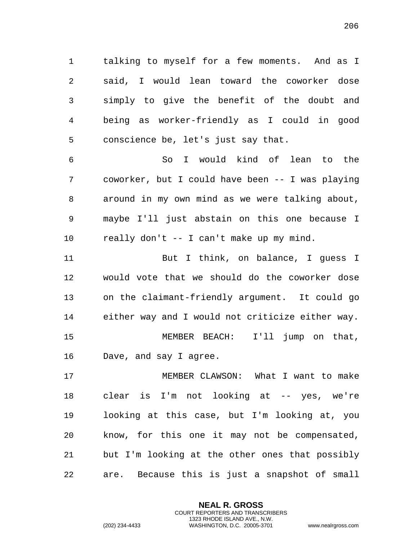talking to myself for a few moments. And as I said, I would lean toward the coworker dose simply to give the benefit of the doubt and being as worker-friendly as I could in good conscience be, let's just say that.

 So I would kind of lean to the coworker, but I could have been -- I was playing around in my own mind as we were talking about, maybe I'll just abstain on this one because I really don't -- I can't make up my mind.

 But I think, on balance, I guess I would vote that we should do the coworker dose on the claimant-friendly argument. It could go either way and I would not criticize either way. MEMBER BEACH: I'll jump on that, Dave, and say I agree.

 MEMBER CLAWSON: What I want to make clear is I'm not looking at -- yes, we're looking at this case, but I'm looking at, you know, for this one it may not be compensated, but I'm looking at the other ones that possibly are. Because this is just a snapshot of small

> **NEAL R. GROSS** COURT REPORTERS AND TRANSCRIBERS 1323 RHODE ISLAND AVE., N.W.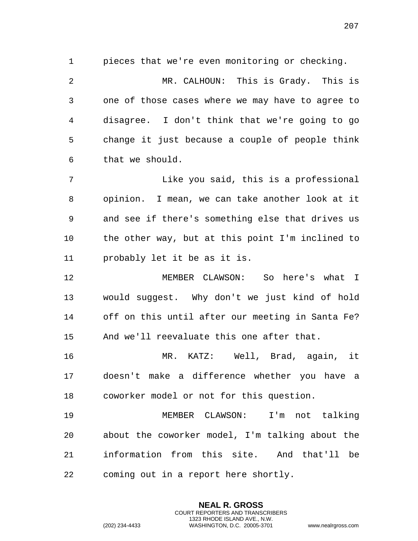pieces that we're even monitoring or checking.

 MR. CALHOUN: This is Grady. This is one of those cases where we may have to agree to disagree. I don't think that we're going to go change it just because a couple of people think that we should.

 Like you said, this is a professional opinion. I mean, we can take another look at it and see if there's something else that drives us the other way, but at this point I'm inclined to probably let it be as it is.

 MEMBER CLAWSON: So here's what I would suggest. Why don't we just kind of hold off on this until after our meeting in Santa Fe? And we'll reevaluate this one after that.

 MR. KATZ: Well, Brad, again, it doesn't make a difference whether you have a coworker model or not for this question.

 MEMBER CLAWSON: I'm not talking about the coworker model, I'm talking about the information from this site. And that'll be coming out in a report here shortly.

> **NEAL R. GROSS** COURT REPORTERS AND TRANSCRIBERS 1323 RHODE ISLAND AVE., N.W.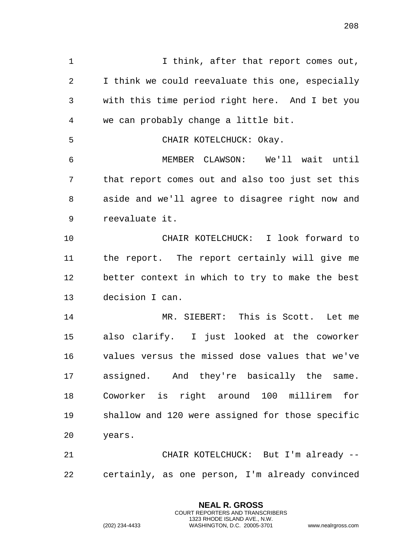I think, after that report comes out, I think we could reevaluate this one, especially with this time period right here. And I bet you we can probably change a little bit. CHAIR KOTELCHUCK: Okay. MEMBER CLAWSON: We'll wait until that report comes out and also too just set this aside and we'll agree to disagree right now and reevaluate it. CHAIR KOTELCHUCK: I look forward to the report. The report certainly will give me better context in which to try to make the best decision I can. MR. SIEBERT: This is Scott. Let me also clarify. I just looked at the coworker values versus the missed dose values that we've assigned. And they're basically the same. Coworker is right around 100 millirem for shallow and 120 were assigned for those specific years. CHAIR KOTELCHUCK: But I'm already -- certainly, as one person, I'm already convinced

> **NEAL R. GROSS** COURT REPORTERS AND TRANSCRIBERS 1323 RHODE ISLAND AVE., N.W.

(202) 234-4433 WASHINGTON, D.C. 20005-3701 www.nealrgross.com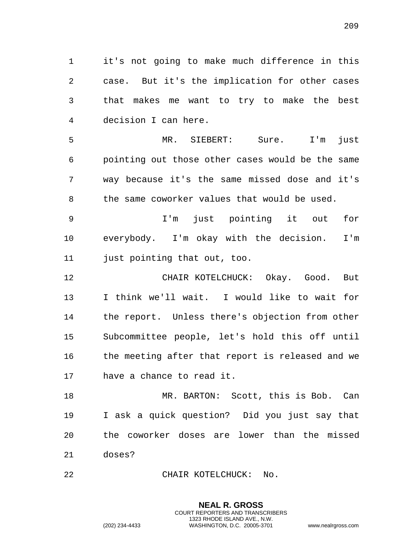it's not going to make much difference in this case. But it's the implication for other cases that makes me want to try to make the best decision I can here.

 MR. SIEBERT: Sure. I'm just pointing out those other cases would be the same way because it's the same missed dose and it's 8 the same coworker values that would be used.

 I'm just pointing it out for everybody. I'm okay with the decision. I'm just pointing that out, too.

 CHAIR KOTELCHUCK: Okay. Good. But I think we'll wait. I would like to wait for the report. Unless there's objection from other Subcommittee people, let's hold this off until the meeting after that report is released and we have a chance to read it.

 MR. BARTON: Scott, this is Bob. Can I ask a quick question? Did you just say that the coworker doses are lower than the missed doses?

> **NEAL R. GROSS** COURT REPORTERS AND TRANSCRIBERS 1323 RHODE ISLAND AVE., N.W.

CHAIR KOTELCHUCK: No.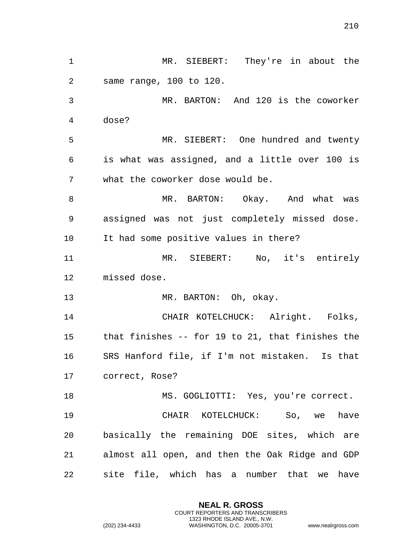MR. SIEBERT: They're in about the same range, 100 to 120. MR. BARTON: And 120 is the coworker dose? MR. SIEBERT: One hundred and twenty is what was assigned, and a little over 100 is what the coworker dose would be. MR. BARTON: Okay. And what was assigned was not just completely missed dose. It had some positive values in there? MR. SIEBERT: No, it's entirely missed dose. 13 MR. BARTON: Oh, okay. CHAIR KOTELCHUCK: Alright. Folks, that finishes -- for 19 to 21, that finishes the SRS Hanford file, if I'm not mistaken. Is that correct, Rose? 18 MS. GOGLIOTTI: Yes, you're correct. CHAIR KOTELCHUCK: So, we have basically the remaining DOE sites, which are almost all open, and then the Oak Ridge and GDP site file, which has a number that we have

> **NEAL R. GROSS** COURT REPORTERS AND TRANSCRIBERS 1323 RHODE ISLAND AVE., N.W.

(202) 234-4433 WASHINGTON, D.C. 20005-3701 www.nealrgross.com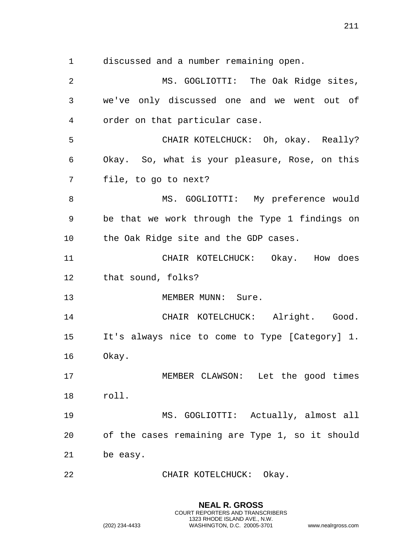discussed and a number remaining open.

 MS. GOGLIOTTI: The Oak Ridge sites, we've only discussed one and we went out of order on that particular case. CHAIR KOTELCHUCK: Oh, okay. Really? Okay. So, what is your pleasure, Rose, on this file, to go to next? 8 MS. GOGLIOTTI: My preference would be that we work through the Type 1 findings on the Oak Ridge site and the GDP cases. CHAIR KOTELCHUCK: Okay. How does that sound, folks? 13 MEMBER MUNN: Sure. CHAIR KOTELCHUCK: Alright. Good. It's always nice to come to Type [Category] 1. Okay. MEMBER CLAWSON: Let the good times roll. MS. GOGLIOTTI: Actually, almost all of the cases remaining are Type 1, so it should be easy. 22 CHAIR KOTELCHUCK: Okay.

> **NEAL R. GROSS** COURT REPORTERS AND TRANSCRIBERS 1323 RHODE ISLAND AVE., N.W.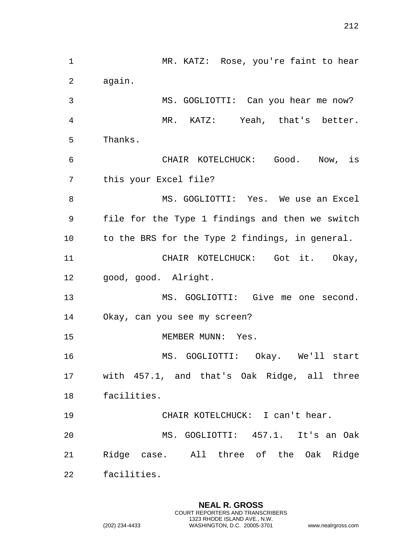MR. KATZ: Rose, you're faint to hear again. MS. GOGLIOTTI: Can you hear me now? MR. KATZ: Yeah, that's better. Thanks. CHAIR KOTELCHUCK: Good. Now, is this your Excel file? 8 MS. GOGLIOTTI: Yes. We use an Excel file for the Type 1 findings and then we switch to the BRS for the Type 2 findings, in general. CHAIR KOTELCHUCK: Got it. Okay, good, good. Alright. MS. GOGLIOTTI: Give me one second. Okay, can you see my screen? 15 MEMBER MUNN: Yes. MS. GOGLIOTTI: Okay. We'll start with 457.1, and that's Oak Ridge, all three facilities. CHAIR KOTELCHUCK: I can't hear. MS. GOGLIOTTI: 457.1. It's an Oak Ridge case. All three of the Oak Ridge facilities.

> **NEAL R. GROSS** COURT REPORTERS AND TRANSCRIBERS 1323 RHODE ISLAND AVE., N.W.

(202) 234-4433 WASHINGTON, D.C. 20005-3701 www.nealrgross.com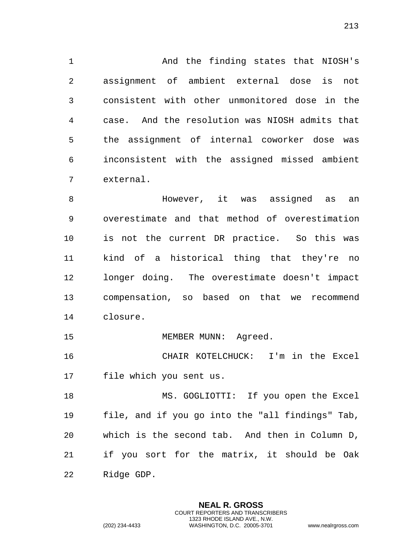And the finding states that NIOSH's assignment of ambient external dose is not consistent with other unmonitored dose in the case. And the resolution was NIOSH admits that the assignment of internal coworker dose was inconsistent with the assigned missed ambient external.

 However, it was assigned as an overestimate and that method of overestimation is not the current DR practice. So this was kind of a historical thing that they're no longer doing. The overestimate doesn't impact compensation, so based on that we recommend closure.

15 MEMBER MUNN: Agreed.

 CHAIR KOTELCHUCK: I'm in the Excel file which you sent us.

 MS. GOGLIOTTI: If you open the Excel file, and if you go into the "all findings" Tab, which is the second tab. And then in Column D, if you sort for the matrix, it should be Oak Ridge GDP.

> **NEAL R. GROSS** COURT REPORTERS AND TRANSCRIBERS 1323 RHODE ISLAND AVE., N.W.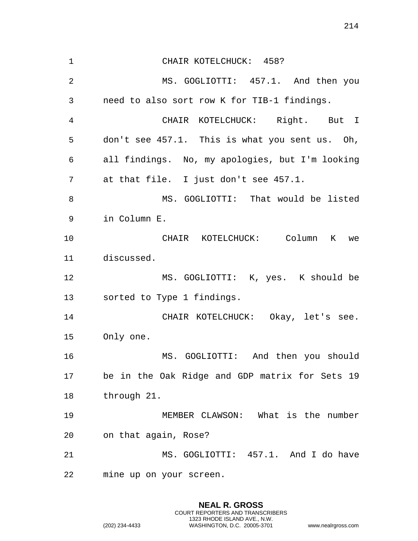CHAIR KOTELCHUCK: 458? MS. GOGLIOTTI: 457.1. And then you need to also sort row K for TIB-1 findings. CHAIR KOTELCHUCK: Right. But I don't see 457.1. This is what you sent us. Oh, all findings. No, my apologies, but I'm looking at that file. I just don't see 457.1. MS. GOGLIOTTI: That would be listed in Column E. CHAIR KOTELCHUCK: Column K we discussed. MS. GOGLIOTTI: K, yes. K should be sorted to Type 1 findings. CHAIR KOTELCHUCK: Okay, let's see. Only one. MS. GOGLIOTTI: And then you should be in the Oak Ridge and GDP matrix for Sets 19 through 21. MEMBER CLAWSON: What is the number on that again, Rose? MS. GOGLIOTTI: 457.1. And I do have mine up on your screen.

> **NEAL R. GROSS** COURT REPORTERS AND TRANSCRIBERS 1323 RHODE ISLAND AVE., N.W.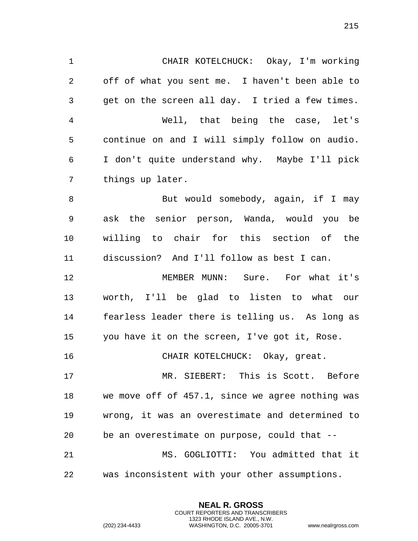CHAIR KOTELCHUCK: Okay, I'm working off of what you sent me. I haven't been able to get on the screen all day. I tried a few times. Well, that being the case, let's continue on and I will simply follow on audio. I don't quite understand why. Maybe I'll pick things up later. 8 But would somebody, again, if I may ask the senior person, Wanda, would you be willing to chair for this section of the discussion? And I'll follow as best I can. MEMBER MUNN: Sure. For what it's worth, I'll be glad to listen to what our fearless leader there is telling us. As long as you have it on the screen, I've got it, Rose. CHAIR KOTELCHUCK: Okay, great. 17 MR. SIEBERT: This is Scott. Before we move off of 457.1, since we agree nothing was wrong, it was an overestimate and determined to be an overestimate on purpose, could that -- MS. GOGLIOTTI: You admitted that it

was inconsistent with your other assumptions.

**NEAL R. GROSS** COURT REPORTERS AND TRANSCRIBERS 1323 RHODE ISLAND AVE., N.W.

(202) 234-4433 WASHINGTON, D.C. 20005-3701 www.nealrgross.com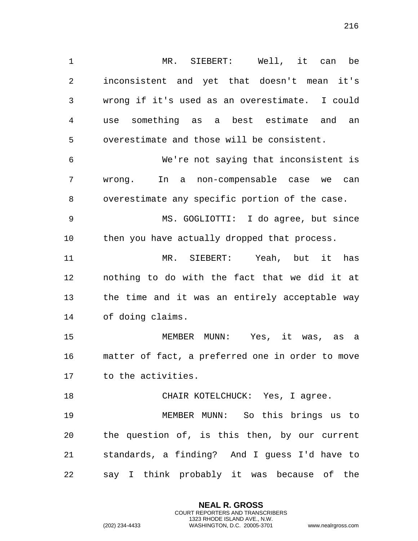MR. SIEBERT: Well, it can be inconsistent and yet that doesn't mean it's wrong if it's used as an overestimate. I could use something as a best estimate and an overestimate and those will be consistent.

 We're not saying that inconsistent is wrong. In a non-compensable case we can overestimate any specific portion of the case.

 MS. GOGLIOTTI: I do agree, but since then you have actually dropped that process.

 MR. SIEBERT: Yeah, but it has nothing to do with the fact that we did it at the time and it was an entirely acceptable way of doing claims.

 MEMBER MUNN: Yes, it was, as a matter of fact, a preferred one in order to move to the activities.

18 CHAIR KOTELCHUCK: Yes, I agree. MEMBER MUNN: So this brings us to the question of, is this then, by our current standards, a finding? And I guess I'd have to say I think probably it was because of the

> **NEAL R. GROSS** COURT REPORTERS AND TRANSCRIBERS 1323 RHODE ISLAND AVE., N.W.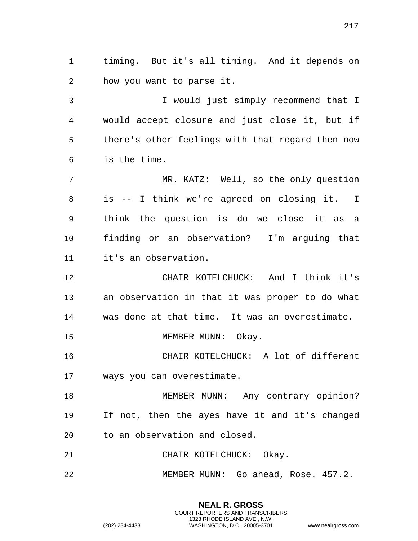timing. But it's all timing. And it depends on how you want to parse it.

 I would just simply recommend that I would accept closure and just close it, but if there's other feelings with that regard then now is the time.

 MR. KATZ: Well, so the only question is -- I think we're agreed on closing it. I think the question is do we close it as a finding or an observation? I'm arguing that it's an observation.

 CHAIR KOTELCHUCK: And I think it's an observation in that it was proper to do what was done at that time. It was an overestimate.

15 MEMBER MUNN: Okay.

 CHAIR KOTELCHUCK: A lot of different ways you can overestimate.

 MEMBER MUNN: Any contrary opinion? If not, then the ayes have it and it's changed to an observation and closed.

21 CHAIR KOTELCHUCK: Okay.

MEMBER MUNN: Go ahead, Rose. 457.2.

**NEAL R. GROSS** COURT REPORTERS AND TRANSCRIBERS 1323 RHODE ISLAND AVE., N.W.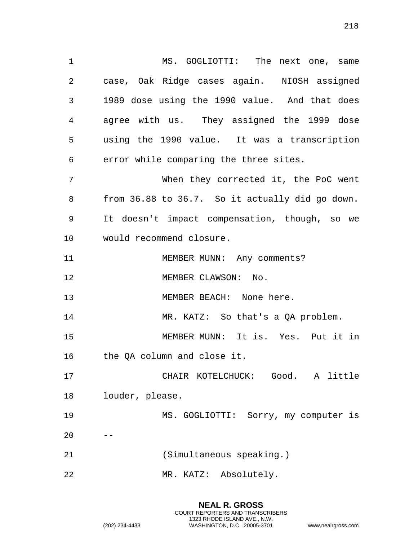1 MS. GOGLIOTTI: The next one, same case, Oak Ridge cases again. NIOSH assigned 1989 dose using the 1990 value. And that does agree with us. They assigned the 1999 dose using the 1990 value. It was a transcription error while comparing the three sites. When they corrected it, the PoC went from 36.88 to 36.7. So it actually did go down. It doesn't impact compensation, though, so we would recommend closure. 11 MEMBER MUNN: Any comments? 12 MEMBER CLAWSON: No. 13 MEMBER BEACH: None here. MR. KATZ: So that's a QA problem. MEMBER MUNN: It is. Yes. Put it in the QA column and close it. CHAIR KOTELCHUCK: Good. A little louder, please.

MS. GOGLIOTTI: Sorry, my computer is

- (Simultaneous speaking.)
- MR. KATZ: Absolutely.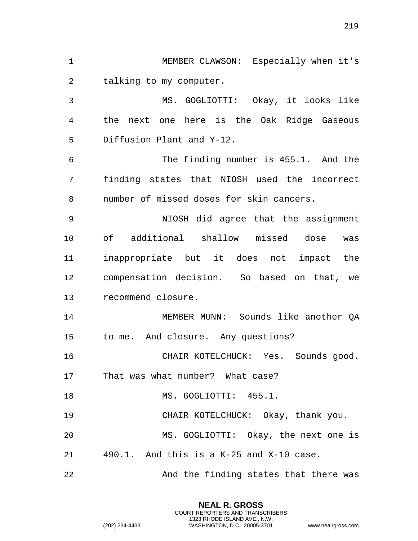MEMBER CLAWSON: Especially when it's talking to my computer. MS. GOGLIOTTI: Okay, it looks like the next one here is the Oak Ridge Gaseous Diffusion Plant and Y-12. The finding number is 455.1. And the finding states that NIOSH used the incorrect number of missed doses for skin cancers. NIOSH did agree that the assignment of additional shallow missed dose was inappropriate but it does not impact the compensation decision. So based on that, we recommend closure. MEMBER MUNN: Sounds like another QA to me. And closure. Any questions? CHAIR KOTELCHUCK: Yes. Sounds good. That was what number? What case? 18 MS. GOGLIOTTI: 455.1. CHAIR KOTELCHUCK: Okay, thank you. MS. GOGLIOTTI: Okay, the next one is 490.1. And this is a K-25 and X-10 case. 22 And the finding states that there was

> **NEAL R. GROSS** COURT REPORTERS AND TRANSCRIBERS 1323 RHODE ISLAND AVE., N.W.

(202) 234-4433 WASHINGTON, D.C. 20005-3701 www.nealrgross.com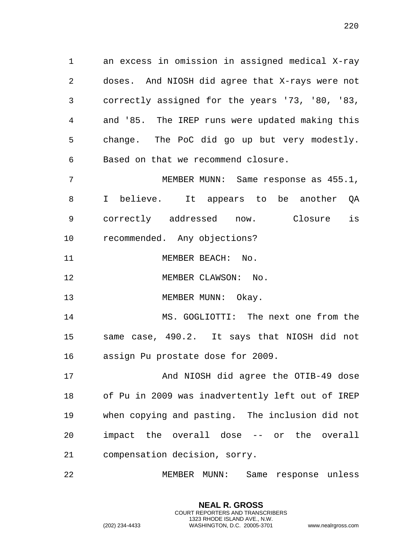an excess in omission in assigned medical X-ray doses. And NIOSH did agree that X-rays were not correctly assigned for the years '73, '80, '83, and '85. The IREP runs were updated making this change. The PoC did go up but very modestly. Based on that we recommend closure.

 MEMBER MUNN: Same response as 455.1, I believe. It appears to be another QA correctly addressed now. Closure is recommended. Any objections?

11 MEMBER BEACH: No.

12 MEMBER CLAWSON: No.

13 MEMBER MUNN: Okay.

 MS. GOGLIOTTI: The next one from the same case, 490.2. It says that NIOSH did not assign Pu prostate dose for 2009.

 And NIOSH did agree the OTIB-49 dose of Pu in 2009 was inadvertently left out of IREP when copying and pasting. The inclusion did not impact the overall dose -- or the overall compensation decision, sorry.

MEMBER MUNN: Same response unless

**NEAL R. GROSS** COURT REPORTERS AND TRANSCRIBERS 1323 RHODE ISLAND AVE., N.W.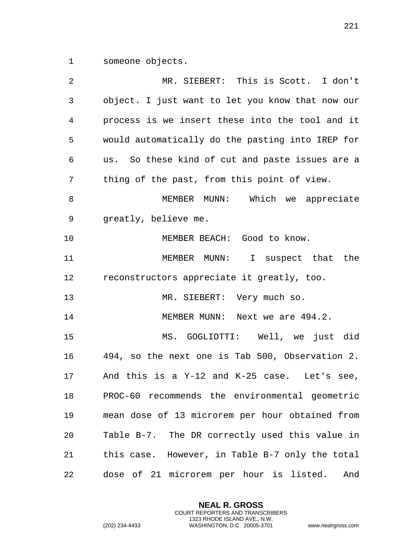someone objects.

| 2  | MR. SIEBERT: This is Scott. I don't              |
|----|--------------------------------------------------|
| 3  | object. I just want to let you know that now our |
| 4  | process is we insert these into the tool and it  |
| 5  | would automatically do the pasting into IREP for |
| 6  | us. So these kind of cut and paste issues are a  |
| 7  | thing of the past, from this point of view.      |
| 8  | Which we appreciate<br>MEMBER MUNN:              |
| 9  | greatly, believe me.                             |
| 10 | MEMBER BEACH: Good to know.                      |
| 11 | MEMBER MUNN: I suspect that the                  |
| 12 | reconstructors appreciate it greatly, too.       |
| 13 | MR. SIEBERT: Very much so.                       |
| 14 | MEMBER MUNN: Next we are 494.2.                  |
| 15 | MS. GOGLIOTTI: Well, we just did                 |
| 16 | 494, so the next one is Tab 500, Observation 2.  |
| 17 | And this is a Y-12 and K-25 case. Let's see,     |
| 18 | PROC-60 recommends the environmental geometric   |
| 19 | mean dose of 13 microrem per hour obtained from  |
| 20 | Table B-7. The DR correctly used this value in   |
| 21 | this case. However, in Table B-7 only the total  |
| 22 | dose of 21 microrem per hour is listed.<br>And   |

**NEAL R. GROSS** COURT REPORTERS AND TRANSCRIBERS 1323 RHODE ISLAND AVE., N.W.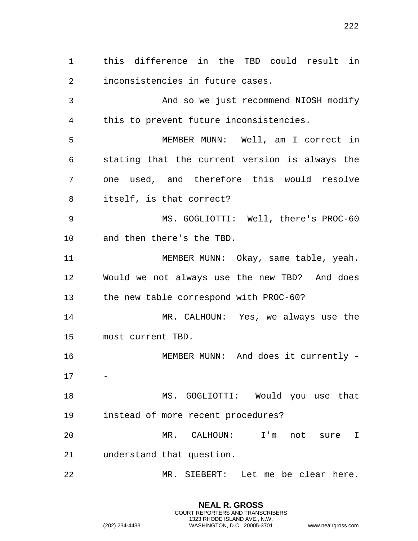this difference in the TBD could result in inconsistencies in future cases. And so we just recommend NIOSH modify this to prevent future inconsistencies. MEMBER MUNN: Well, am I correct in stating that the current version is always the one used, and therefore this would resolve itself, is that correct? MS. GOGLIOTTI: Well, there's PROC-60 and then there's the TBD. MEMBER MUNN: Okay, same table, yeah. Would we not always use the new TBD? And does the new table correspond with PROC-60? MR. CALHOUN: Yes, we always use the most current TBD. MEMBER MUNN: And does it currently - MS. GOGLIOTTI: Would you use that instead of more recent procedures? MR. CALHOUN: I'm not sure I understand that question. MR. SIEBERT: Let me be clear here.

> **NEAL R. GROSS** COURT REPORTERS AND TRANSCRIBERS 1323 RHODE ISLAND AVE., N.W.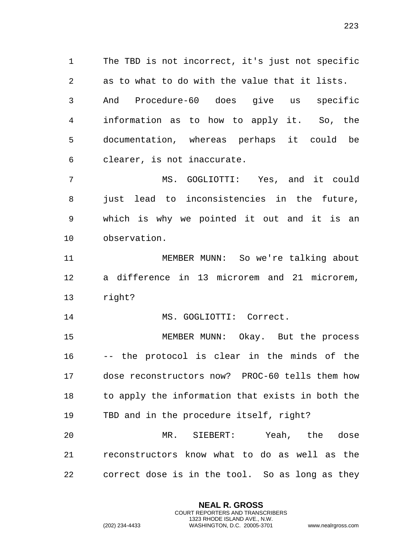The TBD is not incorrect, it's just not specific as to what to do with the value that it lists. And Procedure-60 does give us specific information as to how to apply it. So, the documentation, whereas perhaps it could be clearer, is not inaccurate.

 MS. GOGLIOTTI: Yes, and it could just lead to inconsistencies in the future, which is why we pointed it out and it is an observation.

 MEMBER MUNN: So we're talking about a difference in 13 microrem and 21 microrem, right?

MS. GOGLIOTTI: Correct.

 MEMBER MUNN: Okay. But the process -- the protocol is clear in the minds of the dose reconstructors now? PROC-60 tells them how 18 to apply the information that exists in both the TBD and in the procedure itself, right?

 MR. SIEBERT: Yeah, the dose reconstructors know what to do as well as the correct dose is in the tool. So as long as they

> **NEAL R. GROSS** COURT REPORTERS AND TRANSCRIBERS 1323 RHODE ISLAND AVE., N.W.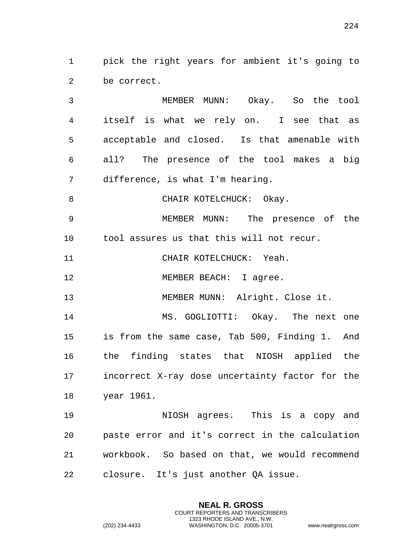pick the right years for ambient it's going to be correct.

 MEMBER MUNN: Okay. So the tool itself is what we rely on. I see that as acceptable and closed. Is that amenable with all? The presence of the tool makes a big difference, is what I'm hearing.

8 CHAIR KOTELCHUCK: Okay.

 MEMBER MUNN: The presence of the tool assures us that this will not recur.

CHAIR KOTELCHUCK: Yeah.

12 MEMBER BEACH: I agree.

MEMBER MUNN: Alright. Close it.

 MS. GOGLIOTTI: Okay. The next one is from the same case, Tab 500, Finding 1. And the finding states that NIOSH applied the incorrect X-ray dose uncertainty factor for the year 1961.

 NIOSH agrees. This is a copy and paste error and it's correct in the calculation workbook. So based on that, we would recommend closure. It's just another QA issue.

> **NEAL R. GROSS** COURT REPORTERS AND TRANSCRIBERS 1323 RHODE ISLAND AVE., N.W.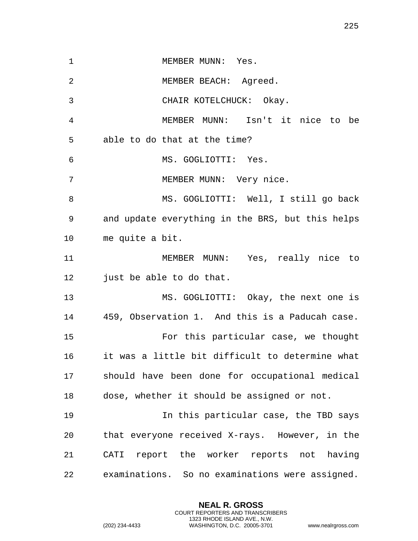1 MEMBER MUNN: Yes. MEMBER BEACH: Agreed. CHAIR KOTELCHUCK: Okay. MEMBER MUNN: Isn't it nice to be able to do that at the time? MS. GOGLIOTTI: Yes. 7 MEMBER MUNN: Very nice. MS. GOGLIOTTI: Well, I still go back and update everything in the BRS, but this helps me quite a bit. MEMBER MUNN: Yes, really nice to just be able to do that. MS. GOGLIOTTI: Okay, the next one is 459, Observation 1. And this is a Paducah case. For this particular case, we thought it was a little bit difficult to determine what should have been done for occupational medical dose, whether it should be assigned or not. In this particular case, the TBD says that everyone received X-rays. However, in the CATI report the worker reports not having examinations. So no examinations were assigned.

> **NEAL R. GROSS** COURT REPORTERS AND TRANSCRIBERS 1323 RHODE ISLAND AVE., N.W.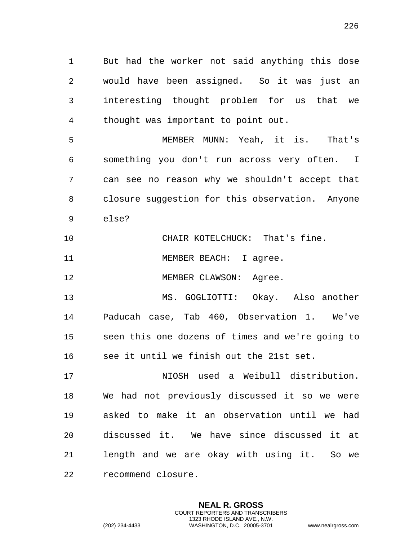But had the worker not said anything this dose would have been assigned. So it was just an interesting thought problem for us that we thought was important to point out.

 MEMBER MUNN: Yeah, it is. That's something you don't run across very often. I can see no reason why we shouldn't accept that closure suggestion for this observation. Anyone else?

CHAIR KOTELCHUCK: That's fine.

11 MEMBER BEACH: I agree.

12 MEMBER CLAWSON: Agree.

 MS. GOGLIOTTI: Okay. Also another Paducah case, Tab 460, Observation 1. We've seen this one dozens of times and we're going to see it until we finish out the 21st set.

 NIOSH used a Weibull distribution. We had not previously discussed it so we were asked to make it an observation until we had discussed it. We have since discussed it at length and we are okay with using it. So we recommend closure.

> **NEAL R. GROSS** COURT REPORTERS AND TRANSCRIBERS 1323 RHODE ISLAND AVE., N.W.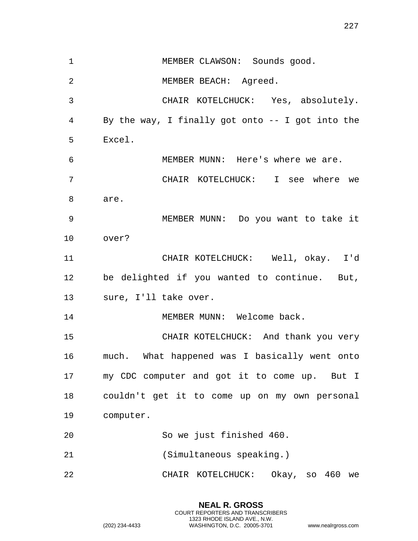1 MEMBER CLAWSON: Sounds good. MEMBER BEACH: Agreed. CHAIR KOTELCHUCK: Yes, absolutely. By the way, I finally got onto -- I got into the Excel. MEMBER MUNN: Here's where we are. CHAIR KOTELCHUCK: I see where we are. MEMBER MUNN: Do you want to take it over? CHAIR KOTELCHUCK: Well, okay. I'd be delighted if you wanted to continue. But, sure, I'll take over. MEMBER MUNN: Welcome back. CHAIR KOTELCHUCK: And thank you very much. What happened was I basically went onto my CDC computer and got it to come up. But I couldn't get it to come up on my own personal computer. So we just finished 460. (Simultaneous speaking.) CHAIR KOTELCHUCK: Okay, so 460 we

> **NEAL R. GROSS** COURT REPORTERS AND TRANSCRIBERS 1323 RHODE ISLAND AVE., N.W.

(202) 234-4433 WASHINGTON, D.C. 20005-3701 www.nealrgross.com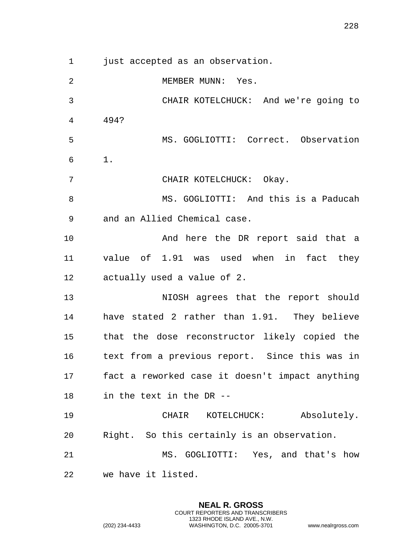just accepted as an observation.

2 MEMBER MUNN: Yes. CHAIR KOTELCHUCK: And we're going to 494? MS. GOGLIOTTI: Correct. Observation 1. CHAIR KOTELCHUCK: Okay. MS. GOGLIOTTI: And this is a Paducah and an Allied Chemical case. 10 And here the DR report said that a value of 1.91 was used when in fact they actually used a value of 2. NIOSH agrees that the report should have stated 2 rather than 1.91. They believe that the dose reconstructor likely copied the text from a previous report. Since this was in fact a reworked case it doesn't impact anything in the text in the DR -- CHAIR KOTELCHUCK: Absolutely. Right. So this certainly is an observation. MS. GOGLIOTTI: Yes, and that's how we have it listed.

> **NEAL R. GROSS** COURT REPORTERS AND TRANSCRIBERS 1323 RHODE ISLAND AVE., N.W.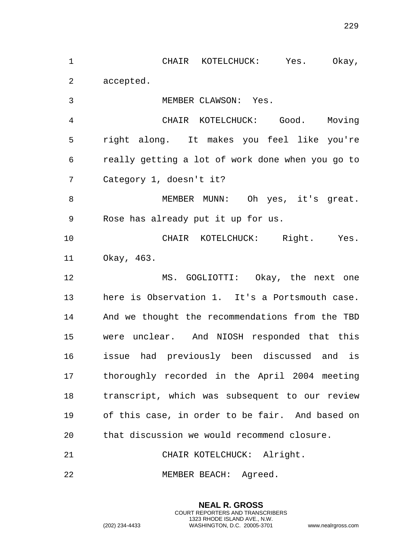CHAIR KOTELCHUCK: Yes. Okay, accepted.

MEMBER CLAWSON: Yes.

 CHAIR KOTELCHUCK: Good. Moving right along. It makes you feel like you're really getting a lot of work done when you go to Category 1, doesn't it?

8 MEMBER MUNN: Oh yes, it's great. Rose has already put it up for us.

 CHAIR KOTELCHUCK: Right. Yes. Okay, 463.

 MS. GOGLIOTTI: Okay, the next one here is Observation 1. It's a Portsmouth case. And we thought the recommendations from the TBD were unclear. And NIOSH responded that this issue had previously been discussed and is thoroughly recorded in the April 2004 meeting transcript, which was subsequent to our review of this case, in order to be fair. And based on that discussion we would recommend closure.

> **NEAL R. GROSS** COURT REPORTERS AND TRANSCRIBERS 1323 RHODE ISLAND AVE., N.W.

CHAIR KOTELCHUCK: Alright.

MEMBER BEACH: Agreed.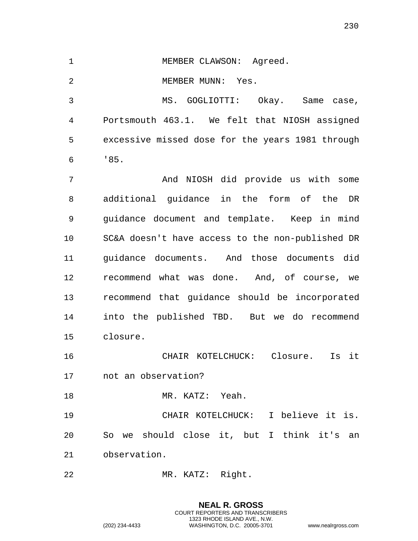| Agreed.<br>MEMBER CLAWSON: |
|----------------------------|
|                            |

2 MEMBER MUNN: Yes.

 MS. GOGLIOTTI: Okay. Same case, Portsmouth 463.1. We felt that NIOSH assigned excessive missed dose for the years 1981 through '85.

 And NIOSH did provide us with some additional guidance in the form of the DR guidance document and template. Keep in mind SC&A doesn't have access to the non-published DR guidance documents. And those documents did recommend what was done. And, of course, we recommend that guidance should be incorporated into the published TBD. But we do recommend closure.

 CHAIR KOTELCHUCK: Closure. Is it not an observation?

MR. KATZ: Yeah.

 CHAIR KOTELCHUCK: I believe it is. So we should close it, but I think it's an observation.

MR. KATZ: Right.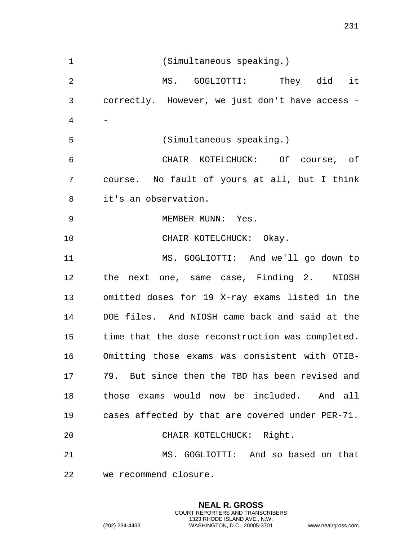(Simultaneous speaking.) MS. GOGLIOTTI: They did it correctly. However, we just don't have access - - (Simultaneous speaking.) CHAIR KOTELCHUCK: Of course, of course. No fault of yours at all, but I think it's an observation. 9 MEMBER MUNN: Yes. CHAIR KOTELCHUCK: Okay. MS. GOGLIOTTI: And we'll go down to the next one, same case, Finding 2. NIOSH omitted doses for 19 X-ray exams listed in the DOE files. And NIOSH came back and said at the time that the dose reconstruction was completed. Omitting those exams was consistent with OTIB- 79. But since then the TBD has been revised and those exams would now be included. And all cases affected by that are covered under PER-71. CHAIR KOTELCHUCK: Right. MS. GOGLIOTTI: And so based on that we recommend closure.

> **NEAL R. GROSS** COURT REPORTERS AND TRANSCRIBERS 1323 RHODE ISLAND AVE., N.W.

(202) 234-4433 WASHINGTON, D.C. 20005-3701 www.nealrgross.com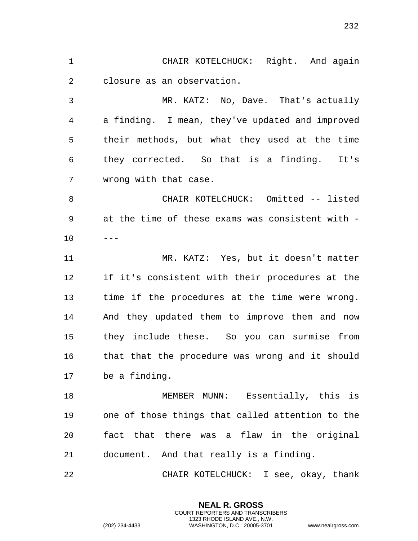CHAIR KOTELCHUCK: Right. And again closure as an observation. MR. KATZ: No, Dave. That's actually a finding. I mean, they've updated and improved their methods, but what they used at the time they corrected. So that is a finding. It's wrong with that case. CHAIR KOTELCHUCK: Omitted -- listed at the time of these exams was consistent with -  $10 - -$  MR. KATZ: Yes, but it doesn't matter if it's consistent with their procedures at the time if the procedures at the time were wrong. And they updated them to improve them and now they include these. So you can surmise from that that the procedure was wrong and it should be a finding. MEMBER MUNN: Essentially, this is one of those things that called attention to the

 fact that there was a flaw in the original document. And that really is a finding.

CHAIR KOTELCHUCK: I see, okay, thank

**NEAL R. GROSS** COURT REPORTERS AND TRANSCRIBERS 1323 RHODE ISLAND AVE., N.W.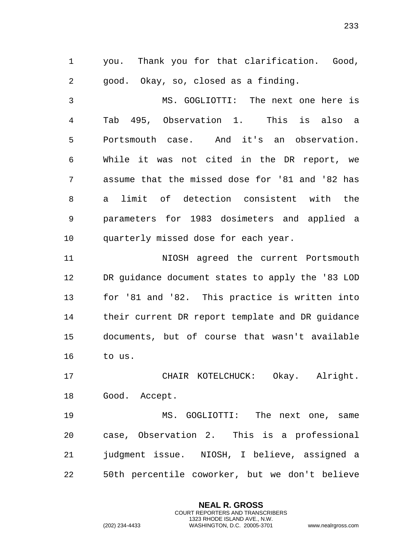you. Thank you for that clarification. Good, good. Okay, so, closed as a finding.

 MS. GOGLIOTTI: The next one here is Tab 495, Observation 1. This is also a Portsmouth case. And it's an observation. While it was not cited in the DR report, we assume that the missed dose for '81 and '82 has a limit of detection consistent with the parameters for 1983 dosimeters and applied a quarterly missed dose for each year.

 NIOSH agreed the current Portsmouth DR guidance document states to apply the '83 LOD for '81 and '82. This practice is written into their current DR report template and DR guidance documents, but of course that wasn't available to us.

 CHAIR KOTELCHUCK: Okay. Alright. Good. Accept.

 MS. GOGLIOTTI: The next one, same case, Observation 2. This is a professional judgment issue. NIOSH, I believe, assigned a 50th percentile coworker, but we don't believe

> **NEAL R. GROSS** COURT REPORTERS AND TRANSCRIBERS 1323 RHODE ISLAND AVE., N.W.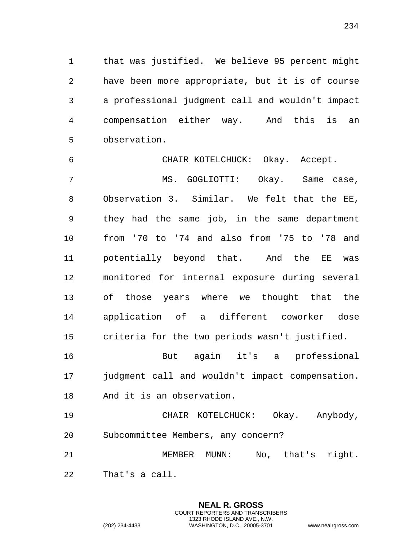that was justified. We believe 95 percent might have been more appropriate, but it is of course a professional judgment call and wouldn't impact compensation either way. And this is an observation.

 CHAIR KOTELCHUCK: Okay. Accept. MS. GOGLIOTTI: Okay. Same case, Observation 3. Similar. We felt that the EE, they had the same job, in the same department from '70 to '74 and also from '75 to '78 and potentially beyond that. And the EE was monitored for internal exposure during several of those years where we thought that the application of a different coworker dose criteria for the two periods wasn't justified. But again it's a professional judgment call and wouldn't impact compensation. And it is an observation. CHAIR KOTELCHUCK: Okay. Anybody, Subcommittee Members, any concern?

 MEMBER MUNN: No, that's right. That's a call.

> **NEAL R. GROSS** COURT REPORTERS AND TRANSCRIBERS 1323 RHODE ISLAND AVE., N.W.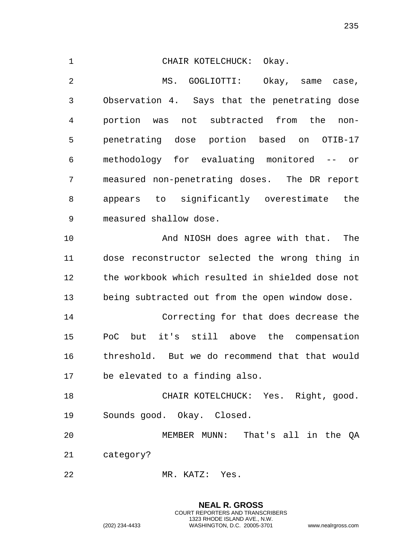CHAIR KOTELCHUCK: Okay. MS. GOGLIOTTI: Okay, same case, Observation 4. Says that the penetrating dose portion was not subtracted from the non- penetrating dose portion based on OTIB-17 methodology for evaluating monitored -- or measured non-penetrating doses. The DR report appears to significantly overestimate the measured shallow dose. And NIOSH does agree with that. The dose reconstructor selected the wrong thing in the workbook which resulted in shielded dose not being subtracted out from the open window dose. Correcting for that does decrease the PoC but it's still above the compensation threshold. But we do recommend that that would be elevated to a finding also. CHAIR KOTELCHUCK: Yes. Right, good. Sounds good. Okay. Closed. MEMBER MUNN: That's all in the QA category? MR. KATZ: Yes.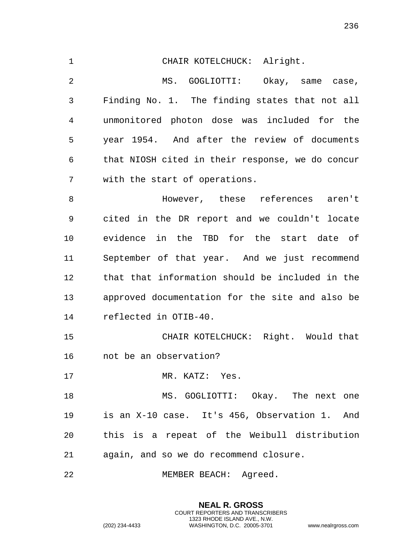CHAIR KOTELCHUCK: Alright. MS. GOGLIOTTI: Okay, same case, Finding No. 1. The finding states that not all unmonitored photon dose was included for the year 1954. And after the review of documents that NIOSH cited in their response, we do concur with the start of operations. However, these references aren't

 cited in the DR report and we couldn't locate evidence in the TBD for the start date of September of that year. And we just recommend that that information should be included in the approved documentation for the site and also be reflected in OTIB-40.

 CHAIR KOTELCHUCK: Right. Would that not be an observation?

17 MR. KATZ: Yes.

18 MS. GOGLIOTTI: Okay. The next one is an X-10 case. It's 456, Observation 1. And this is a repeat of the Weibull distribution again, and so we do recommend closure.

> **NEAL R. GROSS** COURT REPORTERS AND TRANSCRIBERS 1323 RHODE ISLAND AVE., N.W.

MEMBER BEACH: Agreed.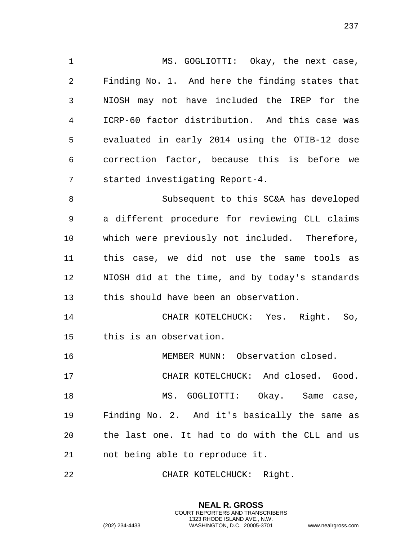MS. GOGLIOTTI: Okay, the next case, Finding No. 1. And here the finding states that NIOSH may not have included the IREP for the ICRP-60 factor distribution. And this case was evaluated in early 2014 using the OTIB-12 dose correction factor, because this is before we started investigating Report-4. Subsequent to this SC&A has developed a different procedure for reviewing CLL claims which were previously not included. Therefore, this case, we did not use the same tools as NIOSH did at the time, and by today's standards this should have been an observation. CHAIR KOTELCHUCK: Yes. Right. So, this is an observation. MEMBER MUNN: Observation closed. CHAIR KOTELCHUCK: And closed. Good. 18 MS. GOGLIOTTI: Okay. Same case, Finding No. 2. And it's basically the same as the last one. It had to do with the CLL and us not being able to reproduce it.

CHAIR KOTELCHUCK: Right.

**NEAL R. GROSS** COURT REPORTERS AND TRANSCRIBERS 1323 RHODE ISLAND AVE., N.W.

(202) 234-4433 WASHINGTON, D.C. 20005-3701 www.nealrgross.com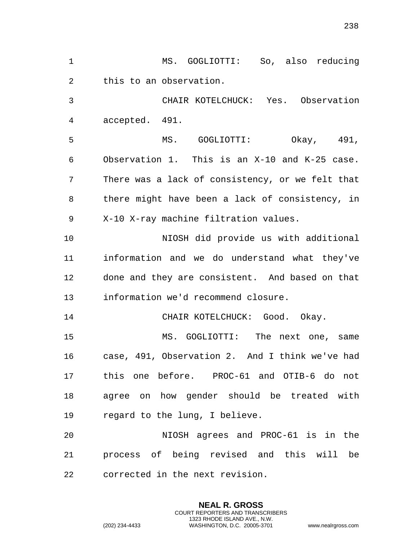MS. GOGLIOTTI: So, also reducing this to an observation. CHAIR KOTELCHUCK: Yes. Observation accepted. 491. MS. GOGLIOTTI: Okay, 491, Observation 1. This is an X-10 and K-25 case. There was a lack of consistency, or we felt that there might have been a lack of consistency, in X-10 X-ray machine filtration values. NIOSH did provide us with additional information and we do understand what they've done and they are consistent. And based on that information we'd recommend closure. CHAIR KOTELCHUCK: Good. Okay. MS. GOGLIOTTI: The next one, same case, 491, Observation 2. And I think we've had this one before. PROC-61 and OTIB-6 do not agree on how gender should be treated with regard to the lung, I believe. NIOSH agrees and PROC-61 is in the process of being revised and this will be corrected in the next revision.

> **NEAL R. GROSS** COURT REPORTERS AND TRANSCRIBERS 1323 RHODE ISLAND AVE., N.W.

(202) 234-4433 WASHINGTON, D.C. 20005-3701 www.nealrgross.com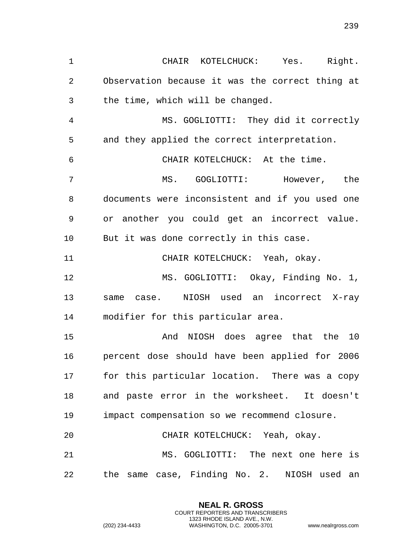CHAIR KOTELCHUCK: Yes. Right. Observation because it was the correct thing at the time, which will be changed. MS. GOGLIOTTI: They did it correctly and they applied the correct interpretation. CHAIR KOTELCHUCK: At the time. MS. GOGLIOTTI: However, the documents were inconsistent and if you used one or another you could get an incorrect value. But it was done correctly in this case. CHAIR KOTELCHUCK: Yeah, okay. MS. GOGLIOTTI: Okay, Finding No. 1, same case. NIOSH used an incorrect X-ray modifier for this particular area. And NIOSH does agree that the 10 percent dose should have been applied for 2006 for this particular location. There was a copy and paste error in the worksheet. It doesn't impact compensation so we recommend closure. CHAIR KOTELCHUCK: Yeah, okay. MS. GOGLIOTTI: The next one here is the same case, Finding No. 2. NIOSH used an

> **NEAL R. GROSS** COURT REPORTERS AND TRANSCRIBERS 1323 RHODE ISLAND AVE., N.W.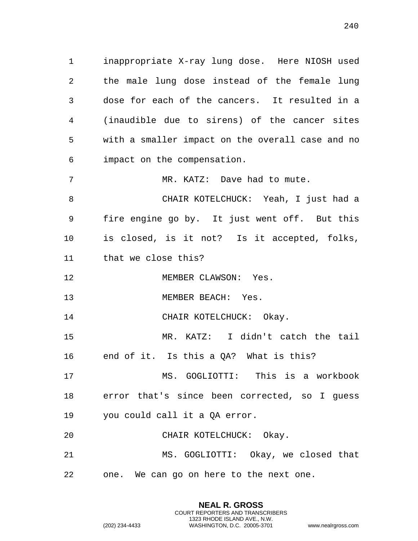inappropriate X-ray lung dose. Here NIOSH used the male lung dose instead of the female lung dose for each of the cancers. It resulted in a (inaudible due to sirens) of the cancer sites with a smaller impact on the overall case and no impact on the compensation.

7 MR. KATZ: Dave had to mute.

 CHAIR KOTELCHUCK: Yeah, I just had a fire engine go by. It just went off. But this is closed, is it not? Is it accepted, folks, that we close this?

12 MEMBER CLAWSON: Yes.

13 MEMBER BEACH: Yes.

14 CHAIR KOTELCHUCK: Okay.

 MR. KATZ: I didn't catch the tail end of it. Is this a QA? What is this?

 MS. GOGLIOTTI: This is a workbook error that's since been corrected, so I guess you could call it a QA error.

CHAIR KOTELCHUCK: Okay.

 MS. GOGLIOTTI: Okay, we closed that one. We can go on here to the next one.

> **NEAL R. GROSS** COURT REPORTERS AND TRANSCRIBERS 1323 RHODE ISLAND AVE., N.W.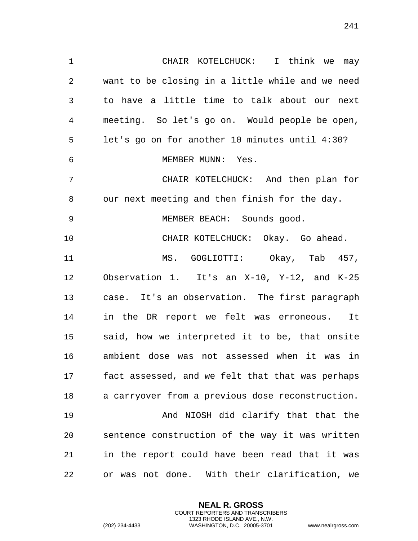want to be closing in a little while and we need to have a little time to talk about our next meeting. So let's go on. Would people be open, let's go on for another 10 minutes until 4:30? MEMBER MUNN: Yes. CHAIR KOTELCHUCK: And then plan for our next meeting and then finish for the day. MEMBER BEACH: Sounds good. CHAIR KOTELCHUCK: Okay. Go ahead. MS. GOGLIOTTI: Okay, Tab 457, Observation 1. It's an X-10, Y-12, and K-25 case. It's an observation. The first paragraph in the DR report we felt was erroneous. It said, how we interpreted it to be, that onsite ambient dose was not assessed when it was in fact assessed, and we felt that that was perhaps a carryover from a previous dose reconstruction. And NIOSH did clarify that that the sentence construction of the way it was written in the report could have been read that it was

CHAIR KOTELCHUCK: I think we may

or was not done. With their clarification, we

**NEAL R. GROSS** COURT REPORTERS AND TRANSCRIBERS 1323 RHODE ISLAND AVE., N.W.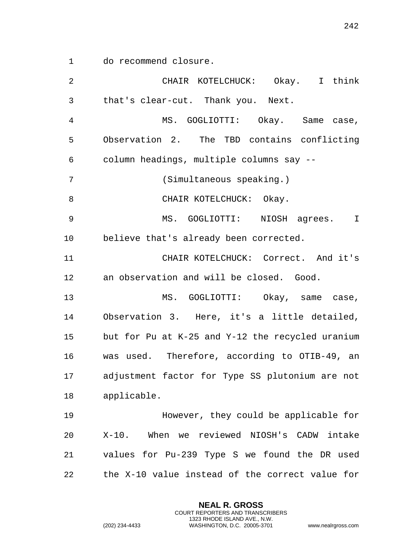do recommend closure.

| $\overline{2}$ | CHAIR KOTELCHUCK: Okay. I think                  |
|----------------|--------------------------------------------------|
| 3              | that's clear-cut. Thank you. Next.               |
| $\overline{4}$ | MS. GOGLIOTTI: Okay. Same case,                  |
| 5              | Observation 2. The TBD contains conflicting      |
| 6              | column headings, multiple columns say --         |
| 7              | (Simultaneous speaking.)                         |
| 8              | CHAIR KOTELCHUCK: Okay.                          |
| 9              | MS. GOGLIOTTI: NIOSH agrees. I                   |
| 10             | believe that's already been corrected.           |
| 11             | CHAIR KOTELCHUCK: Correct. And it's              |
| 12             | an observation and will be closed. Good.         |
| 13             | MS. GOGLIOTTI: Okay, same case,                  |
| 14             | Observation 3. Here, it's a little detailed,     |
| 15             | but for Pu at K-25 and Y-12 the recycled uranium |
| 16             | was used. Therefore, according to OTIB-49, an    |
| 17             | adjustment factor for Type SS plutonium are not  |
| 18             | applicable.                                      |
| 19             | However, they could be applicable for            |
| 20             | X-10. When we reviewed NIOSH's CADW intake       |
| 21             | values for Pu-239 Type S we found the DR used    |
| 22             | the X-10 value instead of the correct value for  |

**NEAL R. GROSS** COURT REPORTERS AND TRANSCRIBERS 1323 RHODE ISLAND AVE., N.W.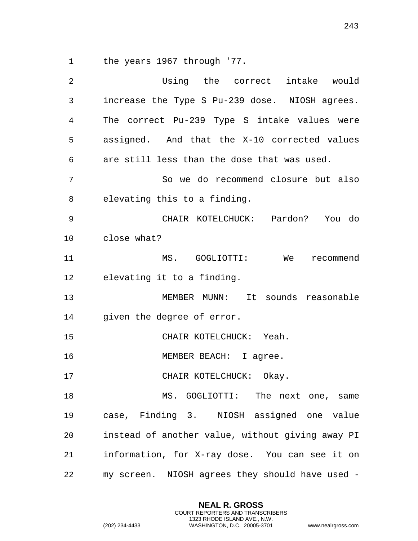the years 1967 through '77.

| 2  | Using the correct intake would                   |
|----|--------------------------------------------------|
| 3  | increase the Type S Pu-239 dose. NIOSH agrees.   |
| 4  | The correct Pu-239 Type S intake values were     |
| 5  | assigned. And that the X-10 corrected values     |
| 6  | are still less than the dose that was used.      |
| 7  | So we do recommend closure but also              |
| 8  | elevating this to a finding.                     |
| 9  | CHAIR KOTELCHUCK: Pardon? You do                 |
| 10 | close what?                                      |
| 11 | MS. GOGLIOTTI: We<br>recommend                   |
| 12 | elevating it to a finding.                       |
| 13 | MEMBER MUNN: It sounds reasonable                |
| 14 | given the degree of error.                       |
| 15 | CHAIR KOTELCHUCK: Yeah.                          |
| 16 | MEMBER BEACH: I agree.                           |
| 17 | CHAIR KOTELCHUCK: Okay.                          |
| 18 | MS. GOGLIOTTI: The next one, same                |
| 19 | case, Finding 3. NIOSH assigned one value        |
| 20 | instead of another value, without giving away PI |
| 21 | information, for X-ray dose. You can see it on   |
| 22 | my screen. NIOSH agrees they should have used -  |

**NEAL R. GROSS** COURT REPORTERS AND TRANSCRIBERS 1323 RHODE ISLAND AVE., N.W.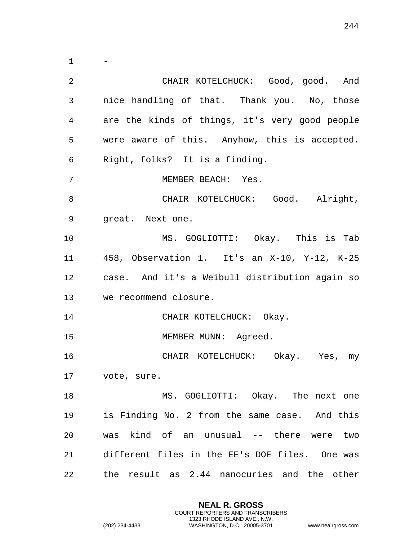- CHAIR KOTELCHUCK: Good, good. And nice handling of that. Thank you. No, those are the kinds of things, it's very good people were aware of this. Anyhow, this is accepted. Right, folks? It is a finding. MEMBER BEACH: Yes. 8 CHAIR KOTELCHUCK: Good. Alright, great. Next one. MS. GOGLIOTTI: Okay. This is Tab 458, Observation 1. It's an X-10, Y-12, K-25 case. And it's a Weibull distribution again so we recommend closure. 14 CHAIR KOTELCHUCK: Okay. 15 MEMBER MUNN: Agreed. CHAIR KOTELCHUCK: Okay. Yes, my vote, sure. 18 MS. GOGLIOTTI: Okay. The next one is Finding No. 2 from the same case. And this was kind of an unusual -- there were two different files in the EE's DOE files. One was the result as 2.44 nanocuries and the other

> **NEAL R. GROSS** COURT REPORTERS AND TRANSCRIBERS 1323 RHODE ISLAND AVE., N.W.

(202) 234-4433 WASHINGTON, D.C. 20005-3701 www.nealrgross.com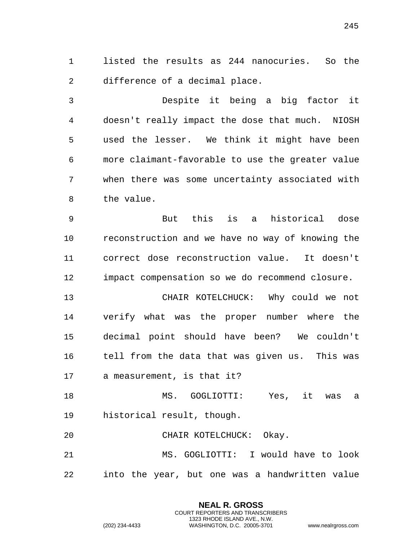listed the results as 244 nanocuries. So the difference of a decimal place.

 Despite it being a big factor it doesn't really impact the dose that much. NIOSH used the lesser. We think it might have been more claimant-favorable to use the greater value when there was some uncertainty associated with the value.

 But this is a historical dose reconstruction and we have no way of knowing the correct dose reconstruction value. It doesn't impact compensation so we do recommend closure.

 CHAIR KOTELCHUCK: Why could we not verify what was the proper number where the decimal point should have been? We couldn't tell from the data that was given us. This was a measurement, is that it?

 MS. GOGLIOTTI: Yes, it was a historical result, though.

CHAIR KOTELCHUCK: Okay.

 MS. GOGLIOTTI: I would have to look into the year, but one was a handwritten value

> **NEAL R. GROSS** COURT REPORTERS AND TRANSCRIBERS 1323 RHODE ISLAND AVE., N.W.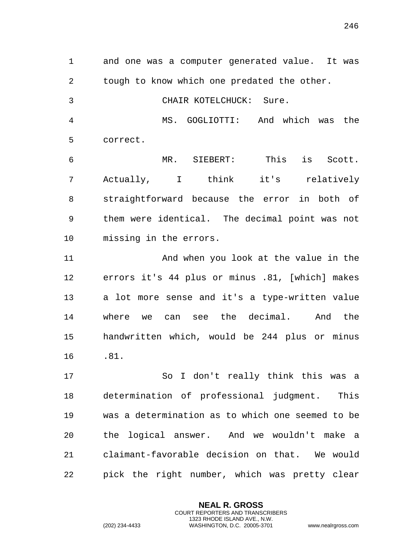tough to know which one predated the other. CHAIR KOTELCHUCK: Sure. MS. GOGLIOTTI: And which was the correct. MR. SIEBERT: This is Scott. Actually, I think it's relatively straightforward because the error in both of them were identical. The decimal point was not missing in the errors. And when you look at the value in the errors it's 44 plus or minus .81, [which] makes a lot more sense and it's a type-written value where we can see the decimal. And the handwritten which, would be 244 plus or minus .81. So I don't really think this was a determination of professional judgment. This

and one was a computer generated value. It was

 was a determination as to which one seemed to be the logical answer. And we wouldn't make a claimant-favorable decision on that. We would pick the right number, which was pretty clear

> **NEAL R. GROSS** COURT REPORTERS AND TRANSCRIBERS 1323 RHODE ISLAND AVE., N.W.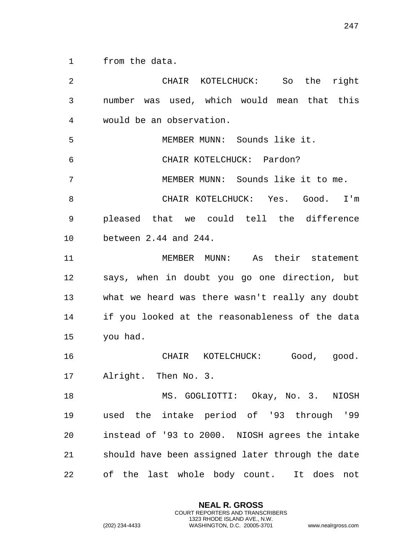from the data.

 CHAIR KOTELCHUCK: So the right number was used, which would mean that this would be an observation. MEMBER MUNN: Sounds like it. CHAIR KOTELCHUCK: Pardon? MEMBER MUNN: Sounds like it to me. CHAIR KOTELCHUCK: Yes. Good. I'm pleased that we could tell the difference between 2.44 and 244. MEMBER MUNN: As their statement says, when in doubt you go one direction, but what we heard was there wasn't really any doubt if you looked at the reasonableness of the data you had. CHAIR KOTELCHUCK: Good, good. Alright. Then No. 3. MS. GOGLIOTTI: Okay, No. 3. NIOSH used the intake period of '93 through '99 instead of '93 to 2000. NIOSH agrees the intake should have been assigned later through the date of the last whole body count. It does not

> **NEAL R. GROSS** COURT REPORTERS AND TRANSCRIBERS 1323 RHODE ISLAND AVE., N.W.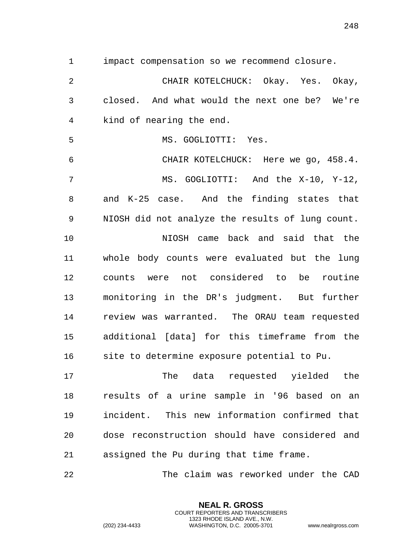impact compensation so we recommend closure.

 CHAIR KOTELCHUCK: Okay. Yes. Okay, closed. And what would the next one be? We're kind of nearing the end.

MS. GOGLIOTTI: Yes.

 CHAIR KOTELCHUCK: Here we go, 458.4. MS. GOGLIOTTI: And the X-10, Y-12, and K-25 case. And the finding states that NIOSH did not analyze the results of lung count.

 NIOSH came back and said that the whole body counts were evaluated but the lung counts were not considered to be routine monitoring in the DR's judgment. But further review was warranted. The ORAU team requested additional [data] for this timeframe from the site to determine exposure potential to Pu.

 The data requested yielded the results of a urine sample in '96 based on an incident. This new information confirmed that dose reconstruction should have considered and assigned the Pu during that time frame.

The claim was reworked under the CAD

**NEAL R. GROSS** COURT REPORTERS AND TRANSCRIBERS 1323 RHODE ISLAND AVE., N.W.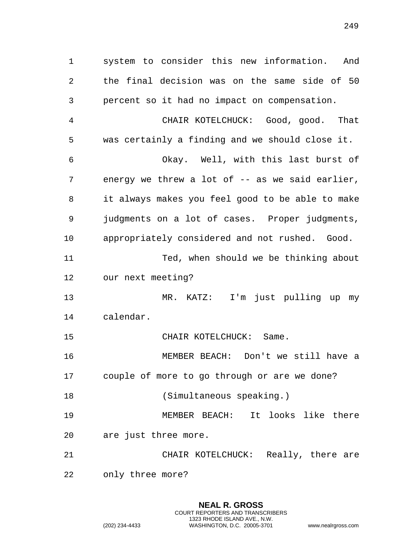system to consider this new information. And the final decision was on the same side of 50 percent so it had no impact on compensation.

 CHAIR KOTELCHUCK: Good, good. That was certainly a finding and we should close it. Okay. Well, with this last burst of energy we threw a lot of -- as we said earlier, it always makes you feel good to be able to make judgments on a lot of cases. Proper judgments, appropriately considered and not rushed. Good. Ted, when should we be thinking about our next meeting?

MR. KATZ: I'm just pulling up my

calendar.

CHAIR KOTELCHUCK: Same.

 MEMBER BEACH: Don't we still have a couple of more to go through or are we done?

18 (Simultaneous speaking.)

 MEMBER BEACH: It looks like there are just three more.

 CHAIR KOTELCHUCK: Really, there are only three more?

> **NEAL R. GROSS** COURT REPORTERS AND TRANSCRIBERS 1323 RHODE ISLAND AVE., N.W.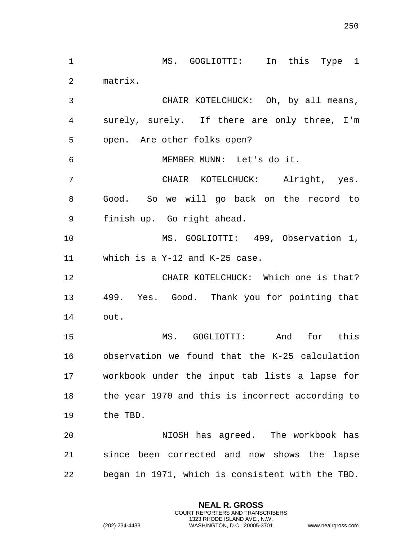MS. GOGLIOTTI: In this Type 1 matrix. CHAIR KOTELCHUCK: Oh, by all means, surely, surely. If there are only three, I'm open. Are other folks open? MEMBER MUNN: Let's do it. CHAIR KOTELCHUCK: Alright, yes. Good. So we will go back on the record to finish up. Go right ahead. MS. GOGLIOTTI: 499, Observation 1, which is a Y-12 and K-25 case. CHAIR KOTELCHUCK: Which one is that? 499. Yes. Good. Thank you for pointing that out. MS. GOGLIOTTI: And for this observation we found that the K-25 calculation workbook under the input tab lists a lapse for the year 1970 and this is incorrect according to the TBD. NIOSH has agreed. The workbook has since been corrected and now shows the lapse began in 1971, which is consistent with the TBD.

> **NEAL R. GROSS** COURT REPORTERS AND TRANSCRIBERS 1323 RHODE ISLAND AVE., N.W.

(202) 234-4433 WASHINGTON, D.C. 20005-3701 www.nealrgross.com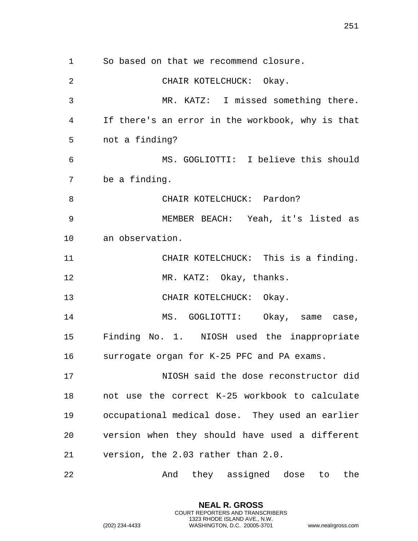So based on that we recommend closure. CHAIR KOTELCHUCK: Okay. MR. KATZ: I missed something there. If there's an error in the workbook, why is that not a finding? MS. GOGLIOTTI: I believe this should be a finding. 8 CHAIR KOTELCHUCK: Pardon? MEMBER BEACH: Yeah, it's listed as an observation. CHAIR KOTELCHUCK: This is a finding. 12 MR. KATZ: Okay, thanks. CHAIR KOTELCHUCK: Okay. 14 MS. GOGLIOTTI: Okay, same case, Finding No. 1. NIOSH used the inappropriate surrogate organ for K-25 PFC and PA exams. NIOSH said the dose reconstructor did not use the correct K-25 workbook to calculate occupational medical dose. They used an earlier version when they should have used a different version, the 2.03 rather than 2.0. And they assigned dose to the

> **NEAL R. GROSS** COURT REPORTERS AND TRANSCRIBERS 1323 RHODE ISLAND AVE., N.W.

(202) 234-4433 WASHINGTON, D.C. 20005-3701 www.nealrgross.com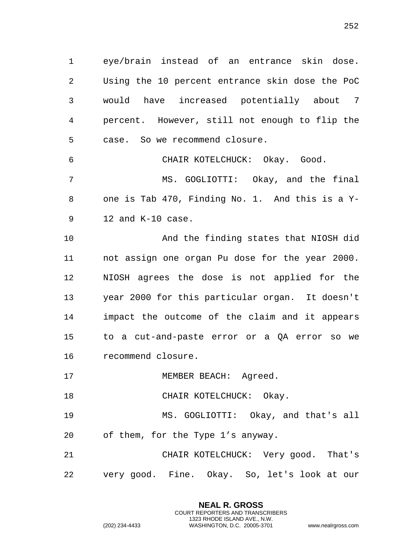eye/brain instead of an entrance skin dose. Using the 10 percent entrance skin dose the PoC would have increased potentially about 7 percent. However, still not enough to flip the case. So we recommend closure.

CHAIR KOTELCHUCK: Okay. Good.

 MS. GOGLIOTTI: Okay, and the final one is Tab 470, Finding No. 1. And this is a Y-12 and K-10 case.

 And the finding states that NIOSH did not assign one organ Pu dose for the year 2000. NIOSH agrees the dose is not applied for the year 2000 for this particular organ. It doesn't impact the outcome of the claim and it appears to a cut-and-paste error or a QA error so we recommend closure.

17 MEMBER BEACH: Agreed.

18 CHAIR KOTELCHUCK: Okay.

 MS. GOGLIOTTI: Okay, and that's all of them, for the Type 1's anyway.

 CHAIR KOTELCHUCK: Very good. That's very good. Fine. Okay. So, let's look at our

> **NEAL R. GROSS** COURT REPORTERS AND TRANSCRIBERS 1323 RHODE ISLAND AVE., N.W.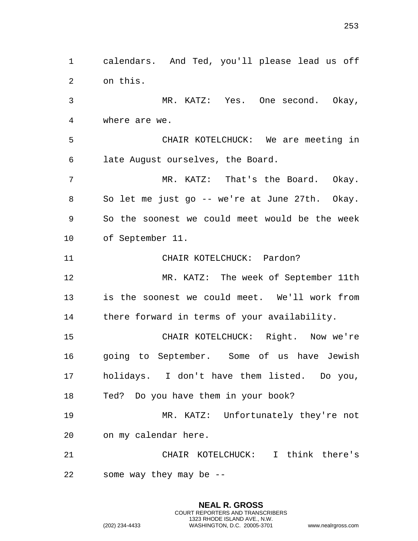calendars. And Ted, you'll please lead us off on this. MR. KATZ: Yes. One second. Okay, where are we. CHAIR KOTELCHUCK: We are meeting in late August ourselves, the Board. MR. KATZ: That's the Board. Okay. So let me just go -- we're at June 27th. Okay. So the soonest we could meet would be the week of September 11. CHAIR KOTELCHUCK: Pardon? MR. KATZ: The week of September 11th is the soonest we could meet. We'll work from there forward in terms of your availability. CHAIR KOTELCHUCK: Right. Now we're going to September. Some of us have Jewish holidays. I don't have them listed. Do you, Ted? Do you have them in your book? MR. KATZ: Unfortunately they're not on my calendar here. CHAIR KOTELCHUCK: I think there's some way they may be --

> **NEAL R. GROSS** COURT REPORTERS AND TRANSCRIBERS 1323 RHODE ISLAND AVE., N.W.

(202) 234-4433 WASHINGTON, D.C. 20005-3701 www.nealrgross.com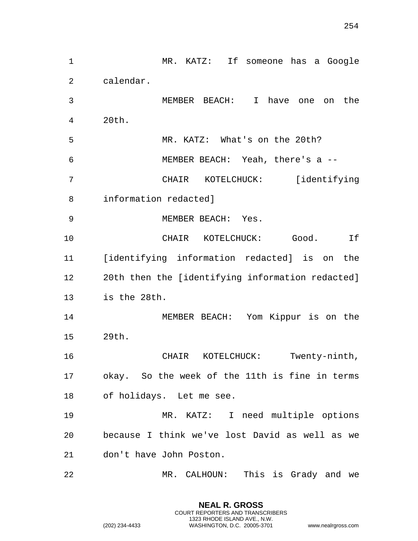MR. KATZ: If someone has a Google calendar. MEMBER BEACH: I have one on the 20th. MR. KATZ: What's on the 20th? MEMBER BEACH: Yeah, there's a -- CHAIR KOTELCHUCK: [identifying information redacted] MEMBER BEACH: Yes. CHAIR KOTELCHUCK: Good. If [identifying information redacted] is on the 20th then the [identifying information redacted] is the 28th. MEMBER BEACH: Yom Kippur is on the 29th. CHAIR KOTELCHUCK: Twenty-ninth, okay. So the week of the 11th is fine in terms of holidays. Let me see. MR. KATZ: I need multiple options because I think we've lost David as well as we don't have John Poston. MR. CALHOUN: This is Grady and we

> **NEAL R. GROSS** COURT REPORTERS AND TRANSCRIBERS 1323 RHODE ISLAND AVE., N.W.

(202) 234-4433 WASHINGTON, D.C. 20005-3701 www.nealrgross.com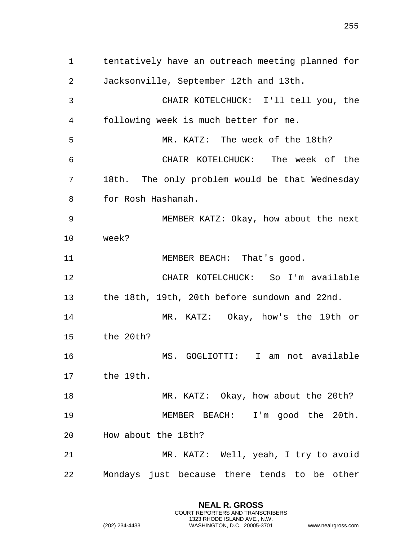tentatively have an outreach meeting planned for Jacksonville, September 12th and 13th. CHAIR KOTELCHUCK: I'll tell you, the following week is much better for me. MR. KATZ: The week of the 18th? CHAIR KOTELCHUCK: The week of the 18th. The only problem would be that Wednesday for Rosh Hashanah. MEMBER KATZ: Okay, how about the next week? 11 MEMBER BEACH: That's good. CHAIR KOTELCHUCK: So I'm available the 18th, 19th, 20th before sundown and 22nd. MR. KATZ: Okay, how's the 19th or the 20th? MS. GOGLIOTTI: I am not available the 19th. 18 MR. KATZ: Okay, how about the 20th? MEMBER BEACH: I'm good the 20th.

How about the 18th?

 MR. KATZ: Well, yeah, I try to avoid Mondays just because there tends to be other

> **NEAL R. GROSS** COURT REPORTERS AND TRANSCRIBERS 1323 RHODE ISLAND AVE., N.W.

(202) 234-4433 WASHINGTON, D.C. 20005-3701 www.nealrgross.com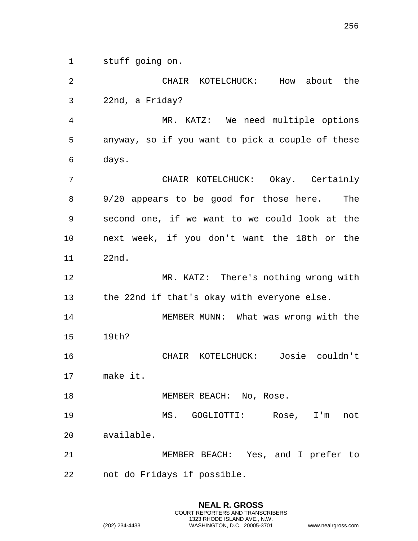stuff going on.

 CHAIR KOTELCHUCK: How about the 22nd, a Friday? MR. KATZ: We need multiple options anyway, so if you want to pick a couple of these days. CHAIR KOTELCHUCK: Okay. Certainly 9/20 appears to be good for those here. The second one, if we want to we could look at the next week, if you don't want the 18th or the 22nd. MR. KATZ: There's nothing wrong with the 22nd if that's okay with everyone else. MEMBER MUNN: What was wrong with the 19th? CHAIR KOTELCHUCK: Josie couldn't make it. 18 MEMBER BEACH: No, Rose. MS. GOGLIOTTI: Rose, I'm not available. MEMBER BEACH: Yes, and I prefer to not do Fridays if possible.

> **NEAL R. GROSS** COURT REPORTERS AND TRANSCRIBERS 1323 RHODE ISLAND AVE., N.W.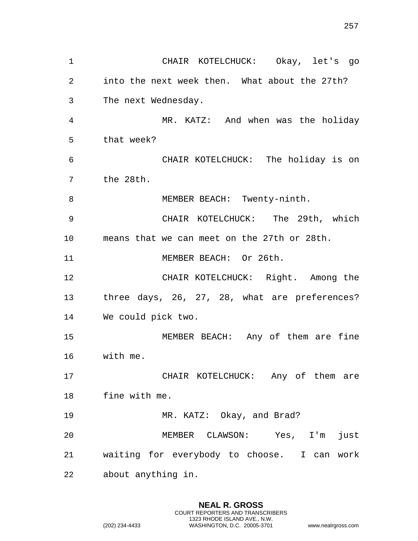CHAIR KOTELCHUCK: Okay, let's go into the next week then. What about the 27th? The next Wednesday. MR. KATZ: And when was the holiday that week? CHAIR KOTELCHUCK: The holiday is on the 28th. 8 MEMBER BEACH: Twenty-ninth. CHAIR KOTELCHUCK: The 29th, which means that we can meet on the 27th or 28th. MEMBER BEACH: Or 26th. CHAIR KOTELCHUCK: Right. Among the three days, 26, 27, 28, what are preferences? We could pick two. MEMBER BEACH: Any of them are fine with me. CHAIR KOTELCHUCK: Any of them are fine with me. MR. KATZ: Okay, and Brad? MEMBER CLAWSON: Yes, I'm just waiting for everybody to choose. I can work about anything in.

> **NEAL R. GROSS** COURT REPORTERS AND TRANSCRIBERS 1323 RHODE ISLAND AVE., N.W.

(202) 234-4433 WASHINGTON, D.C. 20005-3701 www.nealrgross.com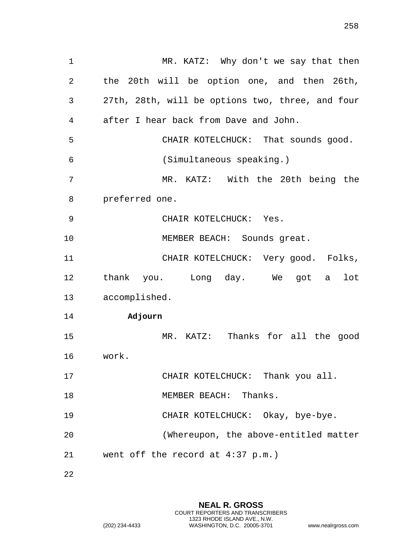1 MR. KATZ: Why don't we say that then the 20th will be option one, and then 26th, 27th, 28th, will be options two, three, and four after I hear back from Dave and John. CHAIR KOTELCHUCK: That sounds good. (Simultaneous speaking.) MR. KATZ: With the 20th being the preferred one. CHAIR KOTELCHUCK: Yes. 10 MEMBER BEACH: Sounds great. CHAIR KOTELCHUCK: Very good. Folks, thank you. Long day. We got a lot accomplished. **Adjourn** MR. KATZ: Thanks for all the good work. CHAIR KOTELCHUCK: Thank you all. 18 MEMBER BEACH: Thanks. CHAIR KOTELCHUCK: Okay, bye-bye. (Whereupon, the above-entitled matter went off the record at 4:37 p.m.)